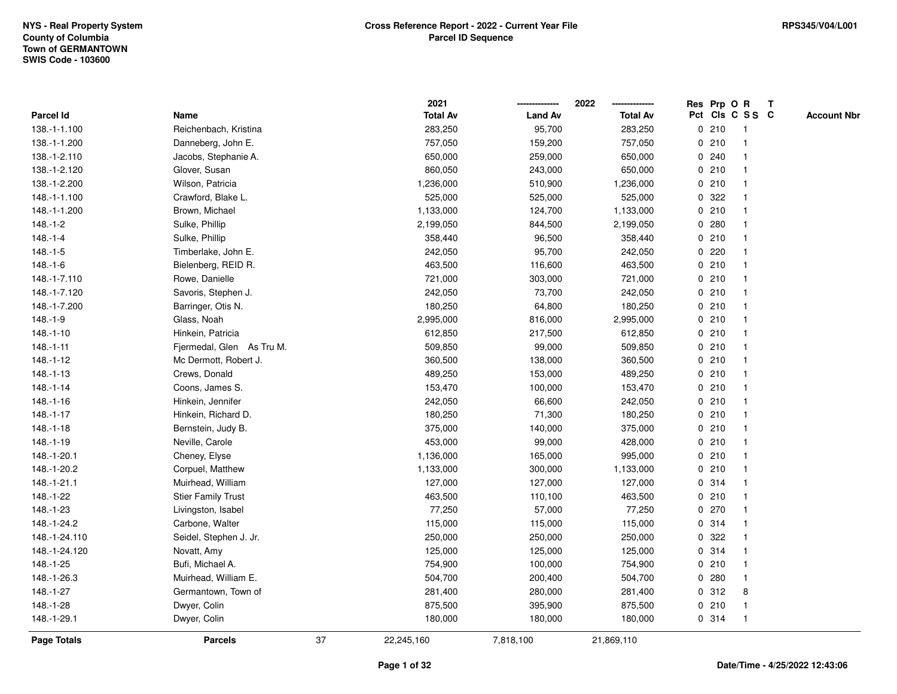|               |                           |    | 2021            |                | 2022            | Res Prp O R |                 |                         |   | $\mathbf{T}$ |                    |
|---------------|---------------------------|----|-----------------|----------------|-----------------|-------------|-----------------|-------------------------|---|--------------|--------------------|
| Parcel Id     | Name                      |    | <b>Total Av</b> | <b>Land Av</b> | <b>Total Av</b> |             | Pct Cls C S S C |                         |   |              | <b>Account Nbr</b> |
| 138.-1-1.100  | Reichenbach, Kristina     |    | 283,250         | 95,700         | 283,250         |             | 0210            |                         |   |              |                    |
| 138.-1-1.200  | Danneberg, John E.        |    | 757,050         | 159,200        | 757,050         |             | 0210            |                         |   |              |                    |
| 138.-1-2.110  | Jacobs, Stephanie A.      |    | 650,000         | 259,000        | 650,000         |             | 0.240           |                         |   |              |                    |
| 138.-1-2.120  | Glover, Susan             |    | 860,050         | 243,000        | 650,000         |             | 0210            | -1                      |   |              |                    |
| 138.-1-2.200  | Wilson, Patricia          |    | 1,236,000       | 510,900        | 1,236,000       |             | 0210            | $\mathbf 1$             |   |              |                    |
| 148.-1-1.100  | Crawford, Blake L.        |    | 525,000         | 525,000        | 525,000         |             | 0.322           |                         |   |              |                    |
| 148.-1-1.200  | Brown, Michael            |    | 1,133,000       | 124,700        | 1,133,000       |             | 0210            |                         |   |              |                    |
| $148.-1-2$    | Sulke, Phillip            |    | 2,199,050       | 844,500        | 2,199,050       |             | 0.280           |                         |   |              |                    |
| $148.-1-4$    | Sulke, Phillip            |    | 358,440         | 96,500         | 358,440         |             | 0210            |                         |   |              |                    |
| $148.-1-5$    | Timberlake, John E.       |    | 242,050         | 95,700         | 242,050         | 0           | 220             | -1                      |   |              |                    |
| $148.-1-6$    | Bielenberg, REID R.       |    | 463,500         | 116,600        | 463,500         |             | 0210            | -1                      |   |              |                    |
| 148.-1-7.110  | Rowe, Danielle            |    | 721,000         | 303,000        | 721,000         |             | 0210            | $\mathbf 1$             |   |              |                    |
| 148.-1-7.120  | Savoris, Stephen J.       |    | 242,050         | 73,700         | 242,050         |             | 0210            |                         |   |              |                    |
| 148.-1-7.200  | Barringer, Otis N.        |    | 180,250         | 64,800         | 180,250         |             | 0210            |                         |   |              |                    |
| 148.-1-9      | Glass, Noah               |    | 2,995,000       | 816,000        | 2,995,000       |             | 0210            |                         |   |              |                    |
| 148.-1-10     | Hinkein, Patricia         |    | 612,850         | 217,500        | 612,850         |             | 0210            | -1                      |   |              |                    |
| $148.-1-11$   | Fjermedal, Glen As Tru M. |    | 509,850         | 99,000         | 509,850         | $\mathbf 0$ | 210             | $\mathbf{1}$            |   |              |                    |
| 148.-1-12     | Mc Dermott, Robert J.     |    | 360,500         | 138,000        | 360,500         |             | 0210            | -1                      |   |              |                    |
| 148.-1-13     | Crews, Donald             |    | 489,250         | 153,000        | 489,250         |             | 0210            | -1                      |   |              |                    |
| $148.-1-14$   | Coons, James S.           |    | 153,470         | 100,000        | 153,470         |             | 0210            |                         |   |              |                    |
| $148.-1-16$   | Hinkein, Jennifer         |    | 242,050         | 66,600         | 242,050         |             | 0210            |                         |   |              |                    |
| $148.-1-17$   | Hinkein, Richard D.       |    | 180,250         | 71,300         | 180,250         |             | 0210            | $\overline{\mathbf{1}}$ |   |              |                    |
| 148.-1-18     | Bernstein, Judy B.        |    | 375,000         | 140,000        | 375,000         |             | 0210            |                         |   |              |                    |
| 148.-1-19     | Neville, Carole           |    | 453,000         | 99,000         | 428,000         |             | 0210            | $\mathbf{1}$            |   |              |                    |
| 148.-1-20.1   | Cheney, Elyse             |    | 1,136,000       | 165,000        | 995,000         |             | 0210            | $\mathbf{1}$            |   |              |                    |
| 148.-1-20.2   | Corpuel, Matthew          |    | 1,133,000       | 300,000        | 1,133,000       |             | 0210            | -1                      |   |              |                    |
| 148.-1-21.1   | Muirhead, William         |    | 127,000         | 127,000        | 127,000         |             | 0.314           |                         |   |              |                    |
| 148.-1-22     | <b>Stier Family Trust</b> |    | 463,500         | 110,100        | 463,500         |             | 0210            |                         |   |              |                    |
| 148.-1-23     | Livingston, Isabel        |    | 77,250          | 57,000         | 77,250          |             | 0270            |                         |   |              |                    |
| 148.-1-24.2   | Carbone, Walter           |    | 115,000         | 115,000        | 115,000         | $\mathbf 0$ | 314             | -1                      |   |              |                    |
| 148.-1-24.110 | Seidel, Stephen J. Jr.    |    | 250,000         | 250,000        | 250,000         | 0           | 322             |                         |   |              |                    |
| 148.-1-24.120 | Novatt, Amy               |    | 125,000         | 125,000        | 125,000         |             | 0.314           | $\mathbf 1$             |   |              |                    |
| 148.-1-25     | Bufi, Michael A.          |    | 754,900         | 100,000        | 754,900         |             | 0210            |                         |   |              |                    |
| 148.-1-26.3   | Muirhead, William E.      |    | 504,700         | 200,400        | 504,700         |             | 0.280           |                         |   |              |                    |
| 148.-1-27     | Germantown, Town of       |    | 281,400         | 280,000        | 281,400         |             | 0.312           |                         | 8 |              |                    |
| 148.-1-28     | Dwyer, Colin              |    | 875,500         | 395,900        | 875,500         |             | 0210            | -1                      |   |              |                    |
| 148.-1-29.1   | Dwyer, Colin              |    | 180,000         | 180,000        | 180,000         |             | 0.314           | -1                      |   |              |                    |
| Page Totals   | <b>Parcels</b>            | 37 | 22,245,160      | 7,818,100      | 21,869,110      |             |                 |                         |   |              |                    |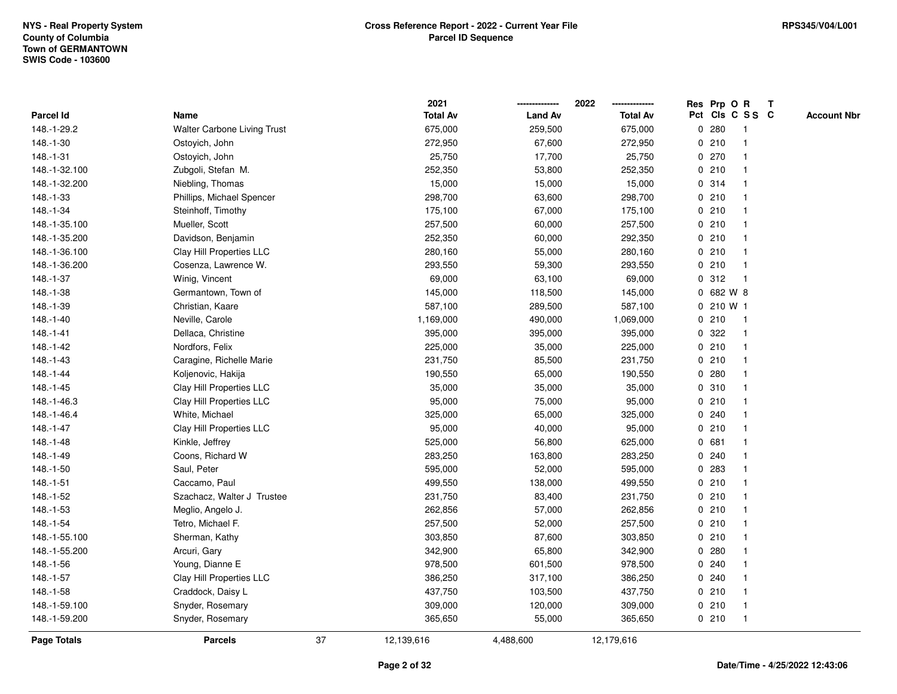|               |                             |    | 2021            |                | 2022            |   | Res Prp O R  |                 | Т |                    |
|---------------|-----------------------------|----|-----------------|----------------|-----------------|---|--------------|-----------------|---|--------------------|
| Parcel Id     | Name                        |    | <b>Total Av</b> | <b>Land Av</b> | <b>Total Av</b> |   |              | Pct Cls C S S C |   | <b>Account Nbr</b> |
| 148.-1-29.2   | Walter Carbone Living Trust |    | 675,000         | 259,500        | 675,000         | 0 | 280          | $\mathbf{1}$    |   |                    |
| 148.-1-30     | Ostoyich, John              |    | 272,950         | 67,600         | 272,950         |   | 0210         | $\mathbf{1}$    |   |                    |
| $148.-1-31$   | Ostoyich, John              |    | 25,750          | 17,700         | 25,750          |   | 0270         | 1               |   |                    |
| 148.-1-32.100 | Zubgoli, Stefan M.          |    | 252,350         | 53,800         | 252,350         |   | 0210         | -1              |   |                    |
| 148.-1-32.200 | Niebling, Thomas            |    | 15,000          | 15,000         | 15,000          |   | 0.314        |                 |   |                    |
| 148.-1-33     | Phillips, Michael Spencer   |    | 298,700         | 63,600         | 298,700         |   | 0210         | -1              |   |                    |
| 148.-1-34     | Steinhoff, Timothy          |    | 175,100         | 67,000         | 175,100         |   | 0210         | $\mathbf 1$     |   |                    |
| 148.-1-35.100 | Mueller, Scott              |    | 257,500         | 60,000         | 257,500         |   | 0210         | $\mathbf{1}$    |   |                    |
| 148.-1-35.200 | Davidson, Benjamin          |    | 252,350         | 60,000         | 292,350         |   | 0210         | 1               |   |                    |
| 148.-1-36.100 | Clay Hill Properties LLC    |    | 280,160         | 55,000         | 280,160         |   | 0210         | $\mathbf 1$     |   |                    |
| 148.-1-36.200 | Cosenza, Lawrence W.        |    | 293,550         | 59,300         | 293,550         |   | 0210         | 1               |   |                    |
| 148.-1-37     | Winig, Vincent              |    | 69,000          | 63,100         | 69,000          |   | 0.312        | $\mathbf 1$     |   |                    |
| 148.-1-38     | Germantown, Town of         |    | 145,000         | 118,500        | 145,000         |   | 0 682 W 8    |                 |   |                    |
| 148.-1-39     | Christian, Kaare            |    | 587,100         | 289,500        | 587,100         |   | $0, 210$ W 1 |                 |   |                    |
| $148.-1-40$   | Neville, Carole             |    | 1,169,000       | 490,000        | 1,069,000       |   | 0210         | $\mathbf{1}$    |   |                    |
| 148.-1-41     | Dellaca, Christine          |    | 395,000         | 395,000        | 395,000         | 0 | 322          | $\mathbf 1$     |   |                    |
| 148.-1-42     | Nordfors, Felix             |    | 225,000         | 35,000         | 225,000         |   | 0210         | $\mathbf 1$     |   |                    |
| 148.-1-43     | Caragine, Richelle Marie    |    | 231,750         | 85,500         | 231,750         |   | 0210         | -1              |   |                    |
| 148.-1-44     | Koljenovic, Hakija          |    | 190,550         | 65,000         | 190,550         |   | 0.280        |                 |   |                    |
| 148.-1-45     | Clay Hill Properties LLC    |    | 35,000          | 35,000         | 35,000          |   | 0.310        | $\mathbf{1}$    |   |                    |
| 148.-1-46.3   | Clay Hill Properties LLC    |    | 95,000          | 75,000         | 95,000          |   | 0210         | $\mathbf{1}$    |   |                    |
| 148.-1-46.4   | White, Michael              |    | 325,000         | 65,000         | 325,000         |   | 0.240        | $\mathbf 1$     |   |                    |
| 148.-1-47     | Clay Hill Properties LLC    |    | 95,000          | 40,000         | 95,000          |   | 0210         | $\mathbf 1$     |   |                    |
| 148.-1-48     | Kinkle, Jeffrey             |    | 525,000         | 56,800         | 625,000         |   | 0 681        | $\mathbf 1$     |   |                    |
| 148.-1-49     | Coons, Richard W            |    | 283,250         | 163,800        | 283,250         |   | 0.240        | -1              |   |                    |
| 148.-1-50     | Saul, Peter                 |    | 595,000         | 52,000         | 595,000         |   | 0 283        |                 |   |                    |
| $148.-1-51$   | Caccamo, Paul               |    | 499,550         | 138,000        | 499,550         |   | 0210         | $\mathbf{1}$    |   |                    |
| 148.-1-52     | Szachacz, Walter J Trustee  |    | 231,750         | 83,400         | 231,750         |   | 0210         | 1               |   |                    |
| 148.-1-53     | Meglio, Angelo J.           |    | 262,856         | 57,000         | 262,856         |   | 0210         | $\mathbf{1}$    |   |                    |
| 148.-1-54     | Tetro, Michael F.           |    | 257,500         | 52,000         | 257,500         |   | 0210         | $\mathbf{1}$    |   |                    |
| 148.-1-55.100 | Sherman, Kathy              |    | 303,850         | 87,600         | 303,850         |   | 0210         | 1               |   |                    |
| 148.-1-55.200 | Arcuri, Gary                |    | 342,900         | 65,800         | 342,900         |   | 0.280        | 1               |   |                    |
| 148.-1-56     | Young, Dianne E             |    | 978,500         | 601,500        | 978,500         |   | 0.240        |                 |   |                    |
| 148.-1-57     | Clay Hill Properties LLC    |    | 386,250         | 317,100        | 386,250         |   | 0.240        | $\mathbf 1$     |   |                    |
| 148.-1-58     | Craddock, Daisy L           |    | 437,750         | 103,500        | 437,750         |   | 0210         | $\mathbf{1}$    |   |                    |
| 148.-1-59.100 | Snyder, Rosemary            |    | 309,000         | 120,000        | 309,000         |   | 0210         | $\mathbf{1}$    |   |                    |
| 148.-1-59.200 | Snyder, Rosemary            |    | 365,650         | 55,000         | 365,650         |   | 0210         | $\mathbf{1}$    |   |                    |
| Page Totals   | <b>Parcels</b>              | 37 | 12,139,616      | 4,488,600      | 12,179,616      |   |              |                 |   |                    |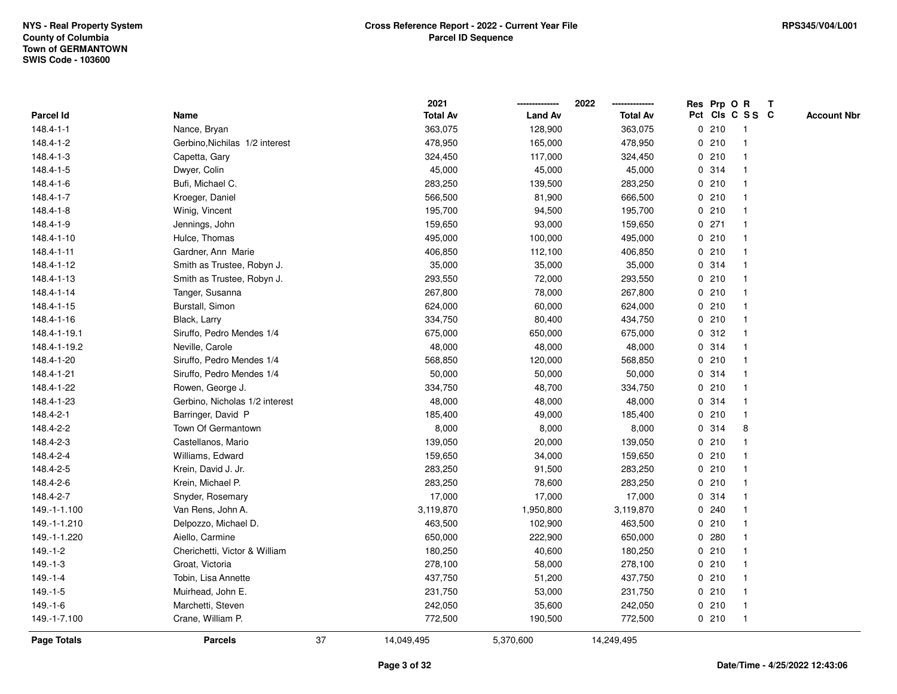|                    |                                |    | 2021            |                | 2022            |             |       | Res Prp O R     | T |                    |
|--------------------|--------------------------------|----|-----------------|----------------|-----------------|-------------|-------|-----------------|---|--------------------|
| Parcel Id          | Name                           |    | <b>Total Av</b> | <b>Land Av</b> | <b>Total Av</b> |             |       | Pct Cls C S S C |   | <b>Account Nbr</b> |
| $148.4 - 1 - 1$    | Nance, Bryan                   |    | 363,075         | 128,900        | 363,075         |             | 0210  | $\mathbf{1}$    |   |                    |
| 148.4-1-2          | Gerbino, Nichilas 1/2 interest |    | 478,950         | 165,000        | 478,950         | 0           | 210   | $\overline{1}$  |   |                    |
| 148.4-1-3          | Capetta, Gary                  |    | 324,450         | 117,000        | 324,450         |             | 0210  | $\mathbf{1}$    |   |                    |
| 148.4-1-5          | Dwyer, Colin                   |    | 45,000          | 45,000         | 45,000          |             | 0 314 |                 |   |                    |
| 148.4-1-6          | Bufi, Michael C.               |    | 283,250         | 139,500        | 283,250         |             | 0210  |                 |   |                    |
| 148.4-1-7          | Kroeger, Daniel                |    | 566,500         | 81,900         | 666,500         |             | 0210  |                 |   |                    |
| 148.4-1-8          | Winig, Vincent                 |    | 195,700         | 94,500         | 195,700         |             | 0210  |                 |   |                    |
| 148.4-1-9          | Jennings, John                 |    | 159,650         | 93,000         | 159,650         | 0           | 271   | -1              |   |                    |
| 148.4-1-10         | Hulce, Thomas                  |    | 495,000         | 100,000        | 495,000         |             | 0210  | -1              |   |                    |
| 148.4-1-11         | Gardner, Ann Marie             |    | 406,850         | 112,100        | 406,850         |             | 0210  | -1              |   |                    |
| 148.4-1-12         | Smith as Trustee, Robyn J.     |    | 35,000          | 35,000         | 35,000          |             | 0.314 |                 |   |                    |
| 148.4-1-13         | Smith as Trustee, Robyn J.     |    | 293,550         | 72,000         | 293,550         |             | 0210  |                 |   |                    |
| 148.4-1-14         | Tanger, Susanna                |    | 267,800         | 78,000         | 267,800         |             | 0210  |                 |   |                    |
| 148.4-1-15         | Burstall, Simon                |    | 624,000         | 60,000         | 624,000         |             | 0210  |                 |   |                    |
| 148.4-1-16         | Black, Larry                   |    | 334,750         | 80,400         | 434,750         | 0           | 210   |                 |   |                    |
| 148.4-1-19.1       | Siruffo, Pedro Mendes 1/4      |    | 675,000         | 650,000        | 675,000         |             | 0.312 | -1              |   |                    |
| 148.4-1-19.2       | Neville, Carole                |    | 48,000          | 48,000         | 48,000          |             | 0 314 | -1              |   |                    |
| 148.4-1-20         | Siruffo, Pedro Mendes 1/4      |    | 568,850         | 120,000        | 568,850         |             | 0210  |                 |   |                    |
| 148.4-1-21         | Siruffo, Pedro Mendes 1/4      |    | 50,000          | 50,000         | 50,000          |             | 0 314 |                 |   |                    |
| 148.4-1-22         | Rowen, George J.               |    | 334,750         | 48,700         | 334,750         |             | 0210  |                 |   |                    |
| 148.4-1-23         | Gerbino, Nicholas 1/2 interest |    | 48,000          | 48,000         | 48,000          |             | 0.314 |                 |   |                    |
| 148.4-2-1          | Barringer, David P             |    | 185,400         | 49,000         | 185,400         | 0           | 210   | $\mathbf{1}$    |   |                    |
| 148.4-2-2          | Town Of Germantown             |    | 8,000           | 8,000          | 8,000           |             | 0.314 | 8               |   |                    |
| 148.4-2-3          | Castellanos, Mario             |    | 139,050         | 20,000         | 139,050         |             | 0210  |                 |   |                    |
| 148.4-2-4          | Williams, Edward               |    | 159,650         | 34,000         | 159,650         |             | 0210  |                 |   |                    |
| 148.4-2-5          | Krein, David J. Jr.            |    | 283,250         | 91,500         | 283,250         |             | 0210  |                 |   |                    |
| 148.4-2-6          | Krein, Michael P.              |    | 283,250         | 78,600         | 283,250         |             | 0210  |                 |   |                    |
| 148.4-2-7          | Snyder, Rosemary               |    | 17,000          | 17,000         | 17,000          |             | 0 314 |                 |   |                    |
| 149.-1-1.100       | Van Rens, John A.              |    | 3,119,870       | 1,950,800      | 3,119,870       | 0           | 240   |                 |   |                    |
| 149.-1-1.210       | Delpozzo, Michael D.           |    | 463,500         | 102,900        | 463,500         |             | 0210  | $\overline{1}$  |   |                    |
| 149.-1-1.220       | Aiello, Carmine                |    | 650,000         | 222,900        | 650,000         | $\mathbf 0$ | 280   |                 |   |                    |
| $149.-1-2$         | Cherichetti, Victor & William  |    | 180,250         | 40,600         | 180,250         |             | 0210  |                 |   |                    |
| $149.-1-3$         | Groat, Victoria                |    | 278,100         | 58,000         | 278,100         |             | 0210  |                 |   |                    |
| $149. - 1 - 4$     | Tobin, Lisa Annette            |    | 437,750         | 51,200         | 437,750         |             | 0210  |                 |   |                    |
| $149.-1-5$         | Muirhead, John E.              |    | 231,750         | 53,000         | 231,750         |             | 0210  |                 |   |                    |
| 149.-1-6           | Marchetti, Steven              |    | 242,050         | 35,600         | 242,050         |             | 0210  | -1              |   |                    |
| 149.-1-7.100       | Crane, William P.              |    | 772,500         | 190,500        | 772,500         |             | 0210  | $\mathbf{1}$    |   |                    |
| <b>Page Totals</b> | <b>Parcels</b>                 | 37 | 14,049,495      | 5,370,600      | 14,249,495      |             |       |                 |   |                    |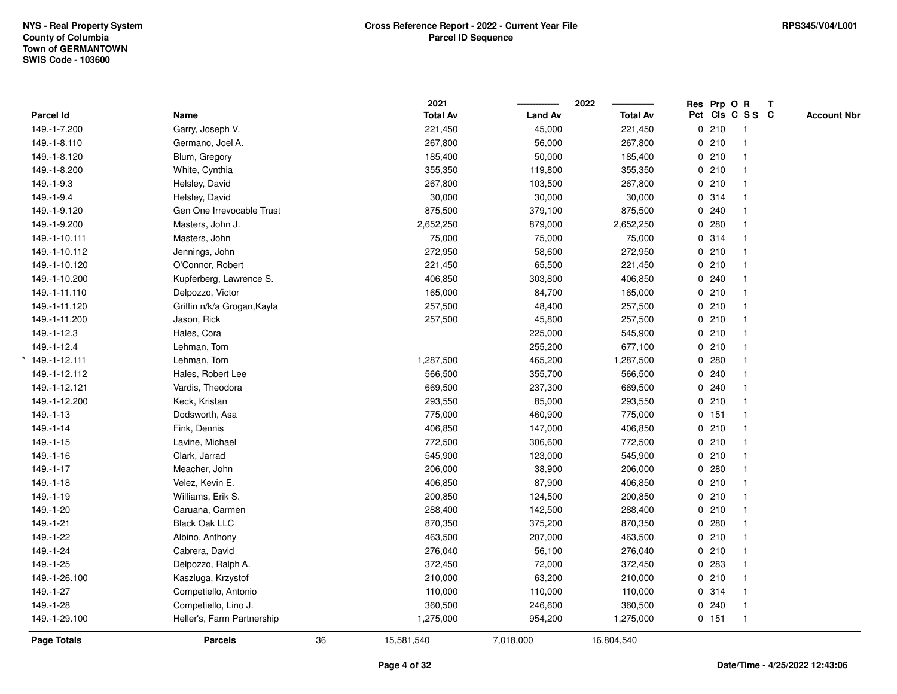|                   |                             |    | 2021            |                | 2022            | Res Prp O R |                 | $\mathbf{T}$ |                    |
|-------------------|-----------------------------|----|-----------------|----------------|-----------------|-------------|-----------------|--------------|--------------------|
| <b>Parcel Id</b>  | Name                        |    | <b>Total Av</b> | <b>Land Av</b> | <b>Total Av</b> |             | Pct Cls C S S C |              | <b>Account Nbr</b> |
| 149.-1-7.200      | Garry, Joseph V.            |    | 221,450         | 45,000         | 221,450         | 0210        |                 |              |                    |
| 149.-1-8.110      | Germano, Joel A.            |    | 267,800         | 56,000         | 267,800         | 0210        |                 |              |                    |
| 149.-1-8.120      | Blum, Gregory               |    | 185,400         | 50,000         | 185,400         | 0210        |                 |              |                    |
| 149.-1-8.200      | White, Cynthia              |    | 355,350         | 119,800        | 355,350         | 0210        |                 |              |                    |
| 149.-1-9.3        | Helsley, David              |    | 267,800         | 103,500        | 267,800         | 0210        |                 |              |                    |
| 149.-1-9.4        | Helsley, David              |    | 30,000          | 30,000         | 30,000          | 0.314       |                 |              |                    |
| 149.-1-9.120      | Gen One Irrevocable Trust   |    | 875,500         | 379,100        | 875,500         | 0.240       |                 |              |                    |
| 149.-1-9.200      | Masters, John J.            |    | 2,652,250       | 879,000        | 2,652,250       | 0.280       |                 |              |                    |
| 149.-1-10.111     | Masters, John               |    | 75,000          | 75,000         | 75,000          | 0.314       |                 |              |                    |
| 149.-1-10.112     | Jennings, John              |    | 272,950         | 58,600         | 272,950         | 0210        |                 |              |                    |
| 149.-1-10.120     | O'Connor, Robert            |    | 221,450         | 65,500         | 221,450         | 0210        |                 |              |                    |
| 149.-1-10.200     | Kupferberg, Lawrence S.     |    | 406,850         | 303,800        | 406,850         | 0.240       |                 |              |                    |
| 149.-1-11.110     | Delpozzo, Victor            |    | 165,000         | 84,700         | 165,000         | 0210        |                 |              |                    |
| 149.-1-11.120     | Griffin n/k/a Grogan, Kayla |    | 257,500         | 48,400         | 257,500         | 0210        |                 |              |                    |
| 149.-1-11.200     | Jason, Rick                 |    | 257,500         | 45,800         | 257,500         | 0210        |                 |              |                    |
| 149.-1-12.3       | Hales, Cora                 |    |                 | 225,000        | 545,900         | 0210        |                 |              |                    |
| 149.-1-12.4       | Lehman, Tom                 |    |                 | 255,200        | 677,100         | 0210        |                 |              |                    |
| $*$ 149.-1-12.111 | Lehman, Tom                 |    | 1,287,500       | 465,200        | 1,287,500       | 0.280       |                 |              |                    |
| 149.-1-12.112     | Hales, Robert Lee           |    | 566,500         | 355,700        | 566,500         | 0.240       |                 |              |                    |
| 149.-1-12.121     | Vardis, Theodora            |    | 669,500         | 237,300        | 669,500         | 0.240       |                 |              |                    |
| 149.-1-12.200     | Keck, Kristan               |    | 293,550         | 85,000         | 293,550         | 0210        |                 |              |                    |
| 149.-1-13         | Dodsworth, Asa              |    | 775,000         | 460,900        | 775,000         | 0 151       |                 |              |                    |
| 149.-1-14         | Fink, Dennis                |    | 406,850         | 147,000        | 406,850         | 0210        |                 |              |                    |
| 149.-1-15         | Lavine, Michael             |    | 772,500         | 306,600        | 772,500         | 0210        |                 |              |                    |
| $149.-1-16$       | Clark, Jarrad               |    | 545,900         | 123,000        | 545,900         | 0210        |                 |              |                    |
| 149.-1-17         | Meacher, John               |    | 206,000         | 38,900         | 206,000         | 0.280       |                 |              |                    |
| $149.-1-18$       | Velez, Kevin E.             |    | 406,850         | 87,900         | 406,850         | 0210        |                 |              |                    |
| 149.-1-19         | Williams, Erik S.           |    | 200,850         | 124,500        | 200,850         | 0210        |                 |              |                    |
| 149.-1-20         | Caruana, Carmen             |    | 288,400         | 142,500        | 288,400         | 0210        |                 |              |                    |
| 149.-1-21         | <b>Black Oak LLC</b>        |    | 870,350         | 375,200        | 870,350         | 0.280       |                 |              |                    |
| 149.-1-22         | Albino, Anthony             |    | 463,500         | 207,000        | 463,500         | 0210        |                 |              |                    |
| 149.-1-24         | Cabrera, David              |    | 276,040         | 56,100         | 276,040         | 0210        |                 |              |                    |
| 149.-1-25         | Delpozzo, Ralph A.          |    | 372,450         | 72,000         | 372,450         | 0 283       |                 |              |                    |
| 149.-1-26.100     | Kaszluga, Krzystof          |    | 210,000         | 63,200         | 210,000         | 0210        |                 |              |                    |
| 149.-1-27         | Competiello, Antonio        |    | 110,000         | 110,000        | 110,000         | 0.314       |                 |              |                    |
| 149.-1-28         | Competiello, Lino J.        |    | 360,500         | 246,600        | 360,500         | 0.240       | $\mathbf{1}$    |              |                    |
| 149.-1-29.100     | Heller's, Farm Partnership  |    | 1,275,000       | 954,200        | 1,275,000       | 0 151       | $\mathbf{1}$    |              |                    |
| Page Totals       | <b>Parcels</b>              | 36 | 15,581,540      | 7,018,000      | 16,804,540      |             |                 |              |                    |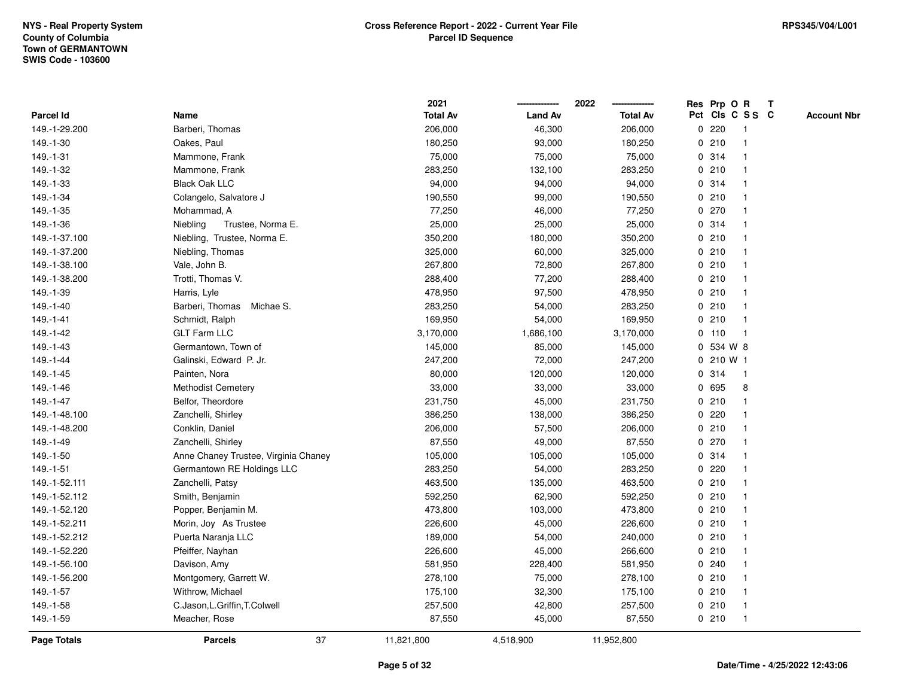|               |                                      | 2021            |                | 2022            | Res Prp O R<br>$\mathbf{T}$           |
|---------------|--------------------------------------|-----------------|----------------|-----------------|---------------------------------------|
| Parcel Id     | Name                                 | <b>Total Av</b> | <b>Land Av</b> | <b>Total Av</b> | Pct Cls C S S C<br><b>Account Nbr</b> |
| 149.-1-29.200 | Barberi, Thomas                      | 206,000         | 46,300         | 206,000         | 0220                                  |
| 149.-1-30     | Oakes, Paul                          | 180,250         | 93,000         | 180,250         | 0210                                  |
| 149.-1-31     | Mammone, Frank                       | 75,000          | 75,000         | 75,000          | 0.314<br>-1                           |
| 149.-1-32     | Mammone, Frank                       | 283,250         | 132,100        | 283,250         | 210<br>0<br>-1                        |
| 149.-1-33     | <b>Black Oak LLC</b>                 | 94,000          | 94,000         | 94,000          | 0.314<br>-1                           |
| 149.-1-34     | Colangelo, Salvatore J               | 190,550         | 99,000         | 190,550         | 0210<br>-1                            |
| 149.-1-35     | Mohammad, A                          | 77,250          | 46,000         | 77,250          | 0270                                  |
| 149.-1-36     | Trustee, Norma E.<br>Niebling        | 25,000          | 25,000         | 25,000          | 0.314                                 |
| 149.-1-37.100 | Niebling, Trustee, Norma E.          | 350,200         | 180,000        | 350,200         | 0210                                  |
| 149.-1-37.200 | Niebling, Thomas                     | 325,000         | 60,000         | 325,000         | 0210                                  |
| 149.-1-38.100 | Vale, John B.                        | 267,800         | 72,800         | 267,800         | 0210<br>-1                            |
| 149.-1-38.200 | Trotti, Thomas V.                    | 288,400         | 77,200         | 288,400         | 0210<br>-1                            |
| 149.-1-39     | Harris, Lyle                         | 478,950         | 97,500         | 478,950         | 0210                                  |
| 149.-1-40     | Barberi, Thomas Michae S.            | 283,250         | 54,000         | 283,250         | 0210                                  |
| 149.-1-41     | Schmidt, Ralph                       | 169,950         | 54,000         | 169,950         | 0210                                  |
| 149.-1-42     | <b>GLT Farm LLC</b>                  | 3,170,000       | 1,686,100      | 3,170,000       | $0$ 110<br>$\mathbf{1}$               |
| 149.-1-43     | Germantown, Town of                  | 145,000         | 85,000         | 145,000         | 534 W 8<br>0                          |
| 149.-1-44     | Galinski, Edward P. Jr.              | 247,200         | 72,000         | 247,200         | 210 W 1<br>$\mathbf{0}$               |
| 149.-1-45     | Painten, Nora                        | 80,000          | 120,000        | 120,000         | 0.314<br>$\mathbf{1}$                 |
| 149.-1-46     | <b>Methodist Cemetery</b>            | 33,000          | 33,000         | 33,000          | 0 695<br>8                            |
| 149.-1-47     | Belfor, Theordore                    | 231,750         | 45,000         | 231,750         | 0210                                  |
| 149.-1-48.100 | Zanchelli, Shirley                   | 386,250         | 138,000        | 386,250         | 0220                                  |
| 149.-1-48.200 | Conklin, Daniel                      | 206,000         | 57,500         | 206,000         | 0210                                  |
| 149.-1-49     | Zanchelli, Shirley                   | 87,550          | 49,000         | 87,550          | 0270<br>$\mathbf{1}$                  |
| 149.-1-50     | Anne Chaney Trustee, Virginia Chaney | 105,000         | 105,000        | 105,000         | 0.314<br>-1                           |
| 149.-1-51     | Germantown RE Holdings LLC           | 283,250         | 54,000         | 283,250         | 0.220<br>-1                           |
| 149.-1-52.111 | Zanchelli, Patsy                     | 463,500         | 135,000        | 463,500         | 0210                                  |
| 149.-1-52.112 | Smith, Benjamin                      | 592,250         | 62,900         | 592,250         | 0210                                  |
| 149.-1-52.120 | Popper, Benjamin M.                  | 473,800         | 103,000        | 473,800         | 0210                                  |
| 149.-1-52.211 | Morin, Joy As Trustee                | 226,600         | 45,000         | 226,600         | 0210<br>-1                            |
| 149.-1-52.212 | Puerta Naranja LLC                   | 189,000         | 54,000         | 240,000         | 0210<br>-1                            |
| 149.-1-52.220 | Pfeiffer, Nayhan                     | 226,600         | 45,000         | 266,600         | 0210<br>$\mathbf 1$                   |
| 149.-1-56.100 | Davison, Amy                         | 581,950         | 228,400        | 581,950         | 0.240                                 |
| 149.-1-56.200 | Montgomery, Garrett W.               | 278,100         | 75,000         | 278,100         | 0210                                  |
| 149.-1-57     | Withrow, Michael                     | 175,100         | 32,300         | 175,100         | 0210                                  |
| 149.-1-58     | C.Jason, L.Griffin, T.Colwell        | 257,500         | 42,800         | 257,500         | 0210<br>$\mathbf 1$                   |
| 149.-1-59     | Meacher, Rose                        | 87,550          | 45,000         | 87,550          | 0210<br>-1                            |
| Page Totals   | 37<br><b>Parcels</b>                 | 11,821,800      | 4,518,900      | 11,952,800      |                                       |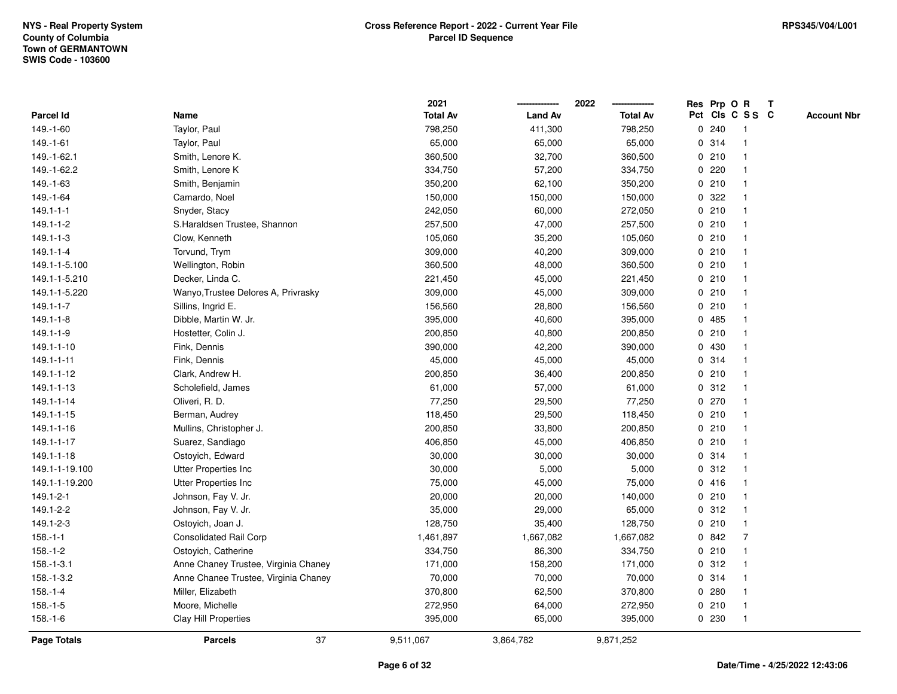|                    |                                      | 2021            |                | 2022            | Res Prp O R  |                 |                |                | $\mathbf{T}$ |                    |
|--------------------|--------------------------------------|-----------------|----------------|-----------------|--------------|-----------------|----------------|----------------|--------------|--------------------|
| Parcel Id          | Name                                 | <b>Total Av</b> | <b>Land Av</b> | <b>Total Av</b> |              | Pct Cls C S S C |                |                |              | <b>Account Nbr</b> |
| 149.-1-60          | Taylor, Paul                         | 798,250         | 411,300        | 798,250         |              | 0.240           |                |                |              |                    |
| 149.-1-61          | Taylor, Paul                         | 65,000          | 65,000         | 65,000          |              | 0.314           |                |                |              |                    |
| 149.-1-62.1        | Smith, Lenore K.                     | 360,500         | 32,700         | 360,500         |              | 0210            |                |                |              |                    |
| 149.-1-62.2        | Smith, Lenore K                      | 334,750         | 57,200         | 334,750         | $\mathbf 0$  | 220             |                |                |              |                    |
| 149.-1-63          | Smith, Benjamin                      | 350,200         | 62,100         | 350,200         | 0            | 210             | $\mathbf{1}$   |                |              |                    |
| 149.-1-64          | Camardo, Noel                        | 150,000         | 150,000        | 150,000         |              | 0 322           | -1             |                |              |                    |
| $149.1 - 1 - 1$    | Snyder, Stacy                        | 242,050         | 60,000         | 272,050         |              | 0210            |                |                |              |                    |
| 149.1-1-2          | S.Haraldsen Trustee, Shannon         | 257,500         | 47,000         | 257,500         |              | 0210            |                |                |              |                    |
| $149.1 - 1 - 3$    | Clow, Kenneth                        | 105,060         | 35,200         | 105,060         |              | 0210            |                |                |              |                    |
| $149.1 - 1 - 4$    | Torvund, Trym                        | 309,000         | 40,200         | 309,000         |              | 0210            |                |                |              |                    |
| 149.1-1-5.100      | Wellington, Robin                    | 360,500         | 48,000         | 360,500         |              | 0210            | 1              |                |              |                    |
| 149.1-1-5.210      | Decker, Linda C.                     | 221,450         | 45,000         | 221,450         |              | 0210            | $\mathbf{1}$   |                |              |                    |
| 149.1-1-5.220      | Wanyo, Trustee Delores A, Privrasky  | 309,000         | 45,000         | 309,000         |              | 0210            |                |                |              |                    |
| $149.1 - 1 - 7$    | Sillins, Ingrid E.                   | 156,560         | 28,800         | 156,560         |              | 0210            |                |                |              |                    |
| $149.1 - 1 - 8$    | Dibble, Martin W. Jr.                | 395,000         | 40,600         | 395,000         |              | 0 485           |                |                |              |                    |
| $149.1 - 1 - 9$    | Hostetter, Colin J.                  | 200,850         | 40,800         | 200,850         |              | 0210            |                |                |              |                    |
| 149.1-1-10         | Fink, Dennis                         | 390,000         | 42,200         | 390,000         | 0            | 430             |                |                |              |                    |
| 149.1-1-11         | Fink, Dennis                         | 45,000          | 45,000         | 45,000          | 0            | 314             | -1             |                |              |                    |
| 149.1-1-12         | Clark, Andrew H.                     | 200,850         | 36,400         | 200,850         |              | 0210            | 1              |                |              |                    |
| 149.1-1-13         | Scholefield, James                   | 61,000          | 57,000         | 61,000          |              | 0.312           |                |                |              |                    |
| 149.1-1-14         | Oliveri, R. D.                       | 77,250          | 29,500         | 77,250          |              | 0270            |                |                |              |                    |
| 149.1-1-15         | Berman, Audrey                       | 118,450         | 29,500         | 118,450         |              | 0210            |                |                |              |                    |
| 149.1-1-16         | Mullins, Christopher J.              | 200,850         | 33,800         | 200,850         |              | 0210            |                |                |              |                    |
| 149.1-1-17         | Suarez, Sandiago                     | 406,850         | 45,000         | 406,850         | $\mathbf{0}$ | 210             | $\mathbf{1}$   |                |              |                    |
| 149.1-1-18         | Ostoyich, Edward                     | 30,000          | 30,000         | 30,000          |              | 0 314           | -1             |                |              |                    |
| 149.1-1-19.100     | Utter Properties Inc                 | 30,000          | 5,000          | 5,000           |              | 0.312           |                |                |              |                    |
| 149.1-1-19.200     | Utter Properties Inc                 | 75,000          | 45,000         | 75,000          |              | 0416            |                |                |              |                    |
| 149.1-2-1          | Johnson, Fay V. Jr.                  | 20,000          | 20,000         | 140,000         |              | 0210            |                |                |              |                    |
| 149.1-2-2          | Johnson, Fay V. Jr.                  | 35,000          | 29,000         | 65,000          |              | 0.312           |                |                |              |                    |
| 149.1-2-3          | Ostoyich, Joan J.                    | 128,750         | 35,400         | 128,750         | 0            | 210             |                |                |              |                    |
| $158.-1-1$         | <b>Consolidated Rail Corp</b>        | 1,461,897       | 1,667,082      | 1,667,082       |              | 0.842           |                | $\overline{7}$ |              |                    |
| $158.-1-2$         | Ostoyich, Catherine                  | 334,750         | 86,300         | 334,750         |              | 0210            | $\overline{1}$ |                |              |                    |
| $158.-1-3.1$       | Anne Chaney Trustee, Virginia Chaney | 171,000         | 158,200        | 171,000         |              | 0.312           |                |                |              |                    |
| $158.-1-3.2$       | Anne Chanee Trustee, Virginia Chaney | 70,000          | 70,000         | 70,000          |              | 0 314           |                |                |              |                    |
| $158.-1-4$         | Miller, Elizabeth                    | 370,800         | 62,500         | 370,800         |              | 0.280           |                |                |              |                    |
| $158.-1-5$         | Moore, Michelle                      | 272,950         | 64,000         | 272,950         |              | 0210            | $\overline{1}$ |                |              |                    |
| $158.-1-6$         | Clay Hill Properties                 | 395,000         | 65,000         | 395,000         |              | 0 230           | $\mathbf{1}$   |                |              |                    |
| <b>Page Totals</b> | 37<br><b>Parcels</b>                 | 9,511,067       | 3,864,782      | 9,871,252       |              |                 |                |                |              |                    |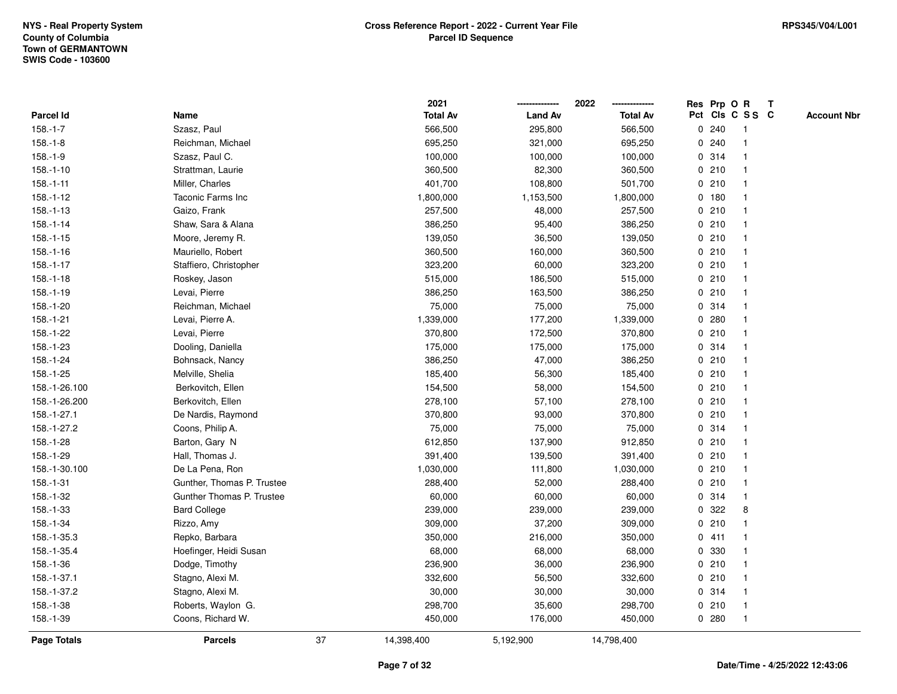|                    |                            |    | 2021            |                | 2022            |       | Res Prp O R     | T |                    |
|--------------------|----------------------------|----|-----------------|----------------|-----------------|-------|-----------------|---|--------------------|
| Parcel Id          | Name                       |    | <b>Total Av</b> | <b>Land Av</b> | <b>Total Av</b> |       | Pct Cls C S S C |   | <b>Account Nbr</b> |
| $158.-1-7$         | Szasz, Paul                |    | 566,500         | 295,800        | 566,500         | 0.240 | -1              |   |                    |
| $158.-1-8$         | Reichman, Michael          |    | 695,250         | 321,000        | 695,250         | 0.240 | $\mathbf{1}$    |   |                    |
| $158.-1-9$         | Szasz, Paul C.             |    | 100,000         | 100,000        | 100,000         | 0.314 | $\mathbf{1}$    |   |                    |
| $158.-1-10$        | Strattman, Laurie          |    | 360,500         | 82,300         | 360,500         | 0210  | $\mathbf{1}$    |   |                    |
| $158.-1-11$        | Miller, Charles            |    | 401,700         | 108,800        | 501,700         | 0210  | $\mathbf{1}$    |   |                    |
| $158.-1-12$        | Taconic Farms Inc          |    | 1,800,000       | 1,153,500      | 1,800,000       | 0 180 | $\mathbf{1}$    |   |                    |
| $158.-1-13$        | Gaizo, Frank               |    | 257,500         | 48,000         | 257,500         | 0210  | $\mathbf{1}$    |   |                    |
| $158.-1-14$        | Shaw, Sara & Alana         |    | 386,250         | 95,400         | 386,250         | 0210  | $\mathbf{1}$    |   |                    |
| $158.-1-15$        | Moore, Jeremy R.           |    | 139,050         | 36,500         | 139,050         | 0210  | $\mathbf{1}$    |   |                    |
| $158.-1-16$        | Mauriello, Robert          |    | 360,500         | 160,000        | 360,500         | 0210  | $\mathbf{1}$    |   |                    |
| $158.-1-17$        | Staffiero, Christopher     |    | 323,200         | 60,000         | 323,200         | 0210  | $\mathbf{1}$    |   |                    |
| $158.-1-18$        | Roskey, Jason              |    | 515,000         | 186,500        | 515,000         | 0210  | $\mathbf{1}$    |   |                    |
| 158.-1-19          | Levai, Pierre              |    | 386,250         | 163,500        | 386,250         | 0210  | 1               |   |                    |
| 158.-1-20          | Reichman, Michael          |    | 75,000          | 75,000         | 75,000          | 0.314 | $\mathbf{1}$    |   |                    |
| $158.-1-21$        | Levai, Pierre A.           |    | 1,339,000       | 177,200        | 1,339,000       | 0.280 | $\mathbf{1}$    |   |                    |
| 158.-1-22          | Levai, Pierre              |    | 370,800         | 172,500        | 370,800         | 0210  | $\mathbf{1}$    |   |                    |
| 158.-1-23          | Dooling, Daniella          |    | 175,000         | 175,000        | 175,000         | 0.314 | $\mathbf{1}$    |   |                    |
| 158.-1-24          | Bohnsack, Nancy            |    | 386,250         | 47,000         | 386,250         | 0210  | 1               |   |                    |
| 158.-1-25          | Melville, Shelia           |    | 185,400         | 56,300         | 185,400         | 0210  | 1               |   |                    |
| 158.-1-26.100      | Berkovitch, Ellen          |    | 154,500         | 58,000         | 154,500         | 0210  | $\mathbf{1}$    |   |                    |
| 158.-1-26.200      | Berkovitch, Ellen          |    | 278,100         | 57,100         | 278,100         | 0210  | $\mathbf{1}$    |   |                    |
| 158.-1-27.1        | De Nardis, Raymond         |    | 370,800         | 93,000         | 370,800         | 0210  | $\mathbf{1}$    |   |                    |
| 158.-1-27.2        | Coons, Philip A.           |    | 75,000          | 75,000         | 75,000          | 0.314 | $\mathbf{1}$    |   |                    |
| 158.-1-28          | Barton, Gary N             |    | 612,850         | 137,900        | 912,850         | 0210  | $\mathbf{1}$    |   |                    |
| 158.-1-29          | Hall, Thomas J.            |    | 391,400         | 139,500        | 391,400         | 0210  | $\mathbf{1}$    |   |                    |
| 158.-1-30.100      | De La Pena, Ron            |    | 1,030,000       | 111,800        | 1,030,000       | 0210  | 1               |   |                    |
| 158.-1-31          | Gunther, Thomas P. Trustee |    | 288,400         | 52,000         | 288,400         | 0210  | 1               |   |                    |
| 158.-1-32          | Gunther Thomas P. Trustee  |    | 60,000          | 60,000         | 60,000          | 0.314 | $\mathbf{1}$    |   |                    |
| 158.-1-33          | <b>Bard College</b>        |    | 239,000         | 239,000        | 239,000         | 0.322 | 8               |   |                    |
| 158.-1-34          | Rizzo, Amy                 |    | 309,000         | 37,200         | 309,000         | 0210  | $\mathbf{1}$    |   |                    |
| 158.-1-35.3        | Repko, Barbara             |    | 350,000         | 216,000        | 350,000         | 0411  | $\mathbf{1}$    |   |                    |
| 158.-1-35.4        | Hoefinger, Heidi Susan     |    | 68,000          | 68,000         | 68,000          | 0 330 | $\mathbf{1}$    |   |                    |
| 158.-1-36          | Dodge, Timothy             |    | 236,900         | 36,000         | 236,900         | 0210  | $\mathbf{1}$    |   |                    |
| 158.-1-37.1        | Stagno, Alexi M.           |    | 332,600         | 56,500         | 332,600         | 0210  | $\mathbf{1}$    |   |                    |
| 158.-1-37.2        | Stagno, Alexi M.           |    | 30,000          | 30,000         | 30,000          | 0.314 | $\mathbf{1}$    |   |                    |
| 158.-1-38          | Roberts, Waylon G.         |    | 298,700         | 35,600         | 298,700         | 0210  | $\mathbf{1}$    |   |                    |
| 158.-1-39          | Coons, Richard W.          |    | 450,000         | 176,000        | 450,000         | 0.280 | $\mathbf{1}$    |   |                    |
| <b>Page Totals</b> | <b>Parcels</b>             | 37 | 14,398,400      | 5,192,900      | 14,798,400      |       |                 |   |                    |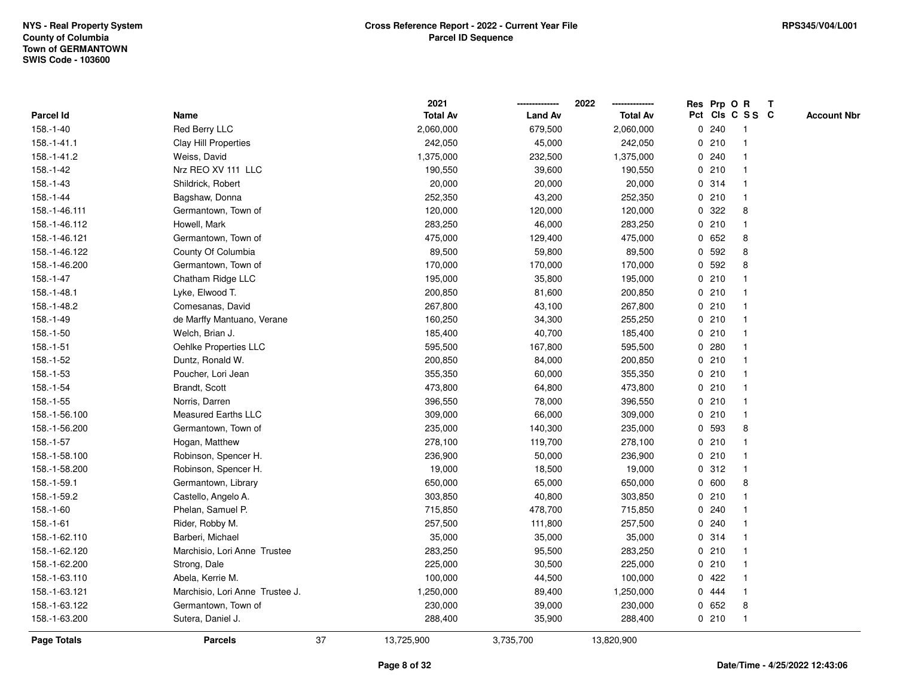|               |                                 |    | 2021            |                | 2022            |                |       | Res Prp O R             | T |                    |
|---------------|---------------------------------|----|-----------------|----------------|-----------------|----------------|-------|-------------------------|---|--------------------|
| Parcel Id     | Name                            |    | <b>Total Av</b> | <b>Land Av</b> | <b>Total Av</b> |                |       | Pct Cls C S S C         |   | <b>Account Nbr</b> |
| $158.-1-40$   | Red Berry LLC                   |    | 2,060,000       | 679,500        | 2,060,000       | 0              | 240   | -1                      |   |                    |
| 158.-1-41.1   | Clay Hill Properties            |    | 242,050         | 45,000         | 242,050         | 0              | 210   | -1                      |   |                    |
| 158.-1-41.2   | Weiss, David                    |    | 1,375,000       | 232,500        | 1,375,000       |                | 0.240 | -1                      |   |                    |
| 158.-1-42     | Nrz REO XV 111 LLC              |    | 190,550         | 39,600         | 190,550         |                | 0210  |                         |   |                    |
| 158.-1-43     | Shildrick, Robert               |    | 20,000          | 20,000         | 20,000          |                | 0.314 |                         |   |                    |
| 158.-1-44     | Bagshaw, Donna                  |    | 252,350         | 43,200         | 252,350         |                | 0210  |                         |   |                    |
| 158.-1-46.111 | Germantown, Town of             |    | 120,000         | 120,000        | 120,000         |                | 0.322 | 8                       |   |                    |
| 158.-1-46.112 | Howell, Mark                    |    | 283,250         | 46,000         | 283,250         | 0              | 210   | $\mathbf{1}$            |   |                    |
| 158.-1-46.121 | Germantown, Town of             |    | 475,000         | 129,400        | 475,000         |                | 0 652 | 8                       |   |                    |
| 158.-1-46.122 | County Of Columbia              |    | 89,500          | 59,800         | 89,500          | $\overline{0}$ | 592   | 8                       |   |                    |
| 158.-1-46.200 | Germantown, Town of             |    | 170,000         | 170,000        | 170,000         |                | 0 592 | 8                       |   |                    |
| 158.-1-47     | Chatham Ridge LLC               |    | 195,000         | 35,800         | 195,000         |                | 0210  |                         |   |                    |
| 158.-1-48.1   | Lyke, Elwood T.                 |    | 200,850         | 81,600         | 200,850         |                | 0210  |                         |   |                    |
| 158.-1-48.2   | Comesanas, David                |    | 267,800         | 43,100         | 267,800         |                | 0210  |                         |   |                    |
| 158.-1-49     | de Marffy Mantuano, Verane      |    | 160,250         | 34,300         | 255,250         | $\mathbf 0$    | 210   |                         |   |                    |
| 158.-1-50     | Welch, Brian J.                 |    | 185,400         | 40,700         | 185,400         | $\mathbf 0$    | 210   | $\overline{\mathbf{1}}$ |   |                    |
| $158.-1-51$   | Oehlke Properties LLC           |    | 595,500         | 167,800        | 595,500         | $\mathbf 0$    | 280   |                         |   |                    |
| 158.-1-52     | Duntz, Ronald W.                |    | 200,850         | 84,000         | 200,850         |                | 0210  |                         |   |                    |
| 158.-1-53     | Poucher, Lori Jean              |    | 355,350         | 60,000         | 355,350         |                | 0210  |                         |   |                    |
| 158.-1-54     | Brandt, Scott                   |    | 473,800         | 64,800         | 473,800         |                | 0210  |                         |   |                    |
| 158.-1-55     | Norris, Darren                  |    | 396,550         | 78,000         | 396,550         |                | 0210  |                         |   |                    |
| 158.-1-56.100 | Measured Earths LLC             |    | 309,000         | 66,000         | 309,000         |                | 0210  |                         |   |                    |
| 158.-1-56.200 | Germantown, Town of             |    | 235,000         | 140,300        | 235,000         | 0              | 593   | 8                       |   |                    |
| 158.-1-57     | Hogan, Matthew                  |    | 278,100         | 119,700        | 278,100         | $\mathbf 0$    | 210   |                         |   |                    |
| 158.-1-58.100 | Robinson, Spencer H.            |    | 236,900         | 50,000         | 236,900         |                | 0210  |                         |   |                    |
| 158.-1-58.200 | Robinson, Spencer H.            |    | 19,000          | 18,500         | 19,000          |                | 0.312 |                         |   |                    |
| 158.-1-59.1   | Germantown, Library             |    | 650,000         | 65,000         | 650,000         |                | 0 600 | 8                       |   |                    |
| 158.-1-59.2   | Castello, Angelo A.             |    | 303,850         | 40,800         | 303,850         |                | 0210  |                         |   |                    |
| 158.-1-60     | Phelan, Samuel P.               |    | 715,850         | 478,700        | 715,850         |                | 0.240 |                         |   |                    |
| $158.-1-61$   | Rider, Robby M.                 |    | 257,500         | 111,800        | 257,500         | 0              | 240   |                         |   |                    |
| 158.-1-62.110 | Barberi, Michael                |    | 35,000          | 35,000         | 35,000          |                | 0.314 | -1                      |   |                    |
| 158.-1-62.120 | Marchisio, Lori Anne Trustee    |    | 283,250         | 95,500         | 283,250         |                | 0210  | -1                      |   |                    |
| 158.-1-62.200 | Strong, Dale                    |    | 225,000         | 30,500         | 225,000         |                | 0210  |                         |   |                    |
| 158.-1-63.110 | Abela, Kerrie M.                |    | 100,000         | 44,500         | 100,000         |                | 0422  |                         |   |                    |
| 158.-1-63.121 | Marchisio, Lori Anne Trustee J. |    | 1,250,000       | 89,400         | 1,250,000       |                | 0 444 |                         |   |                    |
| 158.-1-63.122 | Germantown, Town of             |    | 230,000         | 39,000         | 230,000         |                | 0 652 | 8                       |   |                    |
| 158.-1-63.200 | Sutera, Daniel J.               |    | 288,400         | 35,900         | 288,400         |                | 0210  | $\mathbf{1}$            |   |                    |
| Page Totals   | <b>Parcels</b>                  | 37 | 13,725,900      | 3,735,700      | 13,820,900      |                |       |                         |   |                    |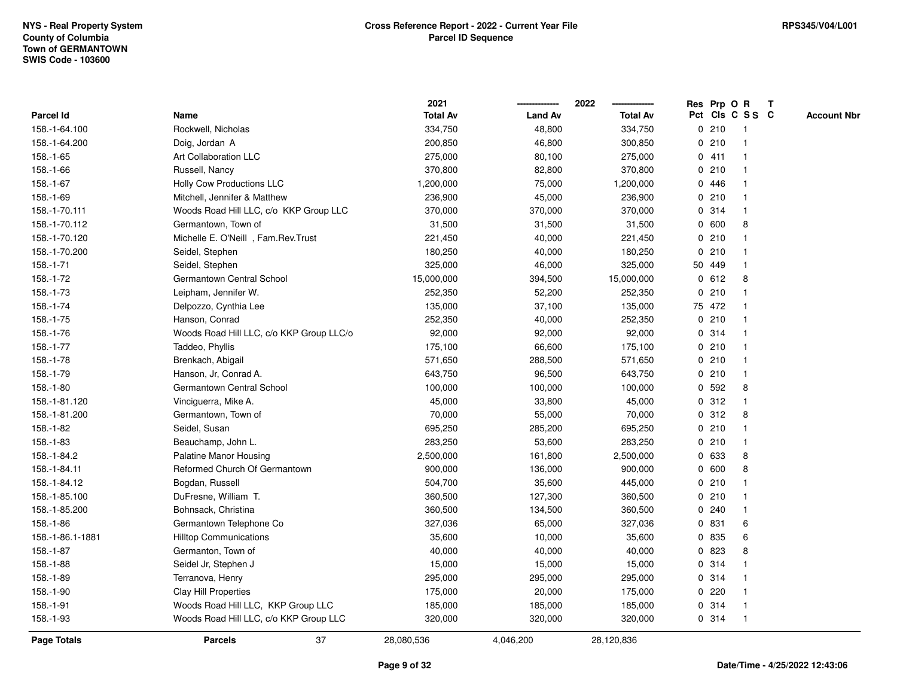|                    |                                          | 2021            |                | 2022            |              |        | Res Prp O R     | T |                    |
|--------------------|------------------------------------------|-----------------|----------------|-----------------|--------------|--------|-----------------|---|--------------------|
| <b>Parcel Id</b>   | Name                                     | <b>Total Av</b> | <b>Land Av</b> | <b>Total Av</b> |              |        | Pct Cls C S S C |   | <b>Account Nbr</b> |
| 158.-1-64.100      | Rockwell, Nicholas                       | 334,750         | 48,800         | 334,750         |              | 0210   | -1              |   |                    |
| 158.-1-64.200      | Doig, Jordan A                           | 200,850         | 46,800         | 300,850         | $\mathbf{0}$ | 210    | -1              |   |                    |
| 158.-1-65          | Art Collaboration LLC                    | 275,000         | 80,100         | 275,000         |              | 0411   | 1               |   |                    |
| 158.-1-66          | Russell, Nancy                           | 370,800         | 82,800         | 370,800         |              | 0210   |                 |   |                    |
| 158.-1-67          | <b>Holly Cow Productions LLC</b>         | 1,200,000       | 75,000         | 1,200,000       |              | 0 446  |                 |   |                    |
| 158.-1-69          | Mitchell, Jennifer & Matthew             | 236,900         | 45,000         | 236,900         |              | 0210   |                 |   |                    |
| 158.-1-70.111      | Woods Road Hill LLC, c/o KKP Group LLC   | 370,000         | 370,000        | 370,000         |              | 0.314  |                 |   |                    |
| 158.-1-70.112      | Germantown, Town of                      | 31,500          | 31,500         | 31,500          | $\mathbf 0$  | 600    | 8               |   |                    |
| 158.-1-70.120      | Michelle E. O'Neill, Fam.Rev.Trust       | 221,450         | 40,000         | 221,450         | $\mathbf{0}$ | 210    |                 |   |                    |
| 158.-1-70.200      | Seidel, Stephen                          | 180,250         | 40,000         | 180,250         |              | 0210   | -1              |   |                    |
| 158.-1-71          | Seidel, Stephen                          | 325,000         | 46,000         | 325,000         |              | 50 449 |                 |   |                    |
| 158.-1-72          | Germantown Central School                | 15,000,000      | 394,500        | 15,000,000      |              | 0 612  | 8               |   |                    |
| 158.-1-73          | Leipham, Jennifer W.                     | 252,350         | 52,200         | 252,350         | $\mathbf{0}$ | 210    |                 |   |                    |
| 158.-1-74          | Delpozzo, Cynthia Lee                    | 135,000         | 37,100         | 135,000         |              | 75 472 |                 |   |                    |
| 158.-1-75          | Hanson, Conrad                           | 252,350         | 40,000         | 252,350         | 0            | 210    |                 |   |                    |
| 158.-1-76          | Woods Road Hill LLC, c/o KKP Group LLC/o | 92,000          | 92,000         | 92,000          |              | 0.314  | $\mathbf{1}$    |   |                    |
| 158.-1-77          | Taddeo, Phyllis                          | 175,100         | 66,600         | 175,100         |              | 0210   | $\mathbf{1}$    |   |                    |
| 158.-1-78          | Brenkach, Abigail                        | 571,650         | 288,500        | 571,650         |              | 0210   |                 |   |                    |
| 158.-1-79          | Hanson, Jr, Conrad A.                    | 643,750         | 96,500         | 643,750         |              | 0210   |                 |   |                    |
| 158.-1-80          | Germantown Central School                | 100,000         | 100,000        | 100,000         |              | 0 592  | 8               |   |                    |
| 158.-1-81.120      | Vinciguerra, Mike A.                     | 45,000          | 33,800         | 45,000          |              | 0.312  |                 |   |                    |
| 158.-1-81.200      | Germantown, Town of                      | 70,000          | 55,000         | 70,000          | 0            | 312    | 8               |   |                    |
| 158.-1-82          | Seidel, Susan                            | 695,250         | 285,200        | 695,250         |              | 0210   | -1              |   |                    |
| 158.-1-83          | Beauchamp, John L.                       | 283,250         | 53,600         | 283,250         | $\mathbf{0}$ | 210    | $\mathbf{1}$    |   |                    |
| 158.-1-84.2        | Palatine Manor Housing                   | 2,500,000       | 161,800        | 2,500,000       |              | 0 633  | 8               |   |                    |
| 158.-1-84.11       | Reformed Church Of Germantown            | 900,000         | 136,000        | 900,000         |              | 0 600  | 8               |   |                    |
| 158.-1-84.12       | Bogdan, Russell                          | 504,700         | 35,600         | 445,000         |              | 0210   |                 |   |                    |
| 158.-1-85.100      | DuFresne, William T.                     | 360,500         | 127,300        | 360,500         |              | 0210   |                 |   |                    |
| 158.-1-85.200      | Bohnsack, Christina                      | 360,500         | 134,500        | 360,500         | $\mathbf{0}$ | 240    |                 |   |                    |
| $158.-1-86$        | Germantown Telephone Co                  | 327,036         | 65,000         | 327,036         | $\mathbf 0$  | 831    | 6               |   |                    |
| 158.-1-86.1-1881   | <b>Hilltop Communications</b>            | 35,600          | 10,000         | 35,600          | $\mathbf{0}$ | 835    | 6               |   |                    |
| 158.-1-87          | Germanton, Town of                       | 40,000          | 40,000         | 40,000          |              | 0 823  | 8               |   |                    |
| 158.-1-88          | Seidel Jr, Stephen J                     | 15,000          | 15,000         | 15,000          |              | 0.314  |                 |   |                    |
| 158.-1-89          | Terranova, Henry                         | 295,000         | 295,000        | 295,000         |              | 0.314  |                 |   |                    |
| 158.-1-90          | Clay Hill Properties                     | 175,000         | 20,000         | 175,000         |              | 0.220  |                 |   |                    |
| 158.-1-91          | Woods Road Hill LLC, KKP Group LLC       | 185,000         | 185,000        | 185,000         | $\mathbf{0}$ | 314    |                 |   |                    |
| 158.-1-93          | Woods Road Hill LLC, c/o KKP Group LLC   | 320,000         | 320,000        | 320,000         |              | 0.314  | $\mathbf{1}$    |   |                    |
| <b>Page Totals</b> | 37<br><b>Parcels</b>                     | 28,080,536      | 4,046,200      | 28,120,836      |              |        |                 |   |                    |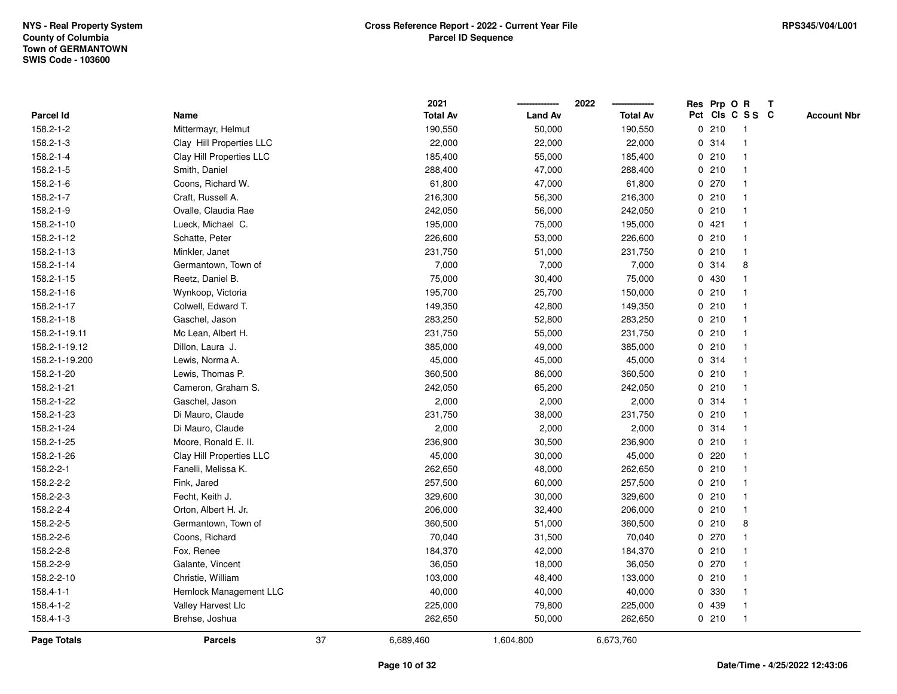|                    |                          |    | 2021            |                | 2022<br>--------------- |   | Res Prp O R |                         | T |                    |
|--------------------|--------------------------|----|-----------------|----------------|-------------------------|---|-------------|-------------------------|---|--------------------|
| Parcel Id          | Name                     |    | <b>Total Av</b> | <b>Land Av</b> | <b>Total Av</b>         |   |             | Pct Cls C S S C         |   | <b>Account Nbr</b> |
| 158.2-1-2          | Mittermayr, Helmut       |    | 190,550         | 50,000         | 190,550                 |   | 0210        | $\overline{\mathbf{1}}$ |   |                    |
| 158.2-1-3          | Clay Hill Properties LLC |    | 22,000          | 22,000         | 22,000                  |   | 0.314       | $\overline{1}$          |   |                    |
| 158.2-1-4          | Clay Hill Properties LLC |    | 185,400         | 55,000         | 185,400                 |   | 0210        | 1                       |   |                    |
| 158.2-1-5          | Smith, Daniel            |    | 288,400         | 47,000         | 288,400                 |   | 0210        |                         |   |                    |
| 158.2-1-6          | Coons, Richard W.        |    | 61,800          | 47,000         | 61,800                  |   | 0270        |                         |   |                    |
| 158.2-1-7          | Craft, Russell A.        |    | 216,300         | 56,300         | 216,300                 |   | 0210        |                         |   |                    |
| 158.2-1-9          | Ovalle, Claudia Rae      |    | 242,050         | 56,000         | 242,050                 |   | 0210        | -1                      |   |                    |
| 158.2-1-10         | Lueck, Michael C.        |    | 195,000         | 75,000         | 195,000                 |   | 0421        | $\overline{1}$          |   |                    |
| 158.2-1-12         | Schatte, Peter           |    | 226,600         | 53,000         | 226,600                 |   | 0210        | $\overline{1}$          |   |                    |
| 158.2-1-13         | Minkler, Janet           |    | 231,750         | 51,000         | 231,750                 |   | 0210        | $\mathbf{1}$            |   |                    |
| 158.2-1-14         | Germantown, Town of      |    | 7,000           | 7,000          | 7,000                   |   | 0.314       | 8                       |   |                    |
| 158.2-1-15         | Reetz, Daniel B.         |    | 75,000          | 30,400         | 75,000                  |   | 0 430       |                         |   |                    |
| 158.2-1-16         | Wynkoop, Victoria        |    | 195,700         | 25,700         | 150,000                 |   | 0210        |                         |   |                    |
| 158.2-1-17         | Colwell, Edward T.       |    | 149,350         | 42,800         | 149,350                 |   | 0210        |                         |   |                    |
| 158.2-1-18         | Gaschel, Jason           |    | 283,250         | 52,800         | 283,250                 | 0 | 210         | -1                      |   |                    |
| 158.2-1-19.11      | Mc Lean, Albert H.       |    | 231,750         | 55,000         | 231,750                 |   | 0210        | $\overline{\mathbf{1}}$ |   |                    |
| 158.2-1-19.12      | Dillon, Laura J.         |    | 385,000         | 49,000         | 385,000                 |   | 0210        | $\mathbf{1}$            |   |                    |
| 158.2-1-19.200     | Lewis, Norma A.          |    | 45,000          | 45,000         | 45,000                  |   | 0.314       |                         |   |                    |
| 158.2-1-20         | Lewis, Thomas P.         |    | 360,500         | 86,000         | 360,500                 |   | 0210        |                         |   |                    |
| 158.2-1-21         | Cameron, Graham S.       |    | 242,050         | 65,200         | 242,050                 |   | 0210        |                         |   |                    |
| 158.2-1-22         | Gaschel, Jason           |    | 2,000           | 2,000          | 2,000                   |   | 0.314       | -1                      |   |                    |
| 158.2-1-23         | Di Mauro, Claude         |    | 231,750         | 38,000         | 231,750                 | 0 | 210         | $\overline{1}$          |   |                    |
| 158.2-1-24         | Di Mauro, Claude         |    | 2,000           | 2,000          | 2,000                   |   | 0.314       | $\overline{1}$          |   |                    |
| 158.2-1-25         | Moore, Ronald E. II.     |    | 236,900         | 30,500         | 236,900                 |   | 0210        | $\mathbf{1}$            |   |                    |
| 158.2-1-26         | Clay Hill Properties LLC |    | 45,000          | 30,000         | 45,000                  |   | $0$ 220     |                         |   |                    |
| 158.2-2-1          | Fanelli, Melissa K.      |    | 262,650         | 48,000         | 262,650                 |   | 0210        |                         |   |                    |
| 158.2-2-2          | Fink, Jared              |    | 257,500         | 60,000         | 257,500                 |   | 0210        |                         |   |                    |
| 158.2-2-3          | Fecht, Keith J.          |    | 329,600         | 30,000         | 329,600                 |   | 0210        | -1                      |   |                    |
| 158.2-2-4          | Orton, Albert H. Jr.     |    | 206,000         | 32,400         | 206,000                 | 0 | 210         | -1                      |   |                    |
| 158.2-2-5          | Germantown, Town of      |    | 360,500         | 51,000         | 360,500                 |   | 0210        | 8                       |   |                    |
| 158.2-2-6          | Coons, Richard           |    | 70,040          | 31,500         | 70,040                  |   | 0270        | $\mathbf{1}$            |   |                    |
| 158.2-2-8          | Fox, Renee               |    | 184,370         | 42,000         | 184,370                 |   | 0210        |                         |   |                    |
| 158.2-2-9          | Galante, Vincent         |    | 36,050          | 18,000         | 36,050                  |   | 0270        |                         |   |                    |
| 158.2-2-10         | Christie, William        |    | 103,000         | 48,400         | 133,000                 |   | 0210        |                         |   |                    |
| 158.4-1-1          | Hemlock Management LLC   |    | 40,000          | 40,000         | 40,000                  |   | 0 330       | $\overline{1}$          |   |                    |
| 158.4-1-2          | Valley Harvest Llc       |    | 225,000         | 79,800         | 225,000                 | 0 | 439         | $\overline{1}$          |   |                    |
| 158.4-1-3          | Brehse, Joshua           |    | 262,650         | 50,000         | 262,650                 |   | 0210        | $\overline{1}$          |   |                    |
| <b>Page Totals</b> | <b>Parcels</b>           | 37 | 6,689,460       | 1,604,800      | 6,673,760               |   |             |                         |   |                    |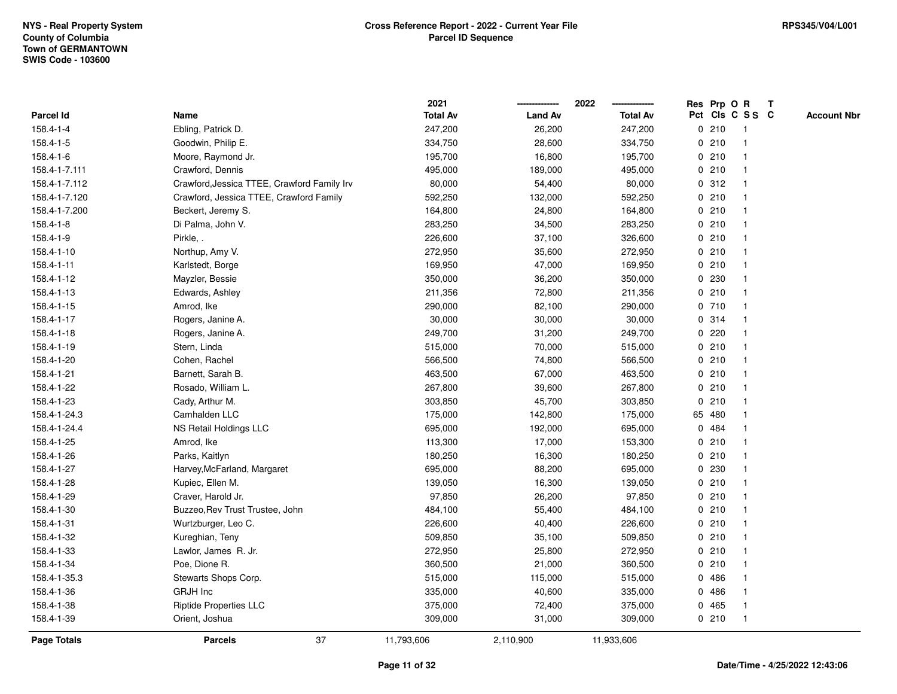|                    |                                             | 2021            |                | 2022            |             |        | Res Prp O R     | Т |                    |
|--------------------|---------------------------------------------|-----------------|----------------|-----------------|-------------|--------|-----------------|---|--------------------|
| Parcel Id          | Name                                        | <b>Total Av</b> | <b>Land Av</b> | <b>Total Av</b> |             |        | Pct Cls C S S C |   | <b>Account Nbr</b> |
| 158.4-1-4          | Ebling, Patrick D.                          | 247,200         | 26,200         | 247,200         |             | 0210   | $\mathbf{1}$    |   |                    |
| 158.4-1-5          | Goodwin, Philip E.                          | 334,750         | 28,600         | 334,750         | 0           | 210    | $\mathbf{1}$    |   |                    |
| 158.4-1-6          | Moore, Raymond Jr.                          | 195,700         | 16,800         | 195,700         |             | 0210   | $\mathbf{1}$    |   |                    |
| 158.4-1-7.111      | Crawford, Dennis                            | 495,000         | 189,000        | 495,000         |             | 0210   | $\mathbf{1}$    |   |                    |
| 158.4-1-7.112      | Crawford, Jessica TTEE, Crawford Family Irv | 80,000          | 54,400         | 80,000          |             | 0.312  |                 |   |                    |
| 158.4-1-7.120      | Crawford, Jessica TTEE, Crawford Family     | 592,250         | 132,000        | 592,250         |             | 0210   |                 |   |                    |
| 158.4-1-7.200      | Beckert, Jeremy S.                          | 164,800         | 24,800         | 164,800         |             | 0210   | $\mathbf{1}$    |   |                    |
| 158.4-1-8          | Di Palma, John V.                           | 283,250         | 34,500         | 283,250         |             | 0210   | $\mathbf{1}$    |   |                    |
| 158.4-1-9          | Pirkle, .                                   | 226,600         | 37,100         | 326,600         |             | 0210   | $\mathbf{1}$    |   |                    |
| 158.4-1-10         | Northup, Amy V.                             | 272,950         | 35,600         | 272,950         |             | 0210   | $\mathbf{1}$    |   |                    |
| 158.4-1-11         | Karlstedt, Borge                            | 169,950         | 47,000         | 169,950         |             | 0210   | 1               |   |                    |
| 158.4-1-12         | Mayzler, Bessie                             | 350,000         | 36,200         | 350,000         |             | 0 230  |                 |   |                    |
| 158.4-1-13         | Edwards, Ashley                             | 211,356         | 72,800         | 211,356         |             | 0210   |                 |   |                    |
| 158.4-1-15         | Amrod, Ike                                  | 290,000         | 82,100         | 290,000         |             | 0710   | $\mathbf{1}$    |   |                    |
| 158.4-1-17         | Rogers, Janine A.                           | 30,000          | 30,000         | 30,000          |             | 0.314  | $\mathbf{1}$    |   |                    |
| 158.4-1-18         | Rogers, Janine A.                           | 249,700         | 31,200         | 249,700         | 0           | 220    | $\mathbf{1}$    |   |                    |
| 158.4-1-19         | Stern, Linda                                | 515,000         | 70,000         | 515,000         |             | 0210   | $\mathbf{1}$    |   |                    |
| 158.4-1-20         | Cohen, Rachel                               | 566,500         | 74,800         | 566,500         |             | 0210   | $\mathbf 1$     |   |                    |
| 158.4-1-21         | Barnett, Sarah B.                           | 463,500         | 67,000         | 463,500         |             | 0210   |                 |   |                    |
| 158.4-1-22         | Rosado, William L.                          | 267,800         | 39,600         | 267,800         |             | 0210   |                 |   |                    |
| 158.4-1-23         | Cady, Arthur M.                             | 303,850         | 45,700         | 303,850         |             | 0210   |                 |   |                    |
| 158.4-1-24.3       | Camhalden LLC                               | 175,000         | 142,800        | 175,000         |             | 65 480 | -1              |   |                    |
| 158.4-1-24.4       | NS Retail Holdings LLC                      | 695,000         | 192,000        | 695,000         | 0           | 484    | -1              |   |                    |
| 158.4-1-25         | Amrod, Ike                                  | 113,300         | 17,000         | 153,300         | $\mathbf 0$ | 210    | $\mathbf{1}$    |   |                    |
| 158.4-1-26         | Parks, Kaitlyn                              | 180,250         | 16,300         | 180,250         |             | 0210   | 1               |   |                    |
| 158.4-1-27         | Harvey, McFarland, Margaret                 | 695,000         | 88,200         | 695,000         |             | 0 230  |                 |   |                    |
| 158.4-1-28         | Kupiec, Ellen M.                            | 139,050         | 16,300         | 139,050         |             | 0210   |                 |   |                    |
| 158.4-1-29         | Craver, Harold Jr.                          | 97,850          | 26,200         | 97,850          |             | 0210   |                 |   |                    |
| 158.4-1-30         | Buzzeo, Rev Trust Trustee, John             | 484,100         | 55,400         | 484,100         |             | 0210   | $\mathbf{1}$    |   |                    |
| 158.4-1-31         | Wurtzburger, Leo C.                         | 226,600         | 40,400         | 226,600         |             | 0210   | -1              |   |                    |
| 158.4-1-32         | Kureghian, Teny                             | 509,850         | 35,100         | 509,850         |             | 0210   | $\mathbf{1}$    |   |                    |
| 158.4-1-33         | Lawlor, James R. Jr.                        | 272,950         | 25,800         | 272,950         |             | 0210   | $\mathbf{1}$    |   |                    |
| 158.4-1-34         | Poe, Dione R.                               | 360,500         | 21,000         | 360,500         |             | 0210   | $\mathbf 1$     |   |                    |
| 158.4-1-35.3       | Stewarts Shops Corp.                        | 515,000         | 115,000        | 515,000         |             | 0 486  |                 |   |                    |
| 158.4-1-36         | GRJH Inc                                    | 335,000         | 40,600         | 335,000         |             | 0 486  |                 |   |                    |
| 158.4-1-38         | <b>Riptide Properties LLC</b>               | 375,000         | 72,400         | 375,000         | 0           | 465    | $\mathbf{1}$    |   |                    |
| 158.4-1-39         | Orient, Joshua                              | 309,000         | 31,000         | 309,000         |             | 0210   | $\mathbf{1}$    |   |                    |
| <b>Page Totals</b> | 37<br><b>Parcels</b>                        | 11,793,606      | 2,110,900      | 11,933,606      |             |        |                 |   |                    |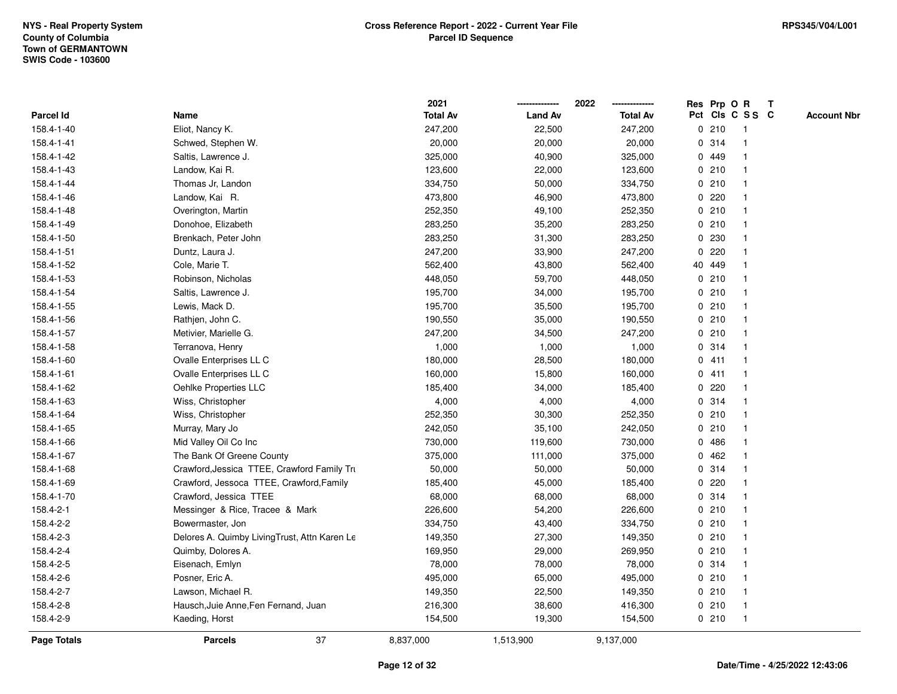|                    |                                              | 2021            |                | 2022            |             |         | Res Prp O R             | $\mathbf{T}$ |                    |
|--------------------|----------------------------------------------|-----------------|----------------|-----------------|-------------|---------|-------------------------|--------------|--------------------|
| Parcel Id          | Name                                         | <b>Total Av</b> | <b>Land Av</b> | <b>Total Av</b> |             |         | Pct Cls C S S C         |              | <b>Account Nbr</b> |
| 158.4-1-40         | Eliot, Nancy K.                              | 247,200         | 22,500         | 247,200         |             | 0210    |                         |              |                    |
| 158.4-1-41         | Schwed, Stephen W.                           | 20,000          | 20,000         | 20,000          |             | 0.314   |                         |              |                    |
| 158.4-1-42         | Saltis, Lawrence J.                          | 325,000         | 40,900         | 325,000         |             | 0 449   | -1                      |              |                    |
| 158.4-1-43         | Landow, Kai R.                               | 123,600         | 22,000         | 123,600         |             | 0210    | $\mathbf{1}$            |              |                    |
| 158.4-1-44         | Thomas Jr, Landon                            | 334,750         | 50,000         | 334,750         |             | 0210    | $\mathbf{1}$            |              |                    |
| 158.4-1-46         | Landow, Kai R.                               | 473,800         | 46,900         | 473,800         |             | 0220    | -1                      |              |                    |
| 158.4-1-48         | Overington, Martin                           | 252,350         | 49,100         | 252,350         |             | 0210    |                         |              |                    |
| 158.4-1-49         | Donohoe, Elizabeth                           | 283,250         | 35,200         | 283,250         |             | 0210    |                         |              |                    |
| 158.4-1-50         | Brenkach, Peter John                         | 283,250         | 31,300         | 283,250         |             | 0 230   |                         |              |                    |
| 158.4-1-51         | Duntz, Laura J.                              | 247,200         | 33,900         | 247,200         | 0           | 220     |                         |              |                    |
| 158.4-1-52         | Cole, Marie T.                               | 562,400         | 43,800         | 562,400         |             | 40 449  | -1                      |              |                    |
| 158.4-1-53         | Robinson, Nicholas                           | 448,050         | 59,700         | 448,050         |             | 0210    | $\mathbf{1}$            |              |                    |
| 158.4-1-54         | Saltis, Lawrence J.                          | 195,700         | 34,000         | 195,700         |             | 0210    | $\mathbf 1$             |              |                    |
| 158.4-1-55         | Lewis, Mack D.                               | 195,700         | 35,500         | 195,700         |             | 0210    |                         |              |                    |
| 158.4-1-56         | Rathjen, John C.                             | 190,550         | 35,000         | 190,550         |             | 0210    |                         |              |                    |
| 158.4-1-57         | Metivier, Marielle G.                        | 247,200         | 34,500         | 247,200         |             | 0210    |                         |              |                    |
| 158.4-1-58         | Terranova, Henry                             | 1,000           | 1,000          | 1,000           | $\mathbf 0$ | 314     | $\overline{\mathbf{1}}$ |              |                    |
| 158.4-1-60         | Ovalle Enterprises LL C                      | 180,000         | 28,500         | 180,000         |             | 0411    | -1                      |              |                    |
| 158.4-1-61         | Ovalle Enterprises LL C                      | 160,000         | 15,800         | 160,000         |             | 0411    | $\mathbf 1$             |              |                    |
| 158.4-1-62         | Oehlke Properties LLC                        | 185,400         | 34,000         | 185,400         |             | $0$ 220 |                         |              |                    |
| 158.4-1-63         | Wiss, Christopher                            | 4,000           | 4,000          | 4,000           |             | 0.314   |                         |              |                    |
| 158.4-1-64         | Wiss, Christopher                            | 252,350         | 30,300         | 252,350         |             | 0210    |                         |              |                    |
| 158.4-1-65         | Murray, Mary Jo                              | 242,050         | 35,100         | 242,050         |             | 0210    | -1                      |              |                    |
| 158.4-1-66         | Mid Valley Oil Co Inc                        | 730,000         | 119,600        | 730,000         | $\mathbf 0$ | 486     | $\mathbf{1}$            |              |                    |
| 158.4-1-67         | The Bank Of Greene County                    | 375,000         | 111,000        | 375,000         | 0           | 462     | $\mathbf 1$             |              |                    |
| 158.4-1-68         | Crawford, Jessica TTEE, Crawford Family Tru  | 50,000          | 50,000         | 50,000          |             | 0.314   | $\mathbf 1$             |              |                    |
| 158.4-1-69         | Crawford, Jessoca TTEE, Crawford, Family     | 185,400         | 45,000         | 185,400         |             | 0220    |                         |              |                    |
| 158.4-1-70         | Crawford, Jessica TTEE                       | 68,000          | 68,000         | 68,000          |             | 0.314   |                         |              |                    |
| 158.4-2-1          | Messinger & Rice, Tracee & Mark              | 226,600         | 54,200         | 226,600         |             | 0210    | $\overline{\mathbf{1}}$ |              |                    |
| 158.4-2-2          | Bowermaster, Jon                             | 334,750         | 43,400         | 334,750         |             | 0210    |                         |              |                    |
| 158.4-2-3          | Delores A. Quimby LivingTrust, Attn Karen Le | 149,350         | 27,300         | 149,350         |             | 0210    | $\mathbf{1}$            |              |                    |
| 158.4-2-4          | Quimby, Dolores A.                           | 169,950         | 29,000         | 269,950         |             | 0210    | $\mathbf 1$             |              |                    |
| 158.4-2-5          | Eisenach, Emlyn                              | 78,000          | 78,000         | 78,000          |             | 0.314   | $\mathbf 1$             |              |                    |
| 158.4-2-6          | Posner, Eric A.                              | 495,000         | 65,000         | 495,000         |             | 0210    |                         |              |                    |
| 158.4-2-7          | Lawson, Michael R.                           | 149,350         | 22,500         | 149,350         |             | 0210    |                         |              |                    |
| 158.4-2-8          | Hausch, Juie Anne, Fen Fernand, Juan         | 216,300         | 38,600         | 416,300         |             | 0210    | $\mathbf{1}$            |              |                    |
| 158.4-2-9          | Kaeding, Horst                               | 154,500         | 19,300         | 154,500         |             | 0210    | $\mathbf{1}$            |              |                    |
| <b>Page Totals</b> | 37<br><b>Parcels</b>                         | 8,837,000       | 1,513,900      | 9,137,000       |             |         |                         |              |                    |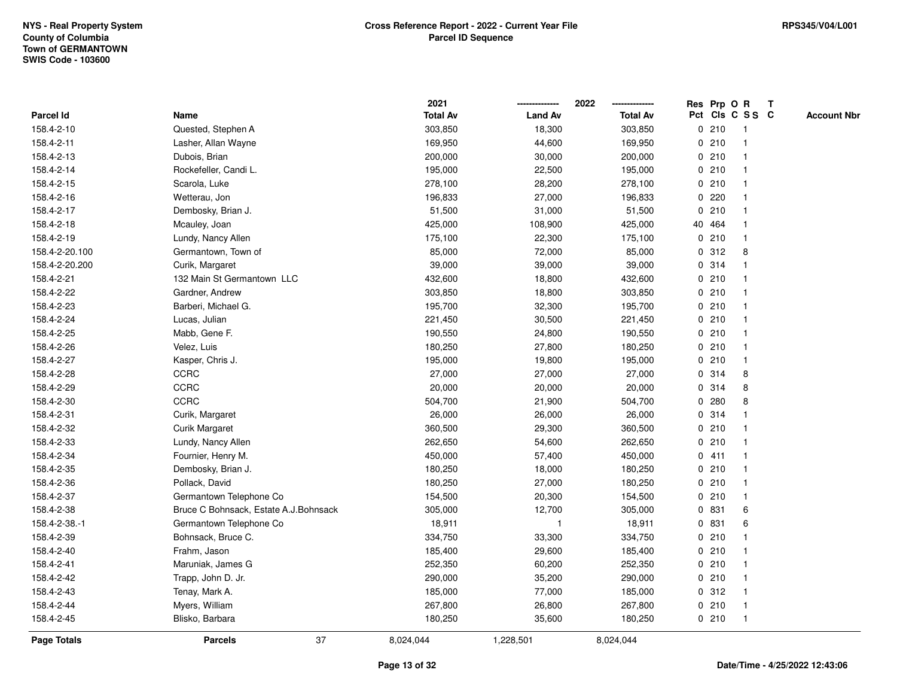|                    |                                       |    | 2021            |                | 2022            |             | Res Prp O R |                         | Т |                    |
|--------------------|---------------------------------------|----|-----------------|----------------|-----------------|-------------|-------------|-------------------------|---|--------------------|
| Parcel Id          | Name                                  |    | <b>Total Av</b> | <b>Land Av</b> | <b>Total Av</b> |             |             | Pct Cls C S S C         |   | <b>Account Nbr</b> |
| 158.4-2-10         | Quested, Stephen A                    |    | 303,850         | 18,300         | 303,850         | $\mathbf 0$ | 210         | $\mathbf{1}$            |   |                    |
| 158.4-2-11         | Lasher, Allan Wayne                   |    | 169,950         | 44,600         | 169,950         | 0           | 210         | -1                      |   |                    |
| 158.4-2-13         | Dubois, Brian                         |    | 200,000         | 30,000         | 200,000         |             | 0210        | $\mathbf 1$             |   |                    |
| 158.4-2-14         | Rockefeller, Candi L.                 |    | 195,000         | 22,500         | 195,000         |             | 0210        |                         |   |                    |
| 158.4-2-15         | Scarola, Luke                         |    | 278,100         | 28,200         | 278,100         |             | 0210        |                         |   |                    |
| 158.4-2-16         | Wetterau, Jon                         |    | 196,833         | 27,000         | 196,833         |             | 0.220       |                         |   |                    |
| 158.4-2-17         | Dembosky, Brian J.                    |    | 51,500          | 31,000         | 51,500          |             | 0210        |                         |   |                    |
| 158.4-2-18         | Mcauley, Joan                         |    | 425,000         | 108,900        | 425,000         |             | 40 464      |                         |   |                    |
| 158.4-2-19         | Lundy, Nancy Allen                    |    | 175,100         | 22,300         | 175,100         | 0           | 210         | $\mathbf{1}$            |   |                    |
| 158.4-2-20.100     | Germantown, Town of                   |    | 85,000          | 72,000         | 85,000          |             | 0.312       | 8                       |   |                    |
| 158.4-2-20.200     | Curik, Margaret                       |    | 39,000          | 39,000         | 39,000          |             | 0 314       |                         |   |                    |
| 158.4-2-21         | 132 Main St Germantown LLC            |    | 432,600         | 18,800         | 432,600         |             | 0210        |                         |   |                    |
| 158.4-2-22         | Gardner, Andrew                       |    | 303,850         | 18,800         | 303,850         |             | 0210        |                         |   |                    |
| 158.4-2-23         | Barberi, Michael G.                   |    | 195,700         | 32,300         | 195,700         |             | 0210        |                         |   |                    |
| 158.4-2-24         | Lucas, Julian                         |    | 221,450         | 30,500         | 221,450         |             | 0210        |                         |   |                    |
| 158.4-2-25         | Mabb, Gene F.                         |    | 190,550         | 24,800         | 190,550         | $\mathbf 0$ | 210         | $\overline{\mathbf{1}}$ |   |                    |
| 158.4-2-26         | Velez, Luis                           |    | 180,250         | 27,800         | 180,250         |             | 0210        | -1                      |   |                    |
| 158.4-2-27         | Kasper, Chris J.                      |    | 195,000         | 19,800         | 195,000         |             | 0210        | $\mathbf 1$             |   |                    |
| 158.4-2-28         | <b>CCRC</b>                           |    | 27,000          | 27,000         | 27,000          |             | 0.314       | 8                       |   |                    |
| 158.4-2-29         | CCRC                                  |    | 20,000          | 20,000         | 20,000          |             | 0 314       | 8                       |   |                    |
| 158.4-2-30         | CCRC                                  |    | 504,700         | 21,900         | 504,700         | 0           | 280         | 8                       |   |                    |
| 158.4-2-31         | Curik, Margaret                       |    | 26,000          | 26,000         | 26,000          |             | 0 314       |                         |   |                    |
| 158.4-2-32         | Curik Margaret                        |    | 360,500         | 29,300         | 360,500         | 0           | 210         | -1                      |   |                    |
| 158.4-2-33         | Lundy, Nancy Allen                    |    | 262,650         | 54,600         | 262,650         |             | 0210        | $\mathbf 1$             |   |                    |
| 158.4-2-34         | Fournier, Henry M.                    |    | 450,000         | 57,400         | 450,000         |             | 0411        | $\mathbf 1$             |   |                    |
| 158.4-2-35         | Dembosky, Brian J.                    |    | 180,250         | 18,000         | 180,250         |             | 0210        |                         |   |                    |
| 158.4-2-36         | Pollack, David                        |    | 180,250         | 27,000         | 180,250         |             | 0210        |                         |   |                    |
| 158.4-2-37         | Germantown Telephone Co               |    | 154,500         | 20,300         | 154,500         |             | 0210        |                         |   |                    |
| 158.4-2-38         | Bruce C Bohnsack, Estate A.J.Bohnsack |    | 305,000         | 12,700         | 305,000         |             | 0 831       | 6                       |   |                    |
| 158.4-2-38.-1      | Germantown Telephone Co               |    | 18,911          | $\overline{1}$ | 18,911          | $\mathbf 0$ | 831         | 6                       |   |                    |
| 158.4-2-39         | Bohnsack, Bruce C.                    |    | 334,750         | 33,300         | 334,750         |             | 0210        |                         |   |                    |
| 158.4-2-40         | Frahm, Jason                          |    | 185,400         | 29,600         | 185,400         |             | 0210        |                         |   |                    |
| 158.4-2-41         | Maruniak, James G                     |    | 252,350         | 60,200         | 252,350         |             | 0210        |                         |   |                    |
| 158.4-2-42         | Trapp, John D. Jr.                    |    | 290,000         | 35,200         | 290,000         |             | 0210        |                         |   |                    |
| 158.4-2-43         | Tenay, Mark A.                        |    | 185,000         | 77,000         | 185,000         |             | 0.312       |                         |   |                    |
| 158.4-2-44         | Myers, William                        |    | 267,800         | 26,800         | 267,800         |             | 0210        | $\mathbf 1$             |   |                    |
| 158.4-2-45         | Blisko, Barbara                       |    | 180,250         | 35,600         | 180,250         |             | 0210        |                         |   |                    |
| <b>Page Totals</b> | <b>Parcels</b>                        | 37 | 8,024,044       | 1,228,501      | 8,024,044       |             |             |                         |   |                    |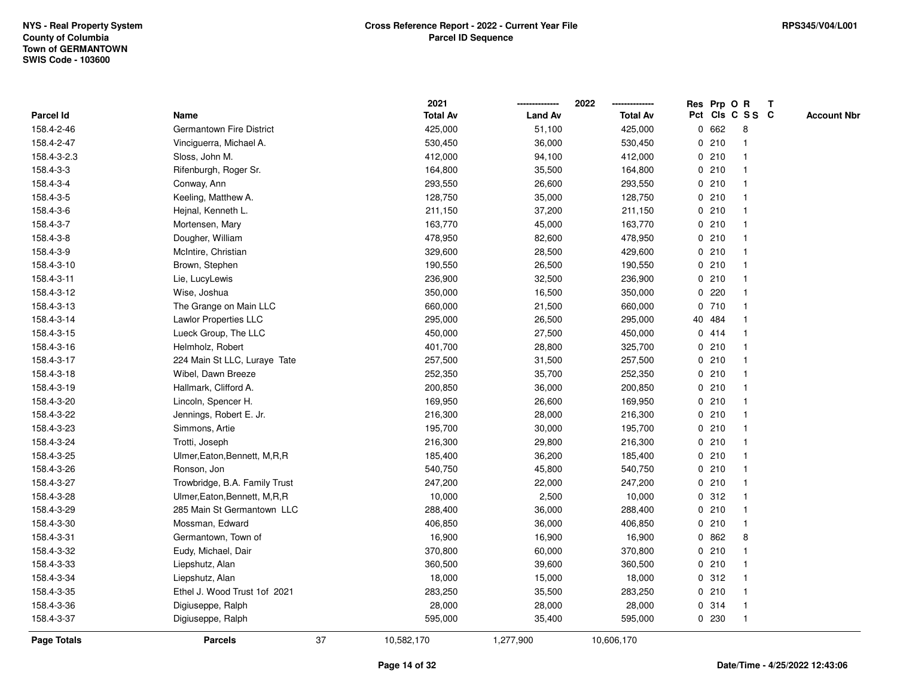|             |                                |    | 2021            |                | 2022            |   |        | Res Prp O R     | Т |                    |
|-------------|--------------------------------|----|-----------------|----------------|-----------------|---|--------|-----------------|---|--------------------|
| Parcel Id   | Name                           |    | <b>Total Av</b> | <b>Land Av</b> | <b>Total Av</b> |   |        | Pct Cls C S S C |   | <b>Account Nbr</b> |
| 158.4-2-46  | Germantown Fire District       |    | 425,000         | 51,100         | 425,000         | 0 | 662    | 8               |   |                    |
| 158.4-2-47  | Vinciguerra, Michael A.        |    | 530,450         | 36,000         | 530,450         | 0 | 210    |                 |   |                    |
| 158.4-3-2.3 | Sloss, John M.                 |    | 412,000         | 94,100         | 412,000         |   | 0210   |                 |   |                    |
| 158.4-3-3   | Rifenburgh, Roger Sr.          |    | 164,800         | 35,500         | 164,800         |   | 0210   |                 |   |                    |
| 158.4-3-4   | Conway, Ann                    |    | 293,550         | 26,600         | 293,550         |   | 0210   |                 |   |                    |
| 158.4-3-5   | Keeling, Matthew A.            |    | 128,750         | 35,000         | 128,750         |   | 0210   |                 |   |                    |
| 158.4-3-6   | Hejnal, Kenneth L.             |    | 211,150         | 37,200         | 211,150         |   | 0210   |                 |   |                    |
| 158.4-3-7   | Mortensen, Mary                |    | 163,770         | 45,000         | 163,770         |   | 0210   |                 |   |                    |
| 158.4-3-8   | Dougher, William               |    | 478,950         | 82,600         | 478,950         |   | 0210   |                 |   |                    |
| 158.4-3-9   | McIntire, Christian            |    | 329,600         | 28,500         | 429,600         |   | 0210   |                 |   |                    |
| 158.4-3-10  | Brown, Stephen                 |    | 190,550         | 26,500         | 190,550         |   | 0210   |                 |   |                    |
| 158.4-3-11  | Lie, LucyLewis                 |    | 236,900         | 32,500         | 236,900         |   | 0210   |                 |   |                    |
| 158.4-3-12  | Wise, Joshua                   |    | 350,000         | 16,500         | 350,000         | 0 | 220    |                 |   |                    |
| 158.4-3-13  | The Grange on Main LLC         |    | 660,000         | 21,500         | 660,000         | 0 | 710    |                 |   |                    |
| 158.4-3-14  | Lawlor Properties LLC          |    | 295,000         | 26,500         | 295,000         |   | 40 484 |                 |   |                    |
| 158.4-3-15  | Lueck Group, The LLC           |    | 450,000         | 27,500         | 450,000         |   | 0414   |                 |   |                    |
| 158.4-3-16  | Helmholz, Robert               |    | 401,700         | 28,800         | 325,700         |   | 0210   |                 |   |                    |
| 158.4-3-17  | 224 Main St LLC, Luraye Tate   |    | 257,500         | 31,500         | 257,500         |   | 0210   |                 |   |                    |
| 158.4-3-18  | Wibel, Dawn Breeze             |    | 252,350         | 35,700         | 252,350         |   | 0210   |                 |   |                    |
| 158.4-3-19  | Hallmark, Clifford A.          |    | 200,850         | 36,000         | 200,850         |   | 0210   |                 |   |                    |
| 158.4-3-20  | Lincoln, Spencer H.            |    | 169,950         | 26,600         | 169,950         |   | 0210   |                 |   |                    |
| 158.4-3-22  | Jennings, Robert E. Jr.        |    | 216,300         | 28,000         | 216,300         |   | 0210   |                 |   |                    |
| 158.4-3-23  | Simmons, Artie                 |    | 195,700         | 30,000         | 195,700         |   | 0210   |                 |   |                    |
| 158.4-3-24  | Trotti, Joseph                 |    | 216,300         | 29,800         | 216,300         |   | 0210   |                 |   |                    |
| 158.4-3-25  | Ulmer, Eaton, Bennett, M, R, R |    | 185,400         | 36,200         | 185,400         |   | 0210   |                 |   |                    |
| 158.4-3-26  | Ronson, Jon                    |    | 540,750         | 45,800         | 540,750         |   | 0210   |                 |   |                    |
| 158.4-3-27  | Trowbridge, B.A. Family Trust  |    | 247,200         | 22,000         | 247,200         |   | 0210   |                 |   |                    |
| 158.4-3-28  | Ulmer, Eaton, Bennett, M, R, R |    | 10,000          | 2,500          | 10,000          |   | 0.312  |                 |   |                    |
| 158.4-3-29  | 285 Main St Germantown LLC     |    | 288,400         | 36,000         | 288,400         |   | 0210   |                 |   |                    |
| 158.4-3-30  | Mossman, Edward                |    | 406,850         | 36,000         | 406,850         | 0 | 210    | $\mathbf 1$     |   |                    |
| 158.4-3-31  | Germantown, Town of            |    | 16,900          | 16,900         | 16,900          | 0 | 862    | 8               |   |                    |
| 158.4-3-32  | Eudy, Michael, Dair            |    | 370,800         | 60,000         | 370,800         |   | 0210   |                 |   |                    |
| 158.4-3-33  | Liepshutz, Alan                |    | 360,500         | 39,600         | 360,500         |   | 0210   |                 |   |                    |
| 158.4-3-34  | Liepshutz, Alan                |    | 18,000          | 15,000         | 18,000          |   | 0.312  |                 |   |                    |
| 158.4-3-35  | Ethel J. Wood Trust 1of 2021   |    | 283,250         | 35,500         | 283,250         |   | 0210   |                 |   |                    |
| 158.4-3-36  | Digiuseppe, Ralph              |    | 28,000          | 28,000         | 28,000          |   | 0.314  |                 |   |                    |
| 158.4-3-37  | Digiuseppe, Ralph              |    | 595,000         | 35,400         | 595,000         |   | 0 230  |                 |   |                    |
| Page Totals | <b>Parcels</b>                 | 37 | 10,582,170      | 1,277,900      | 10,606,170      |   |        |                 |   |                    |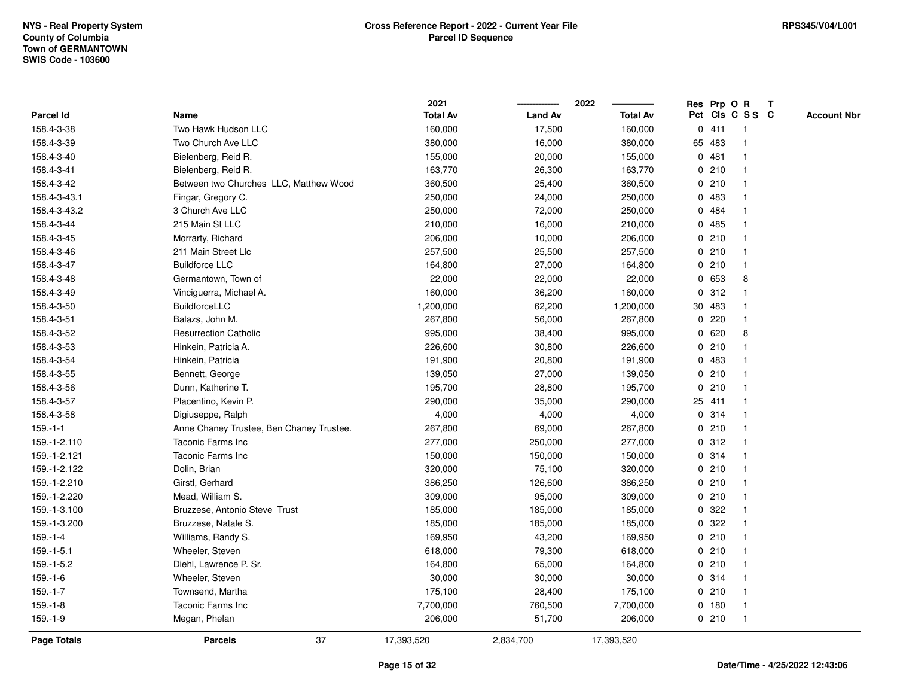|                    |                                          | 2021            |                | 2022            |   |        | Res Prp O R     | T |                    |
|--------------------|------------------------------------------|-----------------|----------------|-----------------|---|--------|-----------------|---|--------------------|
| Parcel Id          | Name                                     | <b>Total Av</b> | <b>Land Av</b> | <b>Total Av</b> |   |        | Pct Cls C S S C |   | <b>Account Nbr</b> |
| 158.4-3-38         | Two Hawk Hudson LLC                      | 160,000         | 17,500         | 160,000         |   | 0411   | $\mathbf{1}$    |   |                    |
| 158.4-3-39         | Two Church Ave LLC                       | 380,000         | 16,000         | 380,000         |   | 65 483 | $\mathbf{1}$    |   |                    |
| 158.4-3-40         | Bielenberg, Reid R.                      | 155,000         | 20,000         | 155,000         |   | 0481   | $\mathbf 1$     |   |                    |
| 158.4-3-41         | Bielenberg, Reid R.                      | 163,770         | 26,300         | 163,770         |   | 0210   | -1              |   |                    |
| 158.4-3-42         | Between two Churches LLC, Matthew Wood   | 360,500         | 25,400         | 360,500         |   | 0210   |                 |   |                    |
| 158.4-3-43.1       | Fingar, Gregory C.                       | 250,000         | 24,000         | 250,000         |   | 0 483  |                 |   |                    |
| 158.4-3-43.2       | 3 Church Ave LLC                         | 250,000         | 72,000         | 250,000         | 0 | 484    | $\mathbf{1}$    |   |                    |
| 158.4-3-44         | 215 Main St LLC                          | 210,000         | 16,000         | 210,000         | 0 | 485    | $\mathbf{1}$    |   |                    |
| 158.4-3-45         | Morrarty, Richard                        | 206,000         | 10,000         | 206,000         |   | 0210   | $\mathbf{1}$    |   |                    |
| 158.4-3-46         | 211 Main Street Llc                      | 257,500         | 25,500         | 257,500         |   | 0210   | $\mathbf{1}$    |   |                    |
| 158.4-3-47         | <b>Buildforce LLC</b>                    | 164,800         | 27,000         | 164,800         |   | 0210   | $\mathbf 1$     |   |                    |
| 158.4-3-48         | Germantown, Town of                      | 22,000          | 22,000         | 22,000          |   | 0 653  | 8               |   |                    |
| 158.4-3-49         | Vinciguerra, Michael A.                  | 160,000         | 36,200         | 160,000         |   | 0.312  |                 |   |                    |
| 158.4-3-50         | <b>BuildforceLLC</b>                     | 1,200,000       | 62,200         | 1,200,000       |   | 30 483 | $\mathbf 1$     |   |                    |
| 158.4-3-51         | Balazs, John M.                          | 267,800         | 56,000         | 267,800         | 0 | 220    | $\mathbf{1}$    |   |                    |
| 158.4-3-52         | <b>Resurrection Catholic</b>             | 995,000         | 38,400         | 995,000         | 0 | 620    | 8               |   |                    |
| 158.4-3-53         | Hinkein, Patricia A.                     | 226,600         | 30,800         | 226,600         |   | 0210   | $\mathbf{1}$    |   |                    |
| 158.4-3-54         | Hinkein, Patricia                        | 191,900         | 20,800         | 191,900         |   | 0 483  | $\mathbf 1$     |   |                    |
| 158.4-3-55         | Bennett, George                          | 139,050         | 27,000         | 139,050         |   | 0210   |                 |   |                    |
| 158.4-3-56         | Dunn, Katherine T.                       | 195,700         | 28,800         | 195,700         |   | 0210   |                 |   |                    |
| 158.4-3-57         | Placentino, Kevin P.                     | 290,000         | 35,000         | 290,000         |   | 25 411 | $\mathbf 1$     |   |                    |
| 158.4-3-58         | Digiuseppe, Ralph                        | 4,000           | 4,000          | 4,000           |   | 0.314  | $\mathbf{1}$    |   |                    |
| $159.-1-1$         | Anne Chaney Trustee, Ben Chaney Trustee. | 267,800         | 69,000         | 267,800         |   | 0210   | $\mathbf{1}$    |   |                    |
| 159.-1-2.110       | Taconic Farms Inc                        | 277,000         | 250,000        | 277,000         |   | 0.312  | $\mathbf{1}$    |   |                    |
| 159.-1-2.121       | <b>Taconic Farms Inc</b>                 | 150,000         | 150,000        | 150,000         |   | 0.314  | $\mathbf 1$     |   |                    |
| 159.-1-2.122       | Dolin, Brian                             | 320,000         | 75,100         | 320,000         |   | 0210   | 1               |   |                    |
| 159.-1-2.210       | Girstl, Gerhard                          | 386,250         | 126,600        | 386,250         |   | 0210   |                 |   |                    |
| 159.-1-2.220       | Mead, William S.                         | 309,000         | 95,000         | 309,000         |   | 0210   | $\mathbf 1$     |   |                    |
| 159.-1-3.100       | Bruzzese, Antonio Steve Trust            | 185,000         | 185,000        | 185,000         | 0 | 322    | $\mathbf 1$     |   |                    |
| 159.-1-3.200       | Bruzzese, Natale S.                      | 185,000         | 185,000        | 185,000         | 0 | 322    | $\mathbf{1}$    |   |                    |
| $159.-1-4$         | Williams, Randy S.                       | 169,950         | 43,200         | 169,950         |   | 0210   | $\mathbf{1}$    |   |                    |
| $159.-1-5.1$       | Wheeler, Steven                          | 618,000         | 79,300         | 618,000         |   | 0210   | $\mathbf{1}$    |   |                    |
| 159.-1-5.2         | Diehl, Lawrence P. Sr.                   | 164,800         | 65,000         | 164,800         |   | 0210   | 1               |   |                    |
| $159.-1-6$         | Wheeler, Steven                          | 30,000          | 30,000         | 30,000          |   | 0.314  |                 |   |                    |
| $159.-1-7$         | Townsend, Martha                         | 175,100         | 28,400         | 175,100         |   | 0210   | $\mathbf{1}$    |   |                    |
| $159.-1-8$         | Taconic Farms Inc                        | 7,700,000       | 760,500        | 7,700,000       |   | 0 180  | $\mathbf{1}$    |   |                    |
| $159.-1-9$         | Megan, Phelan                            | 206,000         | 51,700         | 206,000         |   | 0210   | $\mathbf{1}$    |   |                    |
| <b>Page Totals</b> | 37<br><b>Parcels</b>                     | 17,393,520      | 2,834,700      | 17,393,520      |   |        |                 |   |                    |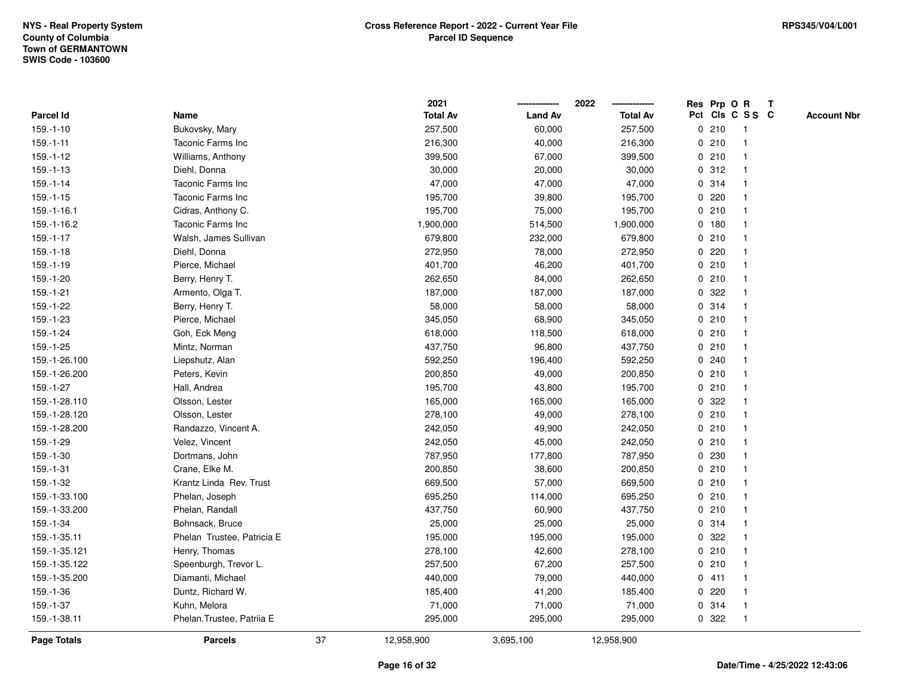|               |                            |    | 2021            |                | 2022            |             |         | Res Prp O R             | $\mathsf{T}$ |                    |
|---------------|----------------------------|----|-----------------|----------------|-----------------|-------------|---------|-------------------------|--------------|--------------------|
| Parcel Id     | Name                       |    | <b>Total Av</b> | <b>Land Av</b> | <b>Total Av</b> |             |         | Pct Cls C S S C         |              | <b>Account Nbr</b> |
| $159.-1-10$   | Bukovsky, Mary             |    | 257,500         | 60,000         | 257,500         |             | 0210    |                         |              |                    |
| $159.-1-11$   | Taconic Farms Inc          |    | 216,300         | 40,000         | 216,300         |             | 0210    |                         |              |                    |
| 159.-1-12     | Williams, Anthony          |    | 399,500         | 67,000         | 399,500         |             | 0210    | -1                      |              |                    |
| 159.-1-13     | Diehl, Donna               |    | 30,000          | 20,000         | 30,000          | $\mathbf 0$ | 312     | $\mathbf{1}$            |              |                    |
| $159.-1-14$   | Taconic Farms Inc          |    | 47,000          | 47,000         | 47,000          |             | 0 314   | -1                      |              |                    |
| 159.-1-15     | Taconic Farms Inc          |    | 195,700         | 39,800         | 195,700         |             | 0220    |                         |              |                    |
| 159.-1-16.1   | Cidras, Anthony C.         |    | 195,700         | 75,000         | 195,700         |             | 0210    |                         |              |                    |
| 159.-1-16.2   | Taconic Farms Inc          |    | 1,900,000       | 514,500        | 1,900,000       |             | 0 180   |                         |              |                    |
| 159.-1-17     | Walsh, James Sullivan      |    | 679,800         | 232,000        | 679,800         |             | 0210    |                         |              |                    |
| $159.-1-18$   | Diehl, Donna               |    | 272,950         | 78,000         | 272,950         |             | $0$ 220 |                         |              |                    |
| 159.-1-19     | Pierce, Michael            |    | 401,700         | 46,200         | 401,700         |             | 0210    | -1                      |              |                    |
| 159.-1-20     | Berry, Henry T.            |    | 262,650         | 84,000         | 262,650         |             | 0210    | $\overline{\mathbf{1}}$ |              |                    |
| $159.-1-21$   | Armento, Olga T.           |    | 187,000         | 187,000        | 187,000         |             | 0.322   |                         |              |                    |
| 159.-1-22     | Berry, Henry T.            |    | 58,000          | 58,000         | 58,000          |             | 0.314   |                         |              |                    |
| 159.-1-23     | Pierce, Michael            |    | 345,050         | 68,900         | 345,050         |             | 0210    |                         |              |                    |
| 159.-1-24     | Goh, Eck Meng              |    | 618,000         | 118,500        | 618,000         |             | 0210    |                         |              |                    |
| 159.-1-25     | Mintz, Norman              |    | 437,750         | 96,800         | 437,750         |             | 0210    |                         |              |                    |
| 159.-1-26.100 | Liepshutz, Alan            |    | 592,250         | 196,400        | 592,250         |             | 0.240   | -1                      |              |                    |
| 159.-1-26.200 | Peters, Kevin              |    | 200,850         | 49,000         | 200,850         |             | 0210    | -1                      |              |                    |
| 159.-1-27     | Hall, Andrea               |    | 195,700         | 43,800         | 195,700         |             | 0210    |                         |              |                    |
| 159.-1-28.110 | Olsson, Lester             |    | 165,000         | 165,000        | 165,000         |             | 0.322   |                         |              |                    |
| 159.-1-28.120 | Olsson, Lester             |    | 278,100         | 49,000         | 278,100         |             | 0210    |                         |              |                    |
| 159.-1-28.200 | Randazzo, Vincent A.       |    | 242,050         | 49,900         | 242,050         |             | 0210    |                         |              |                    |
| 159.-1-29     | Velez, Vincent             |    | 242,050         | 45,000         | 242,050         |             | 0210    | $\mathbf{1}$            |              |                    |
| 159.-1-30     | Dortmans, John             |    | 787,950         | 177,800        | 787,950         | 0           | 230     |                         |              |                    |
| 159.-1-31     | Crane, Elke M.             |    | 200,850         | 38,600         | 200,850         |             | 0210    | $\mathbf 1$             |              |                    |
| 159.-1-32     | Krantz Linda Rev. Trust    |    | 669,500         | 57,000         | 669,500         |             | 0210    |                         |              |                    |
| 159.-1-33.100 | Phelan, Joseph             |    | 695,250         | 114,000        | 695,250         |             | 0210    |                         |              |                    |
| 159.-1-33.200 | Phelan, Randall            |    | 437,750         | 60,900         | 437,750         |             | 0210    |                         |              |                    |
| 159.-1-34     | Bohnsack, Bruce            |    | 25,000          | 25,000         | 25,000          | 0           | 314     | -1                      |              |                    |
| 159.-1-35.11  | Phelan Trustee, Patricia E |    | 195,000         | 195,000        | 195,000         | 0           | 322     |                         |              |                    |
| 159.-1-35.121 | Henry, Thomas              |    | 278,100         | 42,600         | 278,100         |             | 0210    | -1                      |              |                    |
| 159.-1-35.122 | Speenburgh, Trevor L.      |    | 257,500         | 67,200         | 257,500         |             | 0210    |                         |              |                    |
| 159.-1-35.200 | Diamanti, Michael          |    | 440,000         | 79,000         | 440,000         |             | 0411    |                         |              |                    |
| 159.-1-36     | Duntz, Richard W.          |    | 185,400         | 41,200         | 185,400         |             | 0220    |                         |              |                    |
| 159.-1-37     | Kuhn, Melora               |    | 71,000          | 71,000         | 71,000          |             | 0.314   | -1                      |              |                    |
| 159.-1-38.11  | Phelan. Trustee, Patriia E |    | 295,000         | 295,000        | 295,000         |             | 0 322   | -1                      |              |                    |
| Page Totals   | <b>Parcels</b>             | 37 | 12,958,900      | 3,695,100      | 12,958,900      |             |         |                         |              |                    |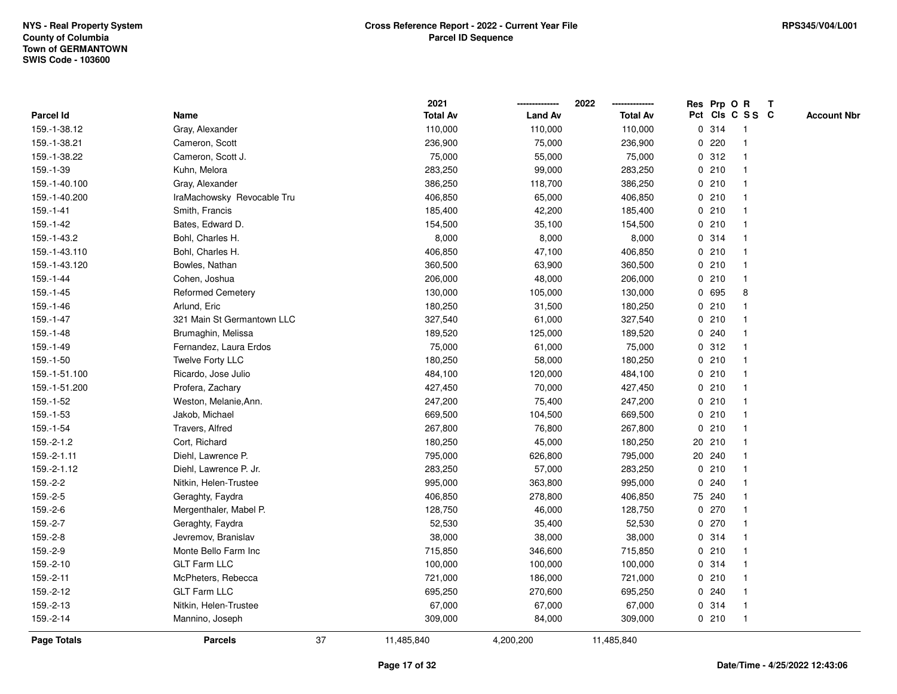|               |                            |    | 2021            |                | 2022            |             |        | Res Prp O R     | $\mathbf{T}$ |                    |
|---------------|----------------------------|----|-----------------|----------------|-----------------|-------------|--------|-----------------|--------------|--------------------|
| Parcel Id     | Name                       |    | <b>Total Av</b> | <b>Land Av</b> | <b>Total Av</b> |             |        | Pct Cls C S S C |              | <b>Account Nbr</b> |
| 159.-1-38.12  | Gray, Alexander            |    | 110,000         | 110,000        | 110,000         |             | 0 314  |                 |              |                    |
| 159.-1-38.21  | Cameron, Scott             |    | 236,900         | 75,000         | 236,900         | 0           | 220    |                 |              |                    |
| 159.-1-38.22  | Cameron, Scott J.          |    | 75,000          | 55,000         | 75,000          |             | 0.312  | -1              |              |                    |
| 159.-1-39     | Kuhn, Melora               |    | 283,250         | 99,000         | 283,250         | 0           | 210    | -1              |              |                    |
| 159.-1-40.100 | Gray, Alexander            |    | 386,250         | 118,700        | 386,250         |             | 0210   | -1              |              |                    |
| 159.-1-40.200 | IraMachowsky Revocable Tru |    | 406,850         | 65,000         | 406,850         |             | 0210   | -1              |              |                    |
| 159.-1-41     | Smith, Francis             |    | 185,400         | 42,200         | 185,400         |             | 0210   |                 |              |                    |
| 159.-1-42     | Bates, Edward D.           |    | 154,500         | 35,100         | 154,500         |             | 0210   |                 |              |                    |
| 159.-1-43.2   | Bohl, Charles H.           |    | 8,000           | 8,000          | 8,000           |             | 0.314  |                 |              |                    |
| 159.-1-43.110 | Bohl, Charles H.           |    | 406,850         | 47,100         | 406,850         |             | 0210   |                 |              |                    |
| 159.-1-43.120 | Bowles, Nathan             |    | 360,500         | 63,900         | 360,500         |             | 0210   | -1              |              |                    |
| $159.-1-44$   | Cohen, Joshua              |    | 206,000         | 48,000         | 206,000         |             | 0210   | $\mathbf{1}$    |              |                    |
| 159.-1-45     | <b>Reformed Cemetery</b>   |    | 130,000         | 105,000        | 130,000         |             | 0 695  | 8               |              |                    |
| 159.-1-46     | Arlund, Eric               |    | 180,250         | 31,500         | 180,250         |             | 0210   |                 |              |                    |
| 159.-1-47     | 321 Main St Germantown LLC |    | 327,540         | 61,000         | 327,540         |             | 0210   |                 |              |                    |
| 159.-1-48     | Brumaghin, Melissa         |    | 189,520         | 125,000        | 189,520         |             | 0.240  |                 |              |                    |
| 159.-1-49     | Fernandez, Laura Erdos     |    | 75,000          | 61,000         | 75,000          | $\mathbf 0$ | 312    |                 |              |                    |
| 159.-1-50     | <b>Twelve Forty LLC</b>    |    | 180,250         | 58,000         | 180,250         |             | 0210   | -1              |              |                    |
| 159.-1-51.100 | Ricardo, Jose Julio        |    | 484,100         | 120,000        | 484,100         |             | 0210   | -1              |              |                    |
| 159.-1-51.200 | Profera, Zachary           |    | 427,450         | 70,000         | 427,450         |             | 0210   |                 |              |                    |
| 159.-1-52     | Weston, Melanie, Ann.      |    | 247,200         | 75,400         | 247,200         |             | 0210   |                 |              |                    |
| 159.-1-53     | Jakob, Michael             |    | 669,500         | 104,500        | 669,500         |             | 0210   |                 |              |                    |
| 159.-1-54     | Travers, Alfred            |    | 267,800         | 76,800         | 267,800         |             | 0210   |                 |              |                    |
| 159.-2-1.2    | Cort, Richard              |    | 180,250         | 45,000         | 180,250         |             | 20 210 | $\overline{1}$  |              |                    |
| 159.-2-1.11   | Diehl, Lawrence P.         |    | 795,000         | 626,800        | 795,000         |             | 20 240 |                 |              |                    |
| 159.-2-1.12   | Diehl, Lawrence P. Jr.     |    | 283,250         | 57,000         | 283,250         |             | 0210   | $\mathbf 1$     |              |                    |
| 159.-2-2      | Nitkin, Helen-Trustee      |    | 995,000         | 363,800        | 995,000         |             | 0.240  |                 |              |                    |
| 159.-2-5      | Geraghty, Faydra           |    | 406,850         | 278,800        | 406,850         |             | 75 240 |                 |              |                    |
| 159.-2-6      | Mergenthaler, Mabel P.     |    | 128,750         | 46,000         | 128,750         |             | 0270   |                 |              |                    |
| 159.-2-7      | Geraghty, Faydra           |    | 52,530          | 35,400         | 52,530          | 0           | 270    |                 |              |                    |
| 159.-2-8      | Jevremov, Branislav        |    | 38,000          | 38,000         | 38,000          | 0           | 314    | -1              |              |                    |
| 159.-2-9      | Monte Bello Farm Inc       |    | 715,850         | 346,600        | 715,850         |             | 0210   | -1              |              |                    |
| 159.-2-10     | <b>GLT Farm LLC</b>        |    | 100,000         | 100,000        | 100,000         |             | 0.314  |                 |              |                    |
| 159.-2-11     | McPheters, Rebecca         |    | 721,000         | 186,000        | 721,000         |             | 0210   |                 |              |                    |
| 159.-2-12     | <b>GLT Farm LLC</b>        |    | 695,250         | 270,600        | 695,250         |             | 0.240  |                 |              |                    |
| 159.-2-13     | Nitkin, Helen-Trustee      |    | 67,000          | 67,000         | 67,000          |             | 0.314  | -1              |              |                    |
| 159.-2-14     | Mannino, Joseph            |    | 309,000         | 84,000         | 309,000         |             | 0210   | -1              |              |                    |
| Page Totals   | <b>Parcels</b>             | 37 | 11,485,840      | 4,200,200      | 11,485,840      |             |        |                 |              |                    |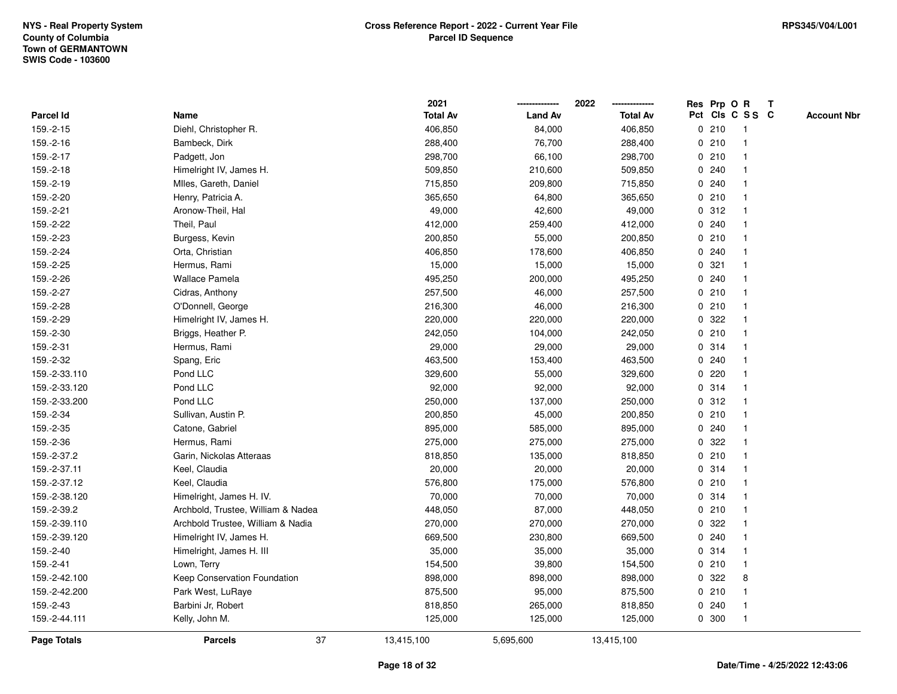|               |                                    | 2021            |                | 2022            |             |         | Res Prp O R     | Т |                    |
|---------------|------------------------------------|-----------------|----------------|-----------------|-------------|---------|-----------------|---|--------------------|
| Parcel Id     | Name                               | <b>Total Av</b> | <b>Land Av</b> | <b>Total Av</b> |             |         | Pct Cls C S S C |   | <b>Account Nbr</b> |
| 159.-2-15     | Diehl, Christopher R.              | 406,850         | 84,000         | 406,850         |             | 0210    | $\mathbf{1}$    |   |                    |
| 159.-2-16     | Bambeck, Dirk                      | 288,400         | 76,700         | 288,400         |             | 0210    | -1              |   |                    |
| 159.-2-17     | Padgett, Jon                       | 298,700         | 66,100         | 298,700         |             | 0210    | $\mathbf 1$     |   |                    |
| 159.-2-18     | Himelright IV, James H.            | 509,850         | 210,600        | 509,850         |             | 0.240   |                 |   |                    |
| 159.-2-19     | Miles, Gareth, Daniel              | 715,850         | 209,800        | 715,850         |             | 0.240   |                 |   |                    |
| 159.-2-20     | Henry, Patricia A.                 | 365,650         | 64,800         | 365,650         |             | 0210    |                 |   |                    |
| 159.-2-21     | Aronow-Theil, Hal                  | 49,000          | 42,600         | 49,000          |             | 0.312   |                 |   |                    |
| 159.-2-22     | Theil, Paul                        | 412,000         | 259,400        | 412,000         |             | 0.240   |                 |   |                    |
| 159.-2-23     | Burgess, Kevin                     | 200,850         | 55,000         | 200,850         |             | 0210    | -1              |   |                    |
| 159.-2-24     | Orta, Christian                    | 406,850         | 178,600        | 406,850         |             | 0.240   | $\mathbf 1$     |   |                    |
| 159.-2-25     | Hermus, Rami                       | 15,000          | 15,000         | 15,000          |             | 0.321   |                 |   |                    |
| 159.-2-26     | <b>Wallace Pamela</b>              | 495,250         | 200,000        | 495,250         |             | 0.240   |                 |   |                    |
| 159.-2-27     | Cidras, Anthony                    | 257,500         | 46,000         | 257,500         |             | 0210    |                 |   |                    |
| 159.-2-28     | O'Donnell, George                  | 216,300         | 46,000         | 216,300         |             | 0210    |                 |   |                    |
| 159.-2-29     | Himelright IV, James H.            | 220,000         | 220,000        | 220,000         | $\mathbf 0$ | 322     |                 |   |                    |
| 159.-2-30     | Briggs, Heather P.                 | 242,050         | 104,000        | 242,050         |             | 0210    | -1              |   |                    |
| 159.-2-31     | Hermus, Rami                       | 29,000          | 29,000         | 29,000          |             | 0.314   |                 |   |                    |
| 159.-2-32     | Spang, Eric                        | 463,500         | 153,400        | 463,500         |             | 0.240   |                 |   |                    |
| 159.-2-33.110 | Pond LLC                           | 329,600         | 55,000         | 329,600         |             | $0$ 220 |                 |   |                    |
| 159.-2-33.120 | Pond LLC                           | 92,000          | 92,000         | 92,000          |             | 0.314   |                 |   |                    |
| 159.-2-33.200 | Pond LLC                           | 250,000         | 137,000        | 250,000         |             | 0.312   |                 |   |                    |
| 159.-2-34     | Sullivan, Austin P.                | 200,850         | 45,000         | 200,850         |             | 0210    |                 |   |                    |
| 159.-2-35     | Catone, Gabriel                    | 895,000         | 585,000        | 895,000         |             | 0.240   |                 |   |                    |
| 159.-2-36     | Hermus, Rami                       | 275,000         | 275,000        | 275,000         | $\mathbf 0$ | 322     |                 |   |                    |
| 159.-2-37.2   | Garin, Nickolas Atteraas           | 818,850         | 135,000        | 818,850         |             | 0210    |                 |   |                    |
| 159.-2-37.11  | Keel, Claudia                      | 20,000          | 20,000         | 20,000          |             | 0.314   |                 |   |                    |
| 159.-2-37.12  | Keel, Claudia                      | 576,800         | 175,000        | 576,800         |             | 0210    |                 |   |                    |
| 159.-2-38.120 | Himelright, James H. IV.           | 70,000          | 70,000         | 70,000          |             | 0.314   |                 |   |                    |
| 159.-2-39.2   | Archbold, Trustee, William & Nadea | 448,050         | 87,000         | 448,050         |             | 0210    |                 |   |                    |
| 159.-2-39.110 | Archbold Trustee, William & Nadia  | 270,000         | 270,000        | 270,000         | 0           | 322     |                 |   |                    |
| 159.-2-39.120 | Himelright IV, James H.            | 669,500         | 230,800        | 669,500         | 0           | 240     |                 |   |                    |
| 159.-2-40     | Himelright, James H. III           | 35,000          | 35,000         | 35,000          |             | 0.314   | -1              |   |                    |
| 159.-2-41     | Lown, Terry                        | 154,500         | 39,800         | 154,500         |             | 0210    |                 |   |                    |
| 159.-2-42.100 | Keep Conservation Foundation       | 898,000         | 898,000        | 898,000         |             | 0 322   | 8               |   |                    |
| 159.-2-42.200 | Park West, LuRaye                  | 875,500         | 95,000         | 875,500         |             | 0210    |                 |   |                    |
| 159.-2-43     | Barbini Jr, Robert                 | 818,850         | 265,000        | 818,850         |             | 0.240   | -1              |   |                    |
| 159.-2-44.111 | Kelly, John M.                     | 125,000         | 125,000        | 125,000         |             | 0 300   | $\mathbf{1}$    |   |                    |
| Page Totals   | 37<br><b>Parcels</b>               | 13,415,100      | 5,695,600      | 13,415,100      |             |         |                 |   |                    |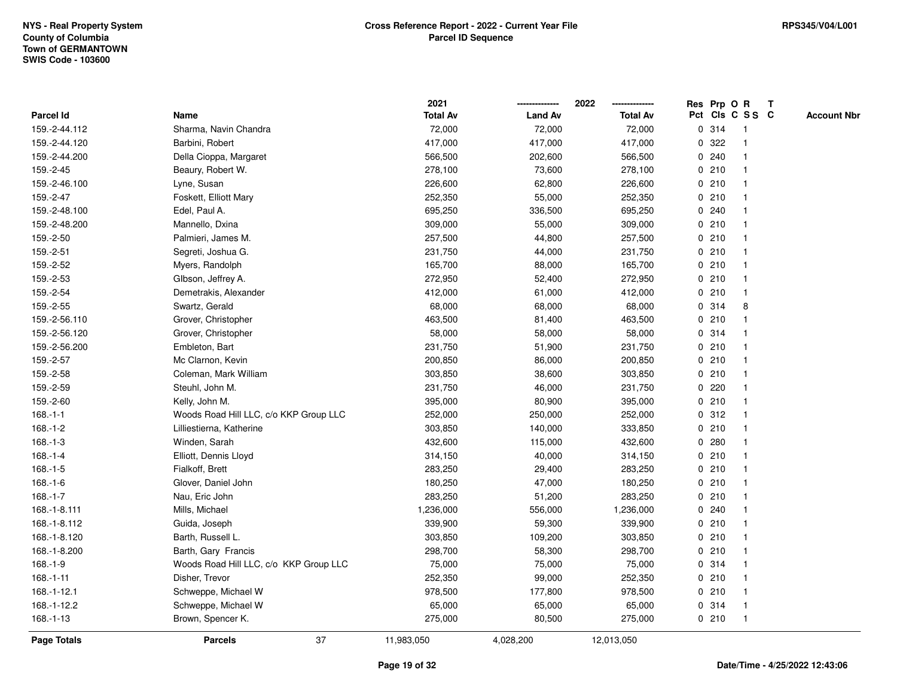|                  |                                        | 2021            |                | 2022            | Res Prp O R  |       |                 | T |                    |
|------------------|----------------------------------------|-----------------|----------------|-----------------|--------------|-------|-----------------|---|--------------------|
| <b>Parcel Id</b> | Name                                   | <b>Total Av</b> | <b>Land Av</b> | <b>Total Av</b> |              |       | Pct Cls C S S C |   | <b>Account Nbr</b> |
| 159.-2-44.112    | Sharma, Navin Chandra                  | 72,000          | 72,000         | 72,000          |              | 0 314 | -1              |   |                    |
| 159.-2-44.120    | Barbini, Robert                        | 417,000         | 417,000        | 417,000         | 0            | 322   |                 |   |                    |
| 159.-2-44.200    | Della Cioppa, Margaret                 | 566,500         | 202,600        | 566,500         |              | 0.240 | $\mathbf 1$     |   |                    |
| 159.-2-45        | Beaury, Robert W.                      | 278,100         | 73,600         | 278,100         |              | 0210  |                 |   |                    |
| 159.-2-46.100    | Lyne, Susan                            | 226,600         | 62,800         | 226,600         |              | 0210  |                 |   |                    |
| 159.-2-47        | Foskett, Elliott Mary                  | 252,350         | 55,000         | 252,350         |              | 0210  |                 |   |                    |
| 159.-2-48.100    | Edel, Paul A.                          | 695,250         | 336,500        | 695,250         |              | 0.240 |                 |   |                    |
| 159.-2-48.200    | Mannello, Dxina                        | 309,000         | 55,000         | 309,000         | 0            | 210   |                 |   |                    |
| 159.-2-50        | Palmieri, James M.                     | 257,500         | 44,800         | 257,500         |              | 0210  | -1              |   |                    |
| 159.-2-51        | Segreti, Joshua G.                     | 231,750         | 44,000         | 231,750         |              | 0210  | $\mathbf 1$     |   |                    |
| 159.-2-52        | Myers, Randolph                        | 165,700         | 88,000         | 165,700         |              | 0210  |                 |   |                    |
| 159.-2-53        | Glbson, Jeffrey A.                     | 272,950         | 52,400         | 272,950         |              | 0210  |                 |   |                    |
| 159.-2-54        | Demetrakis, Alexander                  | 412,000         | 61,000         | 412,000         |              | 0210  |                 |   |                    |
| 159.-2-55        | Swartz, Gerald                         | 68,000          | 68,000         | 68,000          |              | 0.314 | 8               |   |                    |
| 159.-2-56.110    | Grover, Christopher                    | 463,500         | 81,400         | 463,500         | $\mathbf 0$  | 210   |                 |   |                    |
| 159.-2-56.120    | Grover, Christopher                    | 58,000          | 58,000         | 58,000          |              | 0.314 | $\overline{1}$  |   |                    |
| 159.-2-56.200    | Embleton, Bart                         | 231,750         | 51,900         | 231,750         |              | 0210  | $\mathbf{1}$    |   |                    |
| 159.-2-57        | Mc Clarnon, Kevin                      | 200,850         | 86,000         | 200,850         |              | 0210  |                 |   |                    |
| 159.-2-58        | Coleman, Mark William                  | 303,850         | 38,600         | 303,850         |              | 0210  |                 |   |                    |
| 159.-2-59        | Steuhl, John M.                        | 231,750         | 46,000         | 231,750         |              | 0.220 |                 |   |                    |
| 159.-2-60        | Kelly, John M.                         | 395,000         | 80,900         | 395,000         |              | 0210  |                 |   |                    |
| $168.-1-1$       | Woods Road Hill LLC, c/o KKP Group LLC | 252,000         | 250,000        | 252,000         | 0            | 312   |                 |   |                    |
| $168.-1-2$       | Lilliestierna, Katherine               | 303,850         | 140,000        | 333,850         |              | 0210  | -1              |   |                    |
| $168.-1-3$       | Winden, Sarah                          | 432,600         | 115,000        | 432,600         | $\mathbf{0}$ | 280   |                 |   |                    |
| $168.-1-4$       | Elliott, Dennis Lloyd                  | 314,150         | 40,000         | 314,150         |              | 0210  |                 |   |                    |
| $168.-1-5$       | Fialkoff, Brett                        | 283,250         | 29,400         | 283,250         |              | 0210  |                 |   |                    |
| $168.-1-6$       | Glover, Daniel John                    | 180,250         | 47,000         | 180,250         |              | 0210  |                 |   |                    |
| $168.-1-7$       | Nau, Eric John                         | 283,250         | 51,200         | 283,250         |              | 0210  |                 |   |                    |
| 168.-1-8.111     | Mills, Michael                         | 1,236,000       | 556,000        | 1,236,000       |              | 0.240 |                 |   |                    |
| 168.-1-8.112     | Guida, Joseph                          | 339,900         | 59,300         | 339,900         | 0            | 210   |                 |   |                    |
| 168.-1-8.120     | Barth, Russell L.                      | 303,850         | 109,200        | 303,850         |              | 0210  | -1              |   |                    |
| 168.-1-8.200     | Barth, Gary Francis                    | 298,700         | 58,300         | 298,700         |              | 0210  | $\mathbf 1$     |   |                    |
| $168.-1-9$       | Woods Road Hill LLC, c/o KKP Group LLC | 75,000          | 75,000         | 75,000          |              | 0.314 |                 |   |                    |
| $168.-1-11$      | Disher, Trevor                         | 252,350         | 99,000         | 252,350         |              | 0210  |                 |   |                    |
| 168.-1-12.1      | Schweppe, Michael W                    | 978,500         | 177,800        | 978,500         |              | 0210  |                 |   |                    |
| 168.-1-12.2      | Schweppe, Michael W                    | 65,000          | 65,000         | 65,000          |              | 0.314 | -1              |   |                    |
| $168. - 1 - 13$  | Brown, Spencer K.                      | 275,000         | 80,500         | 275,000         |              | 0210  | $\overline{1}$  |   |                    |
| Page Totals      | 37<br><b>Parcels</b>                   | 11,983,050      | 4,028,200      | 12,013,050      |              |       |                 |   |                    |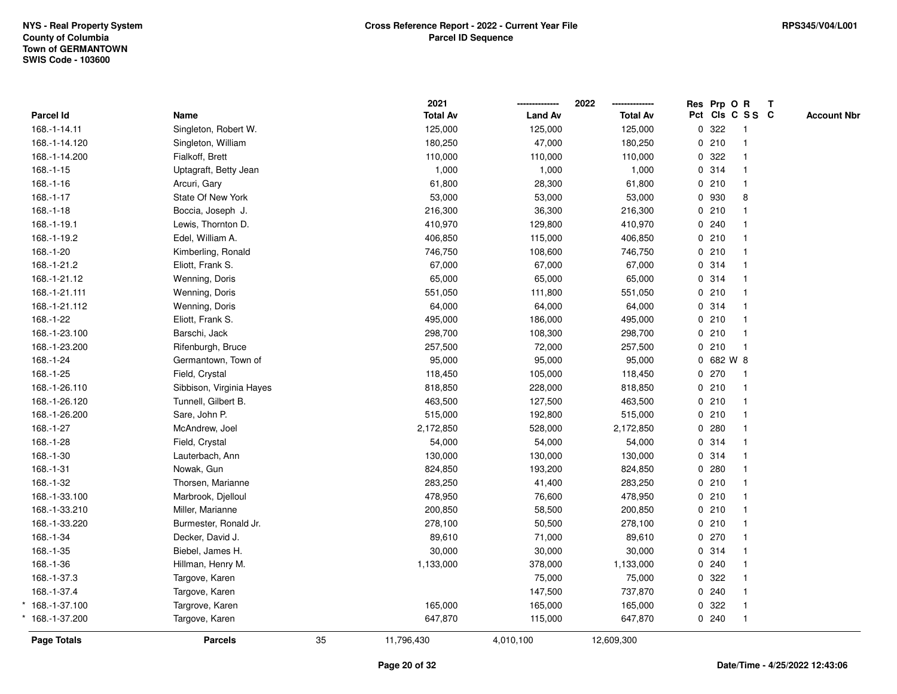|               |                          |    | 2021            |                | 2022            |   | Res Prp O R |                 | Т |                    |
|---------------|--------------------------|----|-----------------|----------------|-----------------|---|-------------|-----------------|---|--------------------|
| Parcel Id     | Name                     |    | <b>Total Av</b> | <b>Land Av</b> | <b>Total Av</b> |   |             | Pct Cls C S S C |   | <b>Account Nbr</b> |
| 168.-1-14.11  | Singleton, Robert W.     |    | 125,000         | 125,000        | 125,000         |   | 0.322       | $\mathbf{1}$    |   |                    |
| 168.-1-14.120 | Singleton, William       |    | 180,250         | 47,000         | 180,250         |   | 0210        |                 |   |                    |
| 168.-1-14.200 | Fialkoff, Brett          |    | 110,000         | 110,000        | 110,000         |   | 0.322       |                 |   |                    |
| $168.-1-15$   | Uptagraft, Betty Jean    |    | 1,000           | 1,000          | 1,000           |   | 0.314       |                 |   |                    |
| 168.-1-16     | Arcuri, Gary             |    | 61,800          | 28,300         | 61,800          |   | 0210        |                 |   |                    |
| $168.-1-17$   | State Of New York        |    | 53,000          | 53,000         | 53,000          |   | 0 930       | 8               |   |                    |
| $168.-1-18$   | Boccia, Joseph J.        |    | 216,300         | 36,300         | 216,300         |   | 0210        |                 |   |                    |
| 168.-1-19.1   | Lewis, Thornton D.       |    | 410,970         | 129,800        | 410,970         |   | 0.240       |                 |   |                    |
| 168.-1-19.2   | Edel, William A.         |    | 406,850         | 115,000        | 406,850         |   | 0210        |                 |   |                    |
| 168.-1-20     | Kimberling, Ronald       |    | 746,750         | 108,600        | 746,750         |   | 0210        |                 |   |                    |
| 168.-1-21.2   | Eliott, Frank S.         |    | 67,000          | 67,000         | 67,000          |   | 0.314       |                 |   |                    |
| 168.-1-21.12  | Wenning, Doris           |    | 65,000          | 65,000         | 65,000          |   | 0.314       |                 |   |                    |
| 168.-1-21.111 | Wenning, Doris           |    | 551,050         | 111,800        | 551,050         |   | 0210        |                 |   |                    |
| 168.-1-21.112 | Wenning, Doris           |    | 64,000          | 64,000         | 64,000          |   | 0.314       |                 |   |                    |
| 168.-1-22     | Eliott, Frank S.         |    | 495,000         | 186,000        | 495,000         |   | 0210        |                 |   |                    |
| 168.-1-23.100 | Barschi, Jack            |    | 298,700         | 108,300        | 298,700         |   | 0210        | $\overline{1}$  |   |                    |
| 168.-1-23.200 | Rifenburgh, Bruce        |    | 257,500         | 72,000         | 257,500         |   | 0210        | $\mathbf{1}$    |   |                    |
| 168.-1-24     | Germantown, Town of      |    | 95,000          | 95,000         | 95,000          |   | 0 682 W 8   |                 |   |                    |
| 168.-1-25     | Field, Crystal           |    | 118,450         | 105,000        | 118,450         |   | 0270        |                 |   |                    |
| 168.-1-26.110 | Sibbison, Virginia Hayes |    | 818,850         | 228,000        | 818,850         |   | 0210        |                 |   |                    |
| 168.-1-26.120 | Tunnell, Gilbert B.      |    | 463,500         | 127,500        | 463,500         |   | 0210        |                 |   |                    |
| 168.-1-26.200 | Sare, John P.            |    | 515,000         | 192,800        | 515,000         |   | 0210        |                 |   |                    |
| 168.-1-27     | McAndrew, Joel           |    | 2,172,850       | 528,000        | 2,172,850       |   | 0.280       |                 |   |                    |
| 168.-1-28     | Field, Crystal           |    | 54,000          | 54,000         | 54,000          |   | 0.314       |                 |   |                    |
| 168.-1-30     | Lauterbach, Ann          |    | 130,000         | 130,000        | 130,000         |   | 0.314       |                 |   |                    |
| 168.-1-31     | Nowak, Gun               |    | 824,850         | 193,200        | 824,850         |   | 0.280       |                 |   |                    |
| 168.-1-32     | Thorsen, Marianne        |    | 283,250         | 41,400         | 283,250         |   | 0210        |                 |   |                    |
| 168.-1-33.100 | Marbrook, Djelloul       |    | 478,950         | 76,600         | 478,950         |   | 0210        |                 |   |                    |
| 168.-1-33.210 | Miller, Marianne         |    | 200,850         | 58,500         | 200,850         |   | 0210        |                 |   |                    |
| 168.-1-33.220 | Burmester, Ronald Jr.    |    | 278,100         | 50,500         | 278,100         |   | 0210        |                 |   |                    |
| 168.-1-34     | Decker, David J.         |    | 89,610          | 71,000         | 89,610          |   | 0 270       |                 |   |                    |
| 168.-1-35     | Biebel, James H.         |    | 30,000          | 30,000         | 30,000          |   | 0.314       |                 |   |                    |
| 168.-1-36     | Hillman, Henry M.        |    | 1,133,000       | 378,000        | 1,133,000       |   | 0.240       |                 |   |                    |
| 168.-1-37.3   | Targove, Karen           |    |                 | 75,000         | 75,000          |   | 0.322       |                 |   |                    |
| 168.-1-37.4   | Targove, Karen           |    |                 | 147,500        | 737,870         |   | 0.240       |                 |   |                    |
| 168.-1-37.100 | Targrove, Karen          |    | 165,000         | 165,000        | 165,000         | 0 | 322         |                 |   |                    |
| 168.-1-37.200 | Targove, Karen           |    | 647,870         | 115,000        | 647,870         |   | 0.240       | $\mathbf{1}$    |   |                    |
| Page Totals   | <b>Parcels</b>           | 35 | 11,796,430      | 4,010,100      | 12,609,300      |   |             |                 |   |                    |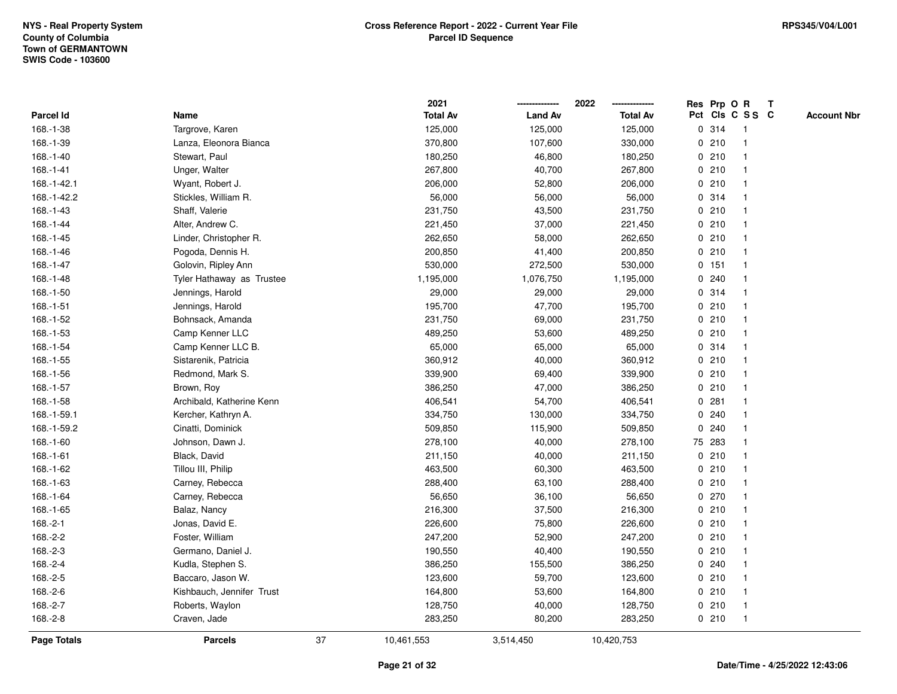|                    |                           |    | 2021            |                | 2022            |        | Res Prp O R     | T |                    |
|--------------------|---------------------------|----|-----------------|----------------|-----------------|--------|-----------------|---|--------------------|
| Parcel Id          | Name                      |    | <b>Total Av</b> | <b>Land Av</b> | <b>Total Av</b> |        | Pct Cls C S S C |   | <b>Account Nbr</b> |
| 168.-1-38          | Targrove, Karen           |    | 125,000         | 125,000        | 125,000         | 0 314  | -1              |   |                    |
| 168.-1-39          | Lanza, Eleonora Bianca    |    | 370,800         | 107,600        | 330,000         | 0210   | $\mathbf{1}$    |   |                    |
| 168.-1-40          | Stewart, Paul             |    | 180,250         | 46,800         | 180,250         | 0210   | $\mathbf{1}$    |   |                    |
| 168.-1-41          | Unger, Walter             |    | 267,800         | 40,700         | 267,800         | 0210   | $\mathbf{1}$    |   |                    |
| 168.-1-42.1        | Wyant, Robert J.          |    | 206,000         | 52,800         | 206,000         | 0210   | $\mathbf{1}$    |   |                    |
| 168.-1-42.2        | Stickles, William R.      |    | 56,000          | 56,000         | 56,000          | 0 314  | $\mathbf{1}$    |   |                    |
| 168.-1-43          | Shaff, Valerie            |    | 231,750         | 43,500         | 231,750         | 0210   | $\mathbf{1}$    |   |                    |
| 168.-1-44          | Alter, Andrew C.          |    | 221,450         | 37,000         | 221,450         | 0210   | $\mathbf{1}$    |   |                    |
| 168.-1-45          | Linder, Christopher R.    |    | 262,650         | 58,000         | 262,650         | 0210   | $\mathbf{1}$    |   |                    |
| 168.-1-46          | Pogoda, Dennis H.         |    | 200,850         | 41,400         | 200,850         | 0210   | $\mathbf{1}$    |   |                    |
| 168.-1-47          | Golovin, Ripley Ann       |    | 530,000         | 272,500        | 530,000         | 0 151  | $\mathbf{1}$    |   |                    |
| 168.-1-48          | Tyler Hathaway as Trustee |    | 1,195,000       | 1,076,750      | 1,195,000       | 0.240  | $\mathbf{1}$    |   |                    |
| 168.-1-50          | Jennings, Harold          |    | 29,000          | 29,000         | 29,000          | 0 314  | 1               |   |                    |
| 168.-1-51          | Jennings, Harold          |    | 195,700         | 47,700         | 195,700         | 0210   | $\mathbf{1}$    |   |                    |
| 168.-1-52          | Bohnsack, Amanda          |    | 231,750         | 69,000         | 231,750         | 0210   | $\mathbf{1}$    |   |                    |
| 168.-1-53          | Camp Kenner LLC           |    | 489,250         | 53,600         | 489,250         | 0210   | $\mathbf{1}$    |   |                    |
| 168.-1-54          | Camp Kenner LLC B.        |    | 65,000          | 65,000         | 65,000          | 0.314  | $\mathbf{1}$    |   |                    |
| 168.-1-55          | Sistarenik, Patricia      |    | 360,912         | 40,000         | 360,912         | 0210   | 1               |   |                    |
| 168.-1-56          | Redmond, Mark S.          |    | 339,900         | 69,400         | 339,900         | 0210   | 1               |   |                    |
| 168.-1-57          | Brown, Roy                |    | 386,250         | 47,000         | 386,250         | 0210   | $\mathbf{1}$    |   |                    |
| 168.-1-58          | Archibald, Katherine Kenn |    | 406,541         | 54,700         | 406,541         | 0.281  | $\mathbf{1}$    |   |                    |
| 168.-1-59.1        | Kercher, Kathryn A.       |    | 334,750         | 130,000        | 334,750         | 0.240  | $\mathbf{1}$    |   |                    |
| 168.-1-59.2        | Cinatti, Dominick         |    | 509,850         | 115,900        | 509,850         | 0.240  | $\mathbf{1}$    |   |                    |
| 168.-1-60          | Johnson, Dawn J.          |    | 278,100         | 40,000         | 278,100         | 75 283 | $\mathbf{1}$    |   |                    |
| $168.-1-61$        | Black, David              |    | 211,150         | 40,000         | 211,150         | 0210   | $\mathbf{1}$    |   |                    |
| 168.-1-62          | Tillou III, Philip        |    | 463,500         | 60,300         | 463,500         | 0210   | 1               |   |                    |
| 168.-1-63          | Carney, Rebecca           |    | 288,400         | 63,100         | 288,400         | 0210   | 1               |   |                    |
| 168.-1-64          | Carney, Rebecca           |    | 56,650          | 36,100         | 56,650          | 0270   | $\mathbf{1}$    |   |                    |
| 168.-1-65          | Balaz, Nancy              |    | 216,300         | 37,500         | 216,300         | 0210   | $\mathbf{1}$    |   |                    |
| $168.-2-1$         | Jonas, David E.           |    | 226,600         | 75,800         | 226,600         | 0210   | $\mathbf{1}$    |   |                    |
| 168.-2-2           | Foster, William           |    | 247,200         | 52,900         | 247,200         | 0210   | $\mathbf{1}$    |   |                    |
| 168.-2-3           | Germano, Daniel J.        |    | 190,550         | 40,400         | 190,550         | 0210   | $\mathbf{1}$    |   |                    |
| 168.-2-4           | Kudla, Stephen S.         |    | 386,250         | 155,500        | 386,250         | 0.240  | $\mathbf{1}$    |   |                    |
| 168.-2-5           | Baccaro, Jason W.         |    | 123,600         | 59,700         | 123,600         | 0210   | $\mathbf{1}$    |   |                    |
| 168.-2-6           | Kishbauch, Jennifer Trust |    | 164,800         | 53,600         | 164,800         | 0210   | $\mathbf{1}$    |   |                    |
| 168.-2-7           | Roberts, Waylon           |    | 128,750         | 40,000         | 128,750         | 0210   | $\mathbf{1}$    |   |                    |
| 168.-2-8           | Craven, Jade              |    | 283,250         | 80,200         | 283,250         | 0210   | $\mathbf{1}$    |   |                    |
| <b>Page Totals</b> | <b>Parcels</b>            | 37 | 10,461,553      | 3,514,450      | 10,420,753      |        |                 |   |                    |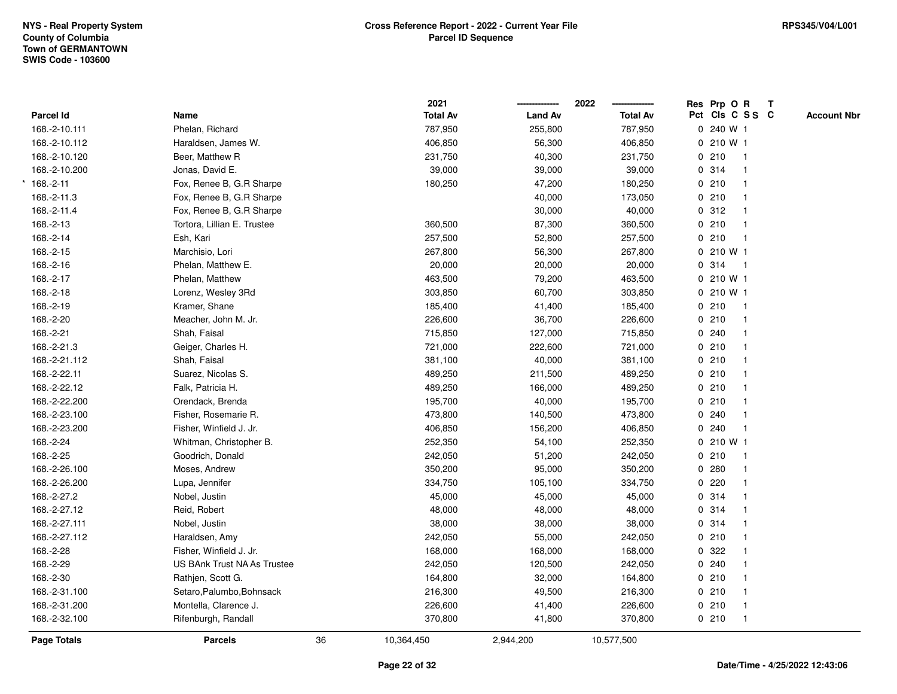|                  |                             |    | 2021            |                | 2022            |             | Res Prp O R     |              | T |                    |
|------------------|-----------------------------|----|-----------------|----------------|-----------------|-------------|-----------------|--------------|---|--------------------|
| <b>Parcel Id</b> | Name                        |    | <b>Total Av</b> | <b>Land Av</b> | <b>Total Av</b> |             | Pct Cls C S S C |              |   | <b>Account Nbr</b> |
| 168.-2-10.111    | Phelan, Richard             |    | 787,950         | 255,800        | 787,950         |             | 0 240 W 1       |              |   |                    |
| 168.-2-10.112    | Haraldsen, James W.         |    | 406,850         | 56,300         | 406,850         | $\mathbf 0$ | 210 W 1         |              |   |                    |
| 168.-2-10.120    | Beer, Matthew R             |    | 231,750         | 40,300         | 231,750         |             | 0210            | $\mathbf{1}$ |   |                    |
| 168.-2-10.200    | Jonas, David E.             |    | 39,000          | 39,000         | 39,000          |             | 0 314           | $\mathbf{1}$ |   |                    |
| 168.-2-11        | Fox, Renee B, G.R Sharpe    |    | 180,250         | 47,200         | 180,250         |             | 0210            |              |   |                    |
| 168.-2-11.3      | Fox, Renee B, G.R Sharpe    |    |                 | 40,000         | 173,050         |             | 0210            |              |   |                    |
| 168.-2-11.4      | Fox, Renee B, G.R Sharpe    |    |                 | 30,000         | 40,000          |             | 0.312           | $\mathbf{1}$ |   |                    |
| 168.-2-13        | Tortora, Lillian E. Trustee |    | 360,500         | 87,300         | 360,500         |             | 0210            | $\mathbf{1}$ |   |                    |
| 168.-2-14        | Esh, Kari                   |    | 257,500         | 52,800         | 257,500         | 0           | 210             | $\mathbf{1}$ |   |                    |
| 168.-2-15        | Marchisio, Lori             |    | 267,800         | 56,300         | 267,800         |             | 0 210 W 1       |              |   |                    |
| 168.-2-16        | Phelan, Matthew E.          |    | 20,000          | 20,000         | 20,000          |             | 0 314           | $\mathbf{1}$ |   |                    |
| 168.-2-17        | Phelan, Matthew             |    | 463,500         | 79,200         | 463,500         |             | 0 210 W 1       |              |   |                    |
| 168.-2-18        | Lorenz, Wesley 3Rd          |    | 303,850         | 60,700         | 303,850         |             | 0210 W1         |              |   |                    |
| 168.-2-19        | Kramer, Shane               |    | 185,400         | 41,400         | 185,400         |             | 0210            | $\mathbf{1}$ |   |                    |
| 168.-2-20        | Meacher, John M. Jr.        |    | 226,600         | 36,700         | 226,600         |             | 0210            | $\mathbf{1}$ |   |                    |
| 168.-2-21        | Shah, Faisal                |    | 715,850         | 127,000        | 715,850         |             | 0.240           | $\mathbf{1}$ |   |                    |
| 168.-2-21.3      | Geiger, Charles H.          |    | 721,000         | 222,600        | 721,000         |             | 0210            | $\mathbf{1}$ |   |                    |
| 168.-2-21.112    | Shah, Faisal                |    | 381,100         | 40,000         | 381,100         |             | 0210            |              |   |                    |
| 168.-2-22.11     | Suarez, Nicolas S.          |    | 489,250         | 211,500        | 489,250         |             | 0210            |              |   |                    |
| 168.-2-22.12     | Falk, Patricia H.           |    | 489,250         | 166,000        | 489,250         |             | 0210            |              |   |                    |
| 168.-2-22.200    | Orendack, Brenda            |    | 195,700         | 40,000         | 195,700         |             | 0210            | $\mathbf{1}$ |   |                    |
| 168.-2-23.100    | Fisher, Rosemarie R.        |    | 473,800         | 140,500        | 473,800         | 0           | 240             | $\mathbf{1}$ |   |                    |
| 168.-2-23.200    | Fisher, Winfield J. Jr.     |    | 406,850         | 156,200        | 406,850         | 0           | 240             | $\mathbf{1}$ |   |                    |
| 168.-2-24        | Whitman, Christopher B.     |    | 252,350         | 54,100         | 252,350         |             | 0 210 W 1       |              |   |                    |
| 168.-2-25        | Goodrich, Donald            |    | 242,050         | 51,200         | 242,050         |             | 0210            | $\mathbf{1}$ |   |                    |
| 168.-2-26.100    | Moses, Andrew               |    | 350,200         | 95,000         | 350,200         |             | 0.280           |              |   |                    |
| 168.-2-26.200    | Lupa, Jennifer              |    | 334,750         | 105,100        | 334,750         |             | 0220            |              |   |                    |
| 168.-2-27.2      | Nobel, Justin               |    | 45,000          | 45,000         | 45,000          |             | 0 314           | $\mathbf{1}$ |   |                    |
| 168.-2-27.12     | Reid, Robert                |    | 48,000          | 48,000         | 48,000          | $\mathbf 0$ | 314             | $\mathbf{1}$ |   |                    |
| 168.-2-27.111    | Nobel, Justin               |    | 38,000          | 38,000         | 38,000          |             | 0.314           | $\mathbf{1}$ |   |                    |
| 168.-2-27.112    | Haraldsen, Amy              |    | 242,050         | 55,000         | 242,050         |             | 0210            | $\mathbf{1}$ |   |                    |
| 168.-2-28        | Fisher, Winfield J. Jr.     |    | 168,000         | 168,000        | 168,000         |             | 0.322           |              |   |                    |
| 168.-2-29        | US BAnk Trust NA As Trustee |    | 242,050         | 120,500        | 242,050         |             | 0.240           |              |   |                    |
| 168.-2-30        | Rathjen, Scott G.           |    | 164,800         | 32,000         | 164,800         |             | 0210            |              |   |                    |
| 168.-2-31.100    | Setaro, Palumbo, Bohnsack   |    | 216,300         | 49,500         | 216,300         |             | 0210            | $\mathbf{1}$ |   |                    |
| 168.-2-31.200    | Montella, Clarence J.       |    | 226,600         | 41,400         | 226,600         |             | 0210            | $\mathbf{1}$ |   |                    |
| 168.-2-32.100    | Rifenburgh, Randall         |    | 370,800         | 41,800         | 370,800         |             | 0210            | $\mathbf{1}$ |   |                    |
| Page Totals      | <b>Parcels</b>              | 36 | 10,364,450      | 2,944,200      | 10,577,500      |             |                 |              |   |                    |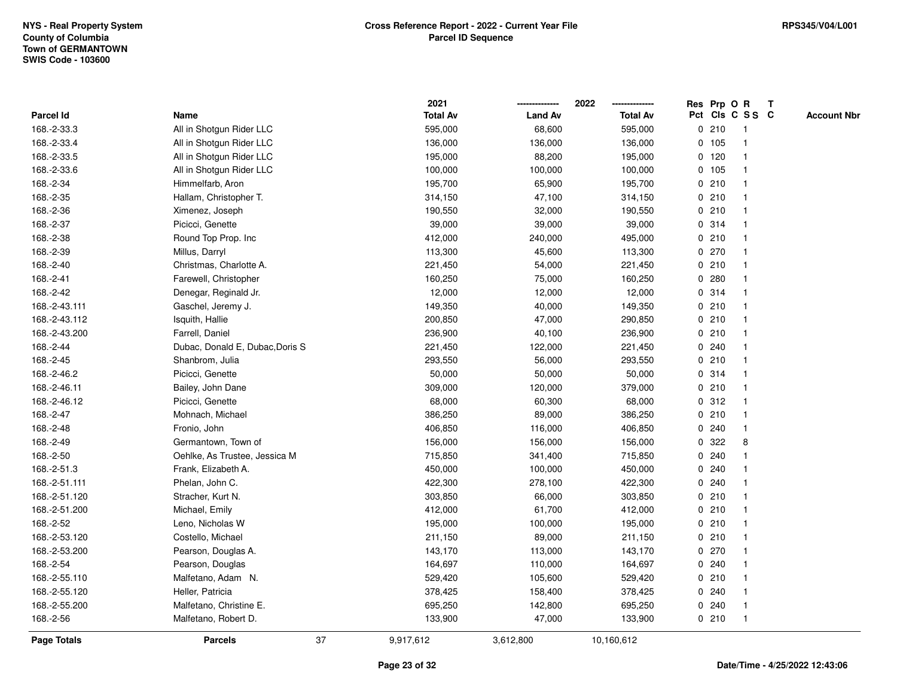|                    |                                 |    | 2021            |                | 2022            | Res Prp O R |        |                         | $\mathbf{T}$ |                    |
|--------------------|---------------------------------|----|-----------------|----------------|-----------------|-------------|--------|-------------------------|--------------|--------------------|
| <b>Parcel Id</b>   | Name                            |    | <b>Total Av</b> | <b>Land Av</b> | <b>Total Av</b> |             |        | Pct Cls C S S C         |              | <b>Account Nbr</b> |
| 168.-2-33.3        | All in Shotgun Rider LLC        |    | 595,000         | 68,600         | 595,000         |             | 0210   |                         |              |                    |
| 168.-2-33.4        | All in Shotgun Rider LLC        |    | 136,000         | 136,000        | 136,000         |             | 0 105  |                         |              |                    |
| 168.-2-33.5        | All in Shotgun Rider LLC        |    | 195,000         | 88,200         | 195,000         | $\mathbf 0$ | 120    | -1                      |              |                    |
| 168.-2-33.6        | All in Shotgun Rider LLC        |    | 100,000         | 100,000        | 100,000         |             | 0, 105 | -1                      |              |                    |
| 168.-2-34          | Himmelfarb, Aron                |    | 195,700         | 65,900         | 195,700         |             | 0210   | $\mathbf 1$             |              |                    |
| 168.-2-35          | Hallam, Christopher T.          |    | 314,150         | 47,100         | 314,150         |             | 0210   |                         |              |                    |
| 168.-2-36          | Ximenez, Joseph                 |    | 190,550         | 32,000         | 190,550         |             | 0210   |                         |              |                    |
| 168.-2-37          | Picicci, Genette                |    | 39,000          | 39,000         | 39,000          |             | 0.314  |                         |              |                    |
| 168.-2-38          | Round Top Prop. Inc             |    | 412,000         | 240,000        | 495,000         |             | 0210   |                         |              |                    |
| 168.-2-39          | Millus, Darryl                  |    | 113,300         | 45,600         | 113,300         |             | 0270   | $\mathbf{1}$            |              |                    |
| 168.-2-40          | Christmas, Charlotte A.         |    | 221,450         | 54,000         | 221,450         |             | 0210   | $\mathbf{1}$            |              |                    |
| 168.-2-41          | Farewell, Christopher           |    | 160,250         | 75,000         | 160,250         |             | 0.280  | $\mathbf 1$             |              |                    |
| 168.-2-42          | Denegar, Reginald Jr.           |    | 12,000          | 12,000         | 12,000          |             | 0.314  |                         |              |                    |
| 168.-2-43.111      | Gaschel, Jeremy J.              |    | 149,350         | 40,000         | 149,350         |             | 0210   |                         |              |                    |
| 168.-2-43.112      | Isquith, Hallie                 |    | 200,850         | 47,000         | 290,850         |             | 0210   |                         |              |                    |
| 168.-2-43.200      | Farrell, Daniel                 |    | 236,900         | 40,100         | 236,900         |             | 0210   | -1                      |              |                    |
| 168.-2-44          | Dubac, Donald E, Dubac, Doris S |    | 221,450         | 122,000        | 221,450         | $\mathbf 0$ | 240    | $\mathbf{1}$            |              |                    |
| 168.-2-45          | Shanbrom, Julia                 |    | 293,550         | 56,000         | 293,550         |             | 0210   | -1                      |              |                    |
| 168.-2-46.2        | Picicci, Genette                |    | 50,000          | 50,000         | 50,000          |             | 0.314  | -1                      |              |                    |
| 168.-2-46.11       | Bailey, John Dane               |    | 309,000         | 120,000        | 379,000         |             | 0210   |                         |              |                    |
| 168.-2-46.12       | Picicci, Genette                |    | 68,000          | 60,300         | 68,000          |             | 0.312  |                         |              |                    |
| 168.-2-47          | Mohnach, Michael                |    | 386,250         | 89,000         | 386,250         |             | 0210   | $\overline{\mathbf{1}}$ |              |                    |
| 168.-2-48          | Fronio, John                    |    | 406,850         | 116,000        | 406,850         |             | 0.240  |                         |              |                    |
| 168.-2-49          | Germantown, Town of             |    | 156,000         | 156,000        | 156,000         | 0           | 322    | 8                       |              |                    |
| 168.-2-50          | Oehlke, As Trustee, Jessica M   |    | 715,850         | 341,400        | 715,850         |             | 0.240  |                         |              |                    |
| 168.-2-51.3        | Frank, Elizabeth A.             |    | 450,000         | 100,000        | 450,000         |             | 0.240  | -1                      |              |                    |
| 168.-2-51.111      | Phelan, John C.                 |    | 422,300         | 278,100        | 422,300         |             | 0.240  |                         |              |                    |
| 168.-2-51.120      | Stracher, Kurt N.               |    | 303,850         | 66,000         | 303,850         |             | 0210   |                         |              |                    |
| 168.-2-51.200      | Michael, Emily                  |    | 412,000         | 61,700         | 412,000         |             | 0210   | -1                      |              |                    |
| 168.-2-52          | Leno, Nicholas W                |    | 195,000         | 100,000        | 195,000         |             | 0210   | $\overline{\mathbf{1}}$ |              |                    |
| 168.-2-53.120      | Costello, Michael               |    | 211,150         | 89,000         | 211,150         |             | 0210   | -1                      |              |                    |
| 168.-2-53.200      | Pearson, Douglas A.             |    | 143,170         | 113,000        | 143,170         |             | 0270   | $\mathbf 1$             |              |                    |
| 168.-2-54          | Pearson, Douglas                |    | 164,697         | 110,000        | 164,697         |             | 0.240  |                         |              |                    |
| 168.-2-55.110      | Malfetano, Adam N.              |    | 529,420         | 105,600        | 529,420         |             | 0210   |                         |              |                    |
| 168.-2-55.120      | Heller, Patricia                |    | 378,425         | 158,400        | 378,425         |             | 0.240  |                         |              |                    |
| 168.-2-55.200      | Malfetano, Christine E.         |    | 695,250         | 142,800        | 695,250         |             | 0.240  | $\mathbf{1}$            |              |                    |
| 168.-2-56          | Malfetano, Robert D.            |    | 133,900         | 47,000         | 133,900         |             | 0210   | $\mathbf{1}$            |              |                    |
| <b>Page Totals</b> | <b>Parcels</b>                  | 37 | 9,917,612       | 3,612,800      | 10,160,612      |             |        |                         |              |                    |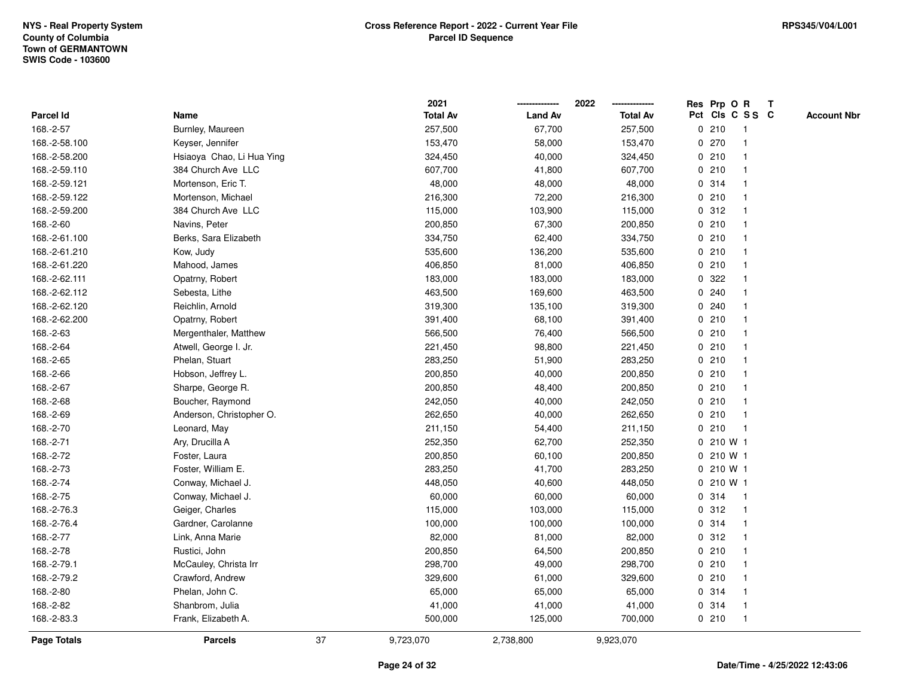|                    |                           |    | 2021            |                | 2022            |              | Res Prp O R     |                | T |                    |
|--------------------|---------------------------|----|-----------------|----------------|-----------------|--------------|-----------------|----------------|---|--------------------|
| Parcel Id          | Name                      |    | <b>Total Av</b> | <b>Land Av</b> | <b>Total Av</b> |              | Pct Cls C S S C |                |   | <b>Account Nbr</b> |
| 168.-2-57          | Burnley, Maureen          |    | 257,500         | 67,700         | 257,500         |              | 0210            | -1             |   |                    |
| 168.-2-58.100      | Keyser, Jennifer          |    | 153,470         | 58,000         | 153,470         | 0            | 270             | $\overline{1}$ |   |                    |
| 168.-2-58.200      | Hsiaoya Chao, Li Hua Ying |    | 324,450         | 40,000         | 324,450         |              | 0210            | $\mathbf{1}$   |   |                    |
| 168.-2-59.110      | 384 Church Ave LLC        |    | 607,700         | 41,800         | 607,700         |              | 0210            | -1             |   |                    |
| 168.-2-59.121      | Mortenson, Eric T.        |    | 48,000          | 48,000         | 48,000          |              | 0 314           |                |   |                    |
| 168.-2-59.122      | Mortenson, Michael        |    | 216,300         | 72,200         | 216,300         |              | 0210            |                |   |                    |
| 168.-2-59.200      | 384 Church Ave LLC        |    | 115,000         | 103,900        | 115,000         |              | 0.312           |                |   |                    |
| 168.-2-60          | Navins, Peter             |    | 200,850         | 67,300         | 200,850         |              | 0210            | $\mathbf{1}$   |   |                    |
| 168.-2-61.100      | Berks, Sara Elizabeth     |    | 334,750         | 62,400         | 334,750         |              | 0210            | $\mathbf{1}$   |   |                    |
| 168.-2-61.210      | Kow, Judy                 |    | 535,600         | 136,200        | 535,600         |              | 0210            | $\mathbf{1}$   |   |                    |
| 168.-2-61.220      | Mahood, James             |    | 406,850         | 81,000         | 406,850         |              | 0210            |                |   |                    |
| 168.-2-62.111      | Opatrny, Robert           |    | 183,000         | 183,000        | 183,000         |              | 0 322           |                |   |                    |
| 168.-2-62.112      | Sebesta, Lithe            |    | 463,500         | 169,600        | 463,500         | 0            | 240             |                |   |                    |
| 168.-2-62.120      | Reichlin, Arnold          |    | 319,300         | 135,100        | 319,300         |              | 0.240           |                |   |                    |
| 168.-2-62.200      | Opatrny, Robert           |    | 391,400         | 68,100         | 391,400         | 0            | 210             | $\mathbf 1$    |   |                    |
| 168.-2-63          | Mergenthaler, Matthew     |    | 566,500         | 76,400         | 566,500         | 0            | 210             | 1              |   |                    |
| 168.-2-64          | Atwell, George I. Jr.     |    | 221,450         | 98,800         | 221,450         |              | 0210            | $\mathbf{1}$   |   |                    |
| 168.-2-65          | Phelan, Stuart            |    | 283,250         | 51,900         | 283,250         |              | 0210            |                |   |                    |
| 168.-2-66          | Hobson, Jeffrey L.        |    | 200,850         | 40,000         | 200,850         |              | 0210            |                |   |                    |
| 168.-2-67          | Sharpe, George R.         |    | 200,850         | 48,400         | 200,850         |              | 0210            |                |   |                    |
| 168.-2-68          | Boucher, Raymond          |    | 242,050         | 40,000         | 242,050         |              | 0210            | $\mathbf{1}$   |   |                    |
| 168.-2-69          | Anderson, Christopher O.  |    | 262,650         | 40,000         | 262,650         | 0            | 210             | $\overline{1}$ |   |                    |
| 168.-2-70          | Leonard, May              |    | 211,150         | 54,400         | 211,150         | $\mathbf{0}$ | 210             | $\overline{1}$ |   |                    |
| 168.-2-71          | Ary, Drucilla A           |    | 252,350         | 62,700         | 252,350         |              | 0 210 W 1       |                |   |                    |
| 168.-2-72          | Foster, Laura             |    | 200,850         | 60,100         | 200,850         |              | 0 210 W 1       |                |   |                    |
| 168.-2-73          | Foster, William E.        |    | 283,250         | 41,700         | 283,250         |              | 0 210 W 1       |                |   |                    |
| 168.-2-74          | Conway, Michael J.        |    | 448,050         | 40,600         | 448,050         |              | 0 210 W 1       |                |   |                    |
| 168.-2-75          | Conway, Michael J.        |    | 60,000          | 60,000         | 60,000          |              | 0.314           | $\mathbf{1}$   |   |                    |
| 168.-2-76.3        | Geiger, Charles           |    | 115,000         | 103,000        | 115,000         | $\mathbf 0$  | 312             | -1             |   |                    |
| 168.-2-76.4        | Gardner, Carolanne        |    | 100,000         | 100,000        | 100,000         |              | 0.314           | $\overline{1}$ |   |                    |
| 168.-2-77          | Link, Anna Marie          |    | 82,000          | 81,000         | 82,000          |              | 0.312           | $\mathbf{1}$   |   |                    |
| 168.-2-78          | Rustici, John             |    | 200,850         | 64,500         | 200,850         |              | 0210            |                |   |                    |
| 168.-2-79.1        | McCauley, Christa Irr     |    | 298,700         | 49,000         | 298,700         |              | 0210            |                |   |                    |
| 168.-2-79.2        | Crawford, Andrew          |    | 329,600         | 61,000         | 329,600         |              | 0210            |                |   |                    |
| 168.-2-80          | Phelan, John C.           |    | 65,000          | 65,000         | 65,000          |              | 0.314           | $\mathbf{1}$   |   |                    |
| 168.-2-82          | Shanbrom, Julia           |    | 41,000          | 41,000         | 41,000          |              | 0 314           | -1             |   |                    |
| 168.-2-83.3        | Frank, Elizabeth A.       |    | 500,000         | 125,000        | 700,000         |              | 0210            | $\mathbf{1}$   |   |                    |
| <b>Page Totals</b> | <b>Parcels</b>            | 37 | 9,723,070       | 2,738,800      | 9,923,070       |              |                 |                |   |                    |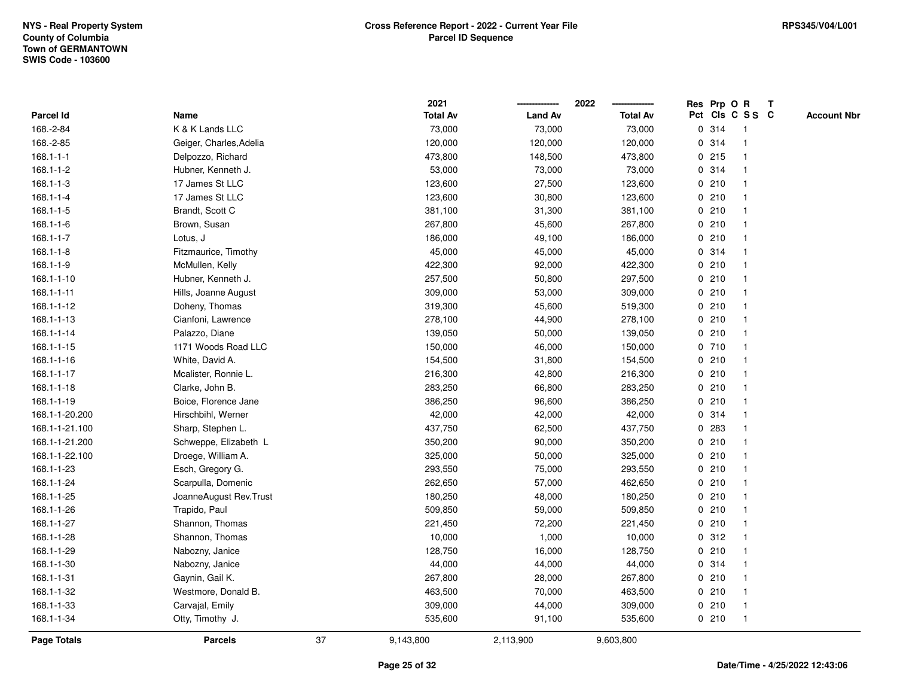|                    |                         |    | 2021            |                | 2022            |             |       | Res Prp O R     | T |                    |
|--------------------|-------------------------|----|-----------------|----------------|-----------------|-------------|-------|-----------------|---|--------------------|
| Parcel Id          | Name                    |    | <b>Total Av</b> | <b>Land Av</b> | <b>Total Av</b> |             |       | Pct Cls C S S C |   | <b>Account Nbr</b> |
| 168.-2-84          | K & K Lands LLC         |    | 73,000          | 73,000         | 73,000          | 0           | 314   | -1              |   |                    |
| 168.-2-85          | Geiger, Charles, Adelia |    | 120,000         | 120,000        | 120,000         | 0           | 314   | $\overline{1}$  |   |                    |
| $168.1 - 1 - 1$    | Delpozzo, Richard       |    | 473,800         | 148,500        | 473,800         |             | 0.215 | $\mathbf{1}$    |   |                    |
| $168.1 - 1 - 2$    | Hubner, Kenneth J.      |    | 53,000          | 73,000         | 73,000          |             | 0.314 |                 |   |                    |
| $168.1 - 1 - 3$    | 17 James St LLC         |    | 123,600         | 27,500         | 123,600         |             | 0210  |                 |   |                    |
| 168.1-1-4          | 17 James St LLC         |    | 123,600         | 30,800         | 123,600         |             | 0210  |                 |   |                    |
| 168.1-1-5          | Brandt, Scott C         |    | 381,100         | 31,300         | 381,100         |             | 0210  |                 |   |                    |
| 168.1-1-6          | Brown, Susan            |    | 267,800         | 45,600         | 267,800         | 0           | 210   | $\mathbf{1}$    |   |                    |
| $168.1 - 1 - 7$    | Lotus, J                |    | 186,000         | 49,100         | 186,000         |             | 0210  | -1              |   |                    |
| $168.1 - 1 - 8$    | Fitzmaurice, Timothy    |    | 45,000          | 45,000         | 45,000          |             | 0.314 | -1              |   |                    |
| $168.1 - 1 - 9$    | McMullen, Kelly         |    | 422,300         | 92,000         | 422,300         |             | 0210  |                 |   |                    |
| 168.1-1-10         | Hubner, Kenneth J.      |    | 257,500         | 50,800         | 297,500         |             | 0210  |                 |   |                    |
| 168.1-1-11         | Hills, Joanne August    |    | 309,000         | 53,000         | 309,000         |             | 0210  |                 |   |                    |
| 168.1-1-12         | Doheny, Thomas          |    | 319,300         | 45,600         | 519,300         |             | 0210  |                 |   |                    |
| 168.1-1-13         | Cianfoni, Lawrence      |    | 278,100         | 44,900         | 278,100         | $\mathbf 0$ | 210   |                 |   |                    |
| 168.1-1-14         | Palazzo, Diane          |    | 139,050         | 50,000         | 139,050         | $\mathbf 0$ | 210   | $\overline{1}$  |   |                    |
| 168.1-1-15         | 1171 Woods Road LLC     |    | 150,000         | 46,000         | 150,000         |             | 0710  | $\mathbf{1}$    |   |                    |
| 168.1-1-16         | White, David A.         |    | 154,500         | 31,800         | 154,500         |             | 0210  |                 |   |                    |
| 168.1-1-17         | Mcalister, Ronnie L.    |    | 216,300         | 42,800         | 216,300         |             | 0210  |                 |   |                    |
| 168.1-1-18         | Clarke, John B.         |    | 283,250         | 66,800         | 283,250         |             | 0210  |                 |   |                    |
| 168.1-1-19         | Boice, Florence Jane    |    | 386,250         | 96,600         | 386,250         |             | 0210  |                 |   |                    |
| 168.1-1-20.200     | Hirschbihl, Werner      |    | 42,000          | 42,000         | 42,000          | 0           | 314   |                 |   |                    |
| 168.1-1-21.100     | Sharp, Stephen L.       |    | 437,750         | 62,500         | 437,750         | 0           | 283   | -1              |   |                    |
| 168.1-1-21.200     | Schweppe, Elizabeth L   |    | 350,200         | 90,000         | 350,200         | $\mathbf 0$ | 210   | $\overline{1}$  |   |                    |
| 168.1-1-22.100     | Droege, William A.      |    | 325,000         | 50,000         | 325,000         |             | 0210  | -1              |   |                    |
| 168.1-1-23         | Esch, Gregory G.        |    | 293,550         | 75,000         | 293,550         |             | 0210  |                 |   |                    |
| 168.1-1-24         | Scarpulla, Domenic      |    | 262,650         | 57,000         | 462,650         |             | 0210  |                 |   |                    |
| 168.1-1-25         | JoanneAugust Rev. Trust |    | 180,250         | 48,000         | 180,250         |             | 0210  |                 |   |                    |
| 168.1-1-26         | Trapido, Paul           |    | 509,850         | 59,000         | 509,850         |             | 0210  |                 |   |                    |
| 168.1-1-27         | Shannon, Thomas         |    | 221,450         | 72,200         | 221,450         | 0           | 210   | -1              |   |                    |
| 168.1-1-28         | Shannon, Thomas         |    | 10,000          | 1,000          | 10,000          |             | 0.312 | -1              |   |                    |
| 168.1-1-29         | Nabozny, Janice         |    | 128,750         | 16,000         | 128,750         |             | 0210  | -1              |   |                    |
| 168.1-1-30         | Nabozny, Janice         |    | 44,000          | 44,000         | 44,000          |             | 0.314 |                 |   |                    |
| 168.1-1-31         | Gaynin, Gail K.         |    | 267,800         | 28,000         | 267,800         |             | 0210  |                 |   |                    |
| 168.1-1-32         | Westmore, Donald B.     |    | 463,500         | 70,000         | 463,500         |             | 0210  |                 |   |                    |
| 168.1-1-33         | Carvajal, Emily         |    | 309,000         | 44,000         | 309,000         |             | 0210  | -1              |   |                    |
| 168.1-1-34         | Otty, Timothy J.        |    | 535,600         | 91,100         | 535,600         |             | 0210  | $\overline{1}$  |   |                    |
| <b>Page Totals</b> | <b>Parcels</b>          | 37 | 9,143,800       | 2,113,900      | 9,603,800       |             |       |                 |   |                    |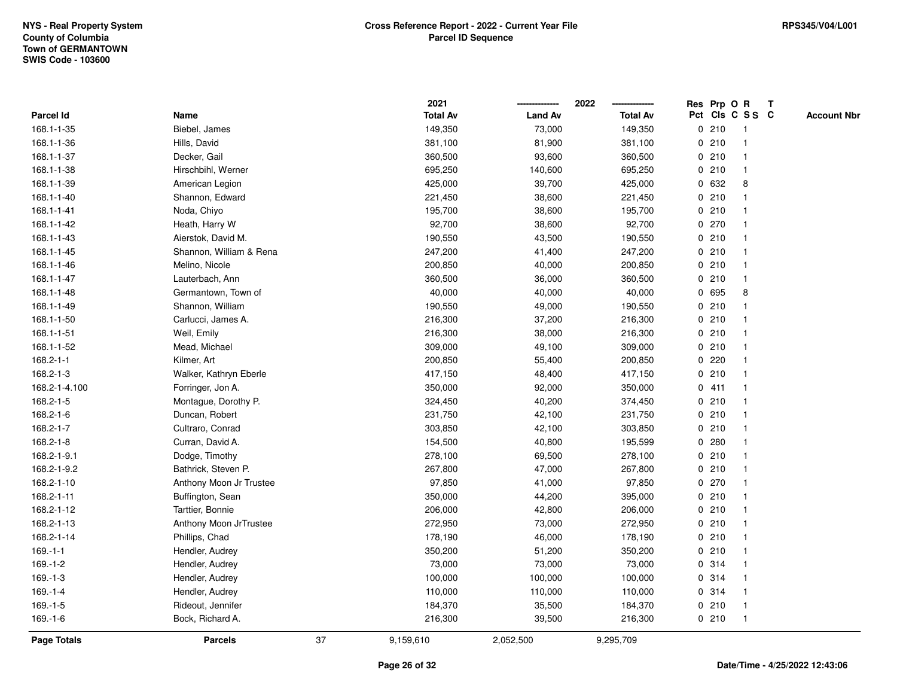|                    |                         |    | 2021            |                | 2022            |             |       | Res Prp O R             | $\mathsf{T}$ |                    |
|--------------------|-------------------------|----|-----------------|----------------|-----------------|-------------|-------|-------------------------|--------------|--------------------|
| Parcel Id          | Name                    |    | <b>Total Av</b> | <b>Land Av</b> | <b>Total Av</b> |             |       | Pct Cls C S S C         |              | <b>Account Nbr</b> |
| 168.1-1-35         | Biebel, James           |    | 149,350         | 73,000         | 149,350         |             | 0210  | -1                      |              |                    |
| 168.1-1-36         | Hills, David            |    | 381,100         | 81,900         | 381,100         |             | 0210  |                         |              |                    |
| 168.1-1-37         | Decker, Gail            |    | 360,500         | 93,600         | 360,500         |             | 0210  | -1                      |              |                    |
| 168.1-1-38         | Hirschbihl, Werner      |    | 695,250         | 140,600        | 695,250         |             | 0210  | $\mathbf{1}$            |              |                    |
| 168.1-1-39         | American Legion         |    | 425,000         | 39,700         | 425,000         |             | 0 632 | 8                       |              |                    |
| 168.1-1-40         | Shannon, Edward         |    | 221,450         | 38,600         | 221,450         |             | 0210  | -1                      |              |                    |
| 168.1-1-41         | Noda, Chiyo             |    | 195,700         | 38,600         | 195,700         |             | 0210  |                         |              |                    |
| 168.1-1-42         | Heath, Harry W          |    | 92,700          | 38,600         | 92,700          |             | 0270  |                         |              |                    |
| 168.1-1-43         | Aierstok, David M.      |    | 190,550         | 43,500         | 190,550         |             | 0210  | $\overline{\mathbf{1}}$ |              |                    |
| 168.1-1-45         | Shannon, William & Rena |    | 247,200         | 41,400         | 247,200         |             | 0210  |                         |              |                    |
| 168.1-1-46         | Melino, Nicole          |    | 200,850         | 40,000         | 200,850         |             | 0210  | $\mathbf{1}$            |              |                    |
| 168.1-1-47         | Lauterbach, Ann         |    | 360,500         | 36,000         | 360,500         |             | 0210  | $\mathbf{1}$            |              |                    |
| 168.1-1-48         | Germantown, Town of     |    | 40,000          | 40,000         | 40,000          |             | 0 695 | 8                       |              |                    |
| 168.1-1-49         | Shannon, William        |    | 190,550         | 49,000         | 190,550         |             | 0210  |                         |              |                    |
| 168.1-1-50         | Carlucci, James A.      |    | 216,300         | 37,200         | 216,300         |             | 0210  |                         |              |                    |
| 168.1-1-51         | Weil, Emily             |    | 216,300         | 38,000         | 216,300         |             | 0210  |                         |              |                    |
| 168.1-1-52         | Mead, Michael           |    | 309,000         | 49,100         | 309,000         |             | 0210  | $\mathbf{1}$            |              |                    |
| 168.2-1-1          | Kilmer, Art             |    | 200,850         | 55,400         | 200,850         | 0           | 220   | -1                      |              |                    |
| 168.2-1-3          | Walker, Kathryn Eberle  |    | 417,150         | 48,400         | 417,150         |             | 0210  | -1                      |              |                    |
| 168.2-1-4.100      | Forringer, Jon A.       |    | 350,000         | 92,000         | 350,000         |             | 0411  |                         |              |                    |
| 168.2-1-5          | Montague, Dorothy P.    |    | 324,450         | 40,200         | 374,450         |             | 0210  |                         |              |                    |
| 168.2-1-6          | Duncan, Robert          |    | 231,750         | 42,100         | 231,750         |             | 0210  |                         |              |                    |
| 168.2-1-7          | Cultraro, Conrad        |    | 303,850         | 42,100         | 303,850         |             | 0210  | -1                      |              |                    |
| 168.2-1-8          | Curran, David A.        |    | 154,500         | 40,800         | 195,599         | $\mathbf 0$ | 280   | $\mathbf{1}$            |              |                    |
| 168.2-1-9.1        | Dodge, Timothy          |    | 278,100         | 69,500         | 278,100         |             | 0210  | $\mathbf 1$             |              |                    |
| 168.2-1-9.2        | Bathrick, Steven P.     |    | 267,800         | 47,000         | 267,800         |             | 0210  | -1                      |              |                    |
| 168.2-1-10         | Anthony Moon Jr Trustee |    | 97,850          | 41,000         | 97,850          |             | 0270  |                         |              |                    |
| 168.2-1-11         | Buffington, Sean        |    | 350,000         | 44,200         | 395,000         |             | 0210  |                         |              |                    |
| 168.2-1-12         | Tarttier, Bonnie        |    | 206,000         | 42,800         | 206,000         |             | 0210  |                         |              |                    |
| 168.2-1-13         | Anthony Moon JrTrustee  |    | 272,950         | 73,000         | 272,950         |             | 0210  |                         |              |                    |
| 168.2-1-14         | Phillips, Chad          |    | 178,190         | 46,000         | 178,190         |             | 0210  | $\mathbf{1}$            |              |                    |
| $169.-1-1$         | Hendler, Audrey         |    | 350,200         | 51,200         | 350,200         |             | 0210  | -1                      |              |                    |
| $169.-1-2$         | Hendler, Audrey         |    | 73,000          | 73,000         | 73,000          |             | 0.314 |                         |              |                    |
| $169.-1-3$         | Hendler, Audrey         |    | 100,000         | 100,000        | 100,000         |             | 0.314 |                         |              |                    |
| $169.-1-4$         | Hendler, Audrey         |    | 110,000         | 110,000        | 110,000         |             | 0.314 |                         |              |                    |
| $169.-1-5$         | Rideout, Jennifer       |    | 184,370         | 35,500         | 184,370         |             | 0210  | $\mathbf{1}$            |              |                    |
| $169.-1-6$         | Bock, Richard A.        |    | 216,300         | 39,500         | 216,300         |             | 0210  | $\mathbf{1}$            |              |                    |
| <b>Page Totals</b> | <b>Parcels</b>          | 37 | 9,159,610       | 2,052,500      | 9,295,709       |             |       |                         |              |                    |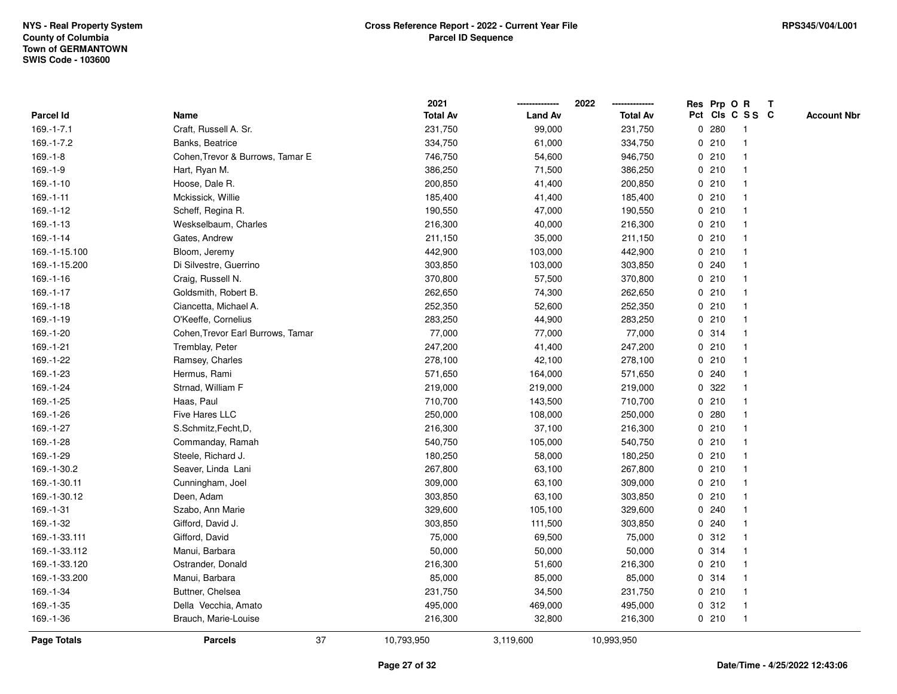|                    |                                   | 2021            |                | 2022            | Res Prp O R |       |                 | $\mathsf{T}$       |
|--------------------|-----------------------------------|-----------------|----------------|-----------------|-------------|-------|-----------------|--------------------|
| Parcel Id          | Name                              | <b>Total Av</b> | <b>Land Av</b> | <b>Total Av</b> |             |       | Pct Cls C S S C | <b>Account Nbr</b> |
| $169. - 1 - 7.1$   | Craft, Russell A. Sr.             | 231,750         | 99,000         | 231,750         |             | 0.280 |                 |                    |
| 169.-1-7.2         | Banks, Beatrice                   | 334,750         | 61,000         | 334,750         |             | 0210  |                 |                    |
| $169.-1-8$         | Cohen, Trevor & Burrows, Tamar E  | 746,750         | 54,600         | 946,750         |             | 0210  |                 |                    |
| 169.-1-9           | Hart, Ryan M.                     | 386,250         | 71,500         | 386,250         | $\mathbf 0$ | 210   | -1              |                    |
| $169.-1-10$        | Hoose, Dale R.                    | 200,850         | 41,400         | 200,850         |             | 0210  | -1              |                    |
| $169.-1-11$        | Mckissick, Willie                 | 185,400         | 41,400         | 185,400         |             | 0210  |                 |                    |
| $169. - 1 - 12$    | Scheff, Regina R.                 | 190,550         | 47,000         | 190,550         |             | 0210  |                 |                    |
| 169.-1-13          | Weskselbaum, Charles              | 216,300         | 40,000         | 216,300         |             | 0210  |                 |                    |
| 169.-1-14          | Gates, Andrew                     | 211,150         | 35,000         | 211,150         |             | 0210  |                 |                    |
| 169.-1-15.100      | Bloom, Jeremy                     | 442,900         | 103,000        | 442,900         |             | 0210  |                 |                    |
| 169.-1-15.200      | Di Silvestre, Guerrino            | 303,850         | 103,000        | 303,850         |             | 0.240 | -1              |                    |
| $169.-1-16$        | Craig, Russell N.                 | 370,800         | 57,500         | 370,800         |             | 0210  | -1              |                    |
| 169.-1-17          | Goldsmith, Robert B.              | 262,650         | 74,300         | 262,650         |             | 0210  |                 |                    |
| $169. - 1 - 18$    | Ciancetta, Michael A.             | 252,350         | 52,600         | 252,350         |             | 0210  |                 |                    |
| 169.-1-19          | O'Keeffe, Cornelius               | 283,250         | 44,900         | 283,250         |             | 0210  |                 |                    |
| 169.-1-20          | Cohen, Trevor Earl Burrows, Tamar | 77,000          | 77,000         | 77,000          |             | 0.314 |                 |                    |
| 169.-1-21          | Tremblay, Peter                   | 247,200         | 41,400         | 247,200         | $\mathbf 0$ | 210   |                 |                    |
| 169.-1-22          | Ramsey, Charles                   | 278,100         | 42,100         | 278,100         |             | 0210  | -1              |                    |
| 169.-1-23          | Hermus, Rami                      | 571,650         | 164,000        | 571,650         |             | 0.240 |                 |                    |
| 169.-1-24          | Strnad, William F                 | 219,000         | 219,000        | 219,000         |             | 0 322 |                 |                    |
| 169.-1-25          | Haas, Paul                        | 710,700         | 143,500        | 710,700         |             | 0210  |                 |                    |
| 169.-1-26          | Five Hares LLC                    | 250,000         | 108,000        | 250,000         |             | 0.280 |                 |                    |
| 169.-1-27          | S.Schmitz, Fecht, D,              | 216,300         | 37,100         | 216,300         |             | 0210  |                 |                    |
| 169.-1-28          | Commanday, Ramah                  | 540,750         | 105,000        | 540,750         | $\mathbf 0$ | 210   | $\mathbf{1}$    |                    |
| 169.-1-29          | Steele, Richard J.                | 180,250         | 58,000         | 180,250         |             | 0210  |                 |                    |
| 169.-1-30.2        | Seaver, Linda Lani                | 267,800         | 63,100         | 267,800         |             | 0210  | $\mathbf 1$     |                    |
| 169.-1-30.11       | Cunningham, Joel                  | 309,000         | 63,100         | 309,000         |             | 0210  |                 |                    |
| 169.-1-30.12       | Deen, Adam                        | 303,850         | 63,100         | 303,850         |             | 0210  |                 |                    |
| 169.-1-31          | Szabo, Ann Marie                  | 329,600         | 105,100        | 329,600         |             | 0.240 |                 |                    |
| 169.-1-32          | Gifford, David J.                 | 303,850         | 111,500        | 303,850         | 0           | 240   |                 |                    |
| 169.-1-33.111      | Gifford, David                    | 75,000          | 69,500         | 75,000          | 0           | 312   |                 |                    |
| 169.-1-33.112      | Manui, Barbara                    | 50,000          | 50,000         | 50,000          |             | 0.314 |                 |                    |
| 169.-1-33.120      | Ostrander, Donald                 | 216,300         | 51,600         | 216,300         |             | 0210  |                 |                    |
| 169.-1-33.200      | Manui, Barbara                    | 85,000          | 85,000         | 85,000          |             | 0.314 |                 |                    |
| 169.-1-34          | Buttner, Chelsea                  | 231,750         | 34,500         | 231,750         |             | 0210  |                 |                    |
| 169.-1-35          | Della Vecchia, Amato              | 495,000         | 469,000        | 495,000         |             | 0.312 | -1              |                    |
| 169.-1-36          | Brauch, Marie-Louise              | 216,300         | 32,800         | 216,300         |             | 0210  | -1              |                    |
| <b>Page Totals</b> | 37<br><b>Parcels</b>              | 10,793,950      | 3,119,600      | 10,993,950      |             |       |                 |                    |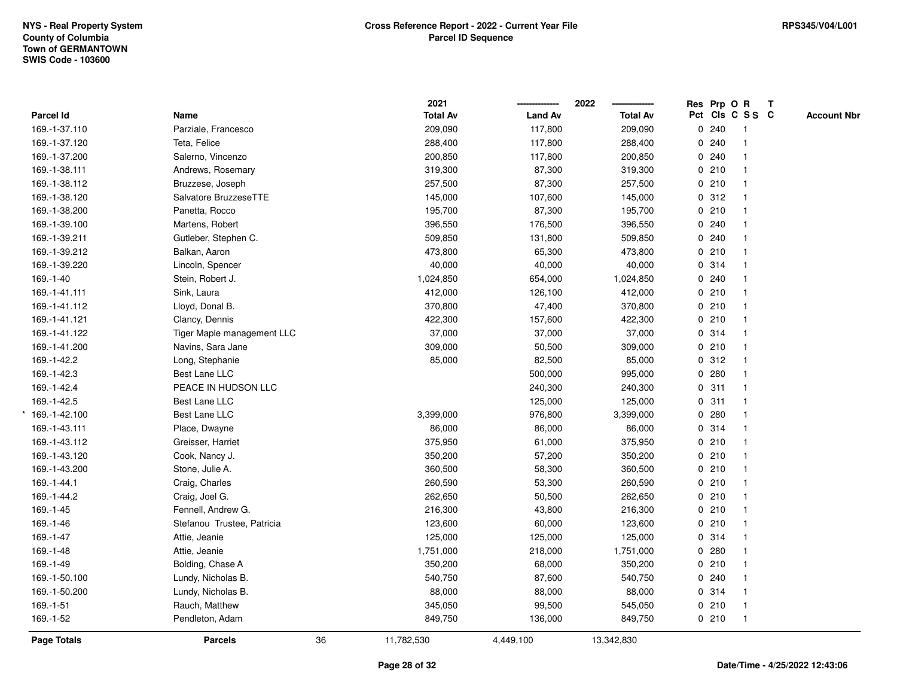|                  |                            |    | 2021            |                | 2022<br>-------------- | Res Prp O R |                 | $\mathbf{T}$ |                    |
|------------------|----------------------------|----|-----------------|----------------|------------------------|-------------|-----------------|--------------|--------------------|
| <b>Parcel Id</b> | Name                       |    | <b>Total Av</b> | <b>Land Av</b> | <b>Total Av</b>        |             | Pct Cls C S S C |              | <b>Account Nbr</b> |
| 169.-1-37.110    | Parziale, Francesco        |    | 209,090         | 117,800        | 209,090                | 0.240       |                 |              |                    |
| 169.-1-37.120    | Teta, Felice               |    | 288,400         | 117,800        | 288,400                | 0.240       |                 |              |                    |
| 169.-1-37.200    | Salerno, Vincenzo          |    | 200,850         | 117,800        | 200,850                | 0.240       |                 |              |                    |
| 169.-1-38.111    | Andrews, Rosemary          |    | 319,300         | 87,300         | 319,300                | 0210        | $\mathbf 1$     |              |                    |
| 169.-1-38.112    | Bruzzese, Joseph           |    | 257,500         | 87,300         | 257,500                | 0210        |                 |              |                    |
| 169.-1-38.120    | Salvatore BruzzeseTTE      |    | 145,000         | 107,600        | 145,000                | 0.312       |                 |              |                    |
| 169.-1-38.200    | Panetta, Rocco             |    | 195,700         | 87,300         | 195,700                | 0210        |                 |              |                    |
| 169.-1-39.100    | Martens, Robert            |    | 396,550         | 176,500        | 396,550                | 0.240       |                 |              |                    |
| 169.-1-39.211    | Gutleber, Stephen C.       |    | 509,850         | 131,800        | 509,850                | 0.240       |                 |              |                    |
| 169.-1-39.212    | Balkan, Aaron              |    | 473,800         | 65,300         | 473,800                | 0210        |                 |              |                    |
| 169.-1-39.220    | Lincoln, Spencer           |    | 40,000          | 40,000         | 40,000                 | 0.314       | $\mathbf{1}$    |              |                    |
| 169.-1-40        | Stein, Robert J.           |    | 1,024,850       | 654,000        | 1,024,850              | 0.240       |                 |              |                    |
| 169.-1-41.111    | Sink, Laura                |    | 412,000         | 126,100        | 412,000                | 0210        |                 |              |                    |
| 169.-1-41.112    | Lloyd, Donal B.            |    | 370,800         | 47,400         | 370,800                | 0210        |                 |              |                    |
| 169.-1-41.121    | Clancy, Dennis             |    | 422,300         | 157,600        | 422,300                | 0210        |                 |              |                    |
| 169.-1-41.122    | Tiger Maple management LLC |    | 37,000          | 37,000         | 37,000                 | 0.314       |                 |              |                    |
| 169.-1-41.200    | Navins, Sara Jane          |    | 309,000         | 50,500         | 309,000                | 0210        |                 |              |                    |
| 169.-1-42.2      | Long, Stephanie            |    | 85,000          | 82,500         | 85,000                 | 0.312       |                 |              |                    |
| 169.-1-42.3      | Best Lane LLC              |    |                 | 500,000        | 995,000                | 0.280       |                 |              |                    |
| 169.-1-42.4      | PEACE IN HUDSON LLC        |    |                 | 240,300        | 240,300                | 0.311       |                 |              |                    |
| 169.-1-42.5      | Best Lane LLC              |    |                 | 125,000        | 125,000                | 0.311       |                 |              |                    |
| 169.-1-42.100    | Best Lane LLC              |    | 3,399,000       | 976,800        | 3,399,000              | 0.280       |                 |              |                    |
| 169.-1-43.111    | Place, Dwayne              |    | 86,000          | 86,000         | 86,000                 | 0.314       |                 |              |                    |
| 169.-1-43.112    | Greisser, Harriet          |    | 375,950         | 61,000         | 375,950                | 0210        | $\mathbf{1}$    |              |                    |
| 169.-1-43.120    | Cook, Nancy J.             |    | 350,200         | 57,200         | 350,200                | 0210        |                 |              |                    |
| 169.-1-43.200    | Stone, Julie A.            |    | 360,500         | 58,300         | 360,500                | 0210        |                 |              |                    |
| 169.-1-44.1      | Craig, Charles             |    | 260,590         | 53,300         | 260,590                | 0210        |                 |              |                    |
| 169.-1-44.2      | Craig, Joel G.             |    | 262,650         | 50,500         | 262,650                | 0210        |                 |              |                    |
| 169.-1-45        | Fennell, Andrew G.         |    | 216,300         | 43,800         | 216,300                | 0210        |                 |              |                    |
| 169.-1-46        | Stefanou Trustee, Patricia |    | 123,600         | 60,000         | 123,600                | 0210        |                 |              |                    |
| 169.-1-47        | Attie, Jeanie              |    | 125,000         | 125,000        | 125,000                | 0.314       | $\mathbf{1}$    |              |                    |
| 169.-1-48        | Attie, Jeanie              |    | 1,751,000       | 218,000        | 1,751,000              | 0.280       |                 |              |                    |
| 169.-1-49        | Bolding, Chase A           |    | 350,200         | 68,000         | 350,200                | 0210        |                 |              |                    |
| 169.-1-50.100    | Lundy, Nicholas B.         |    | 540,750         | 87,600         | 540,750                | 0.240       |                 |              |                    |
| 169.-1-50.200    | Lundy, Nicholas B.         |    | 88,000          | 88,000         | 88,000                 | 0.314       |                 |              |                    |
| 169.-1-51        | Rauch, Matthew             |    | 345,050         | 99,500         | 545,050                | 0210        | $\overline{1}$  |              |                    |
| 169.-1-52        | Pendleton, Adam            |    | 849,750         | 136,000        | 849,750                | 0210        | $\overline{1}$  |              |                    |
| Page Totals      | <b>Parcels</b>             | 36 | 11,782,530      | 4,449,100      | 13,342,830             |             |                 |              |                    |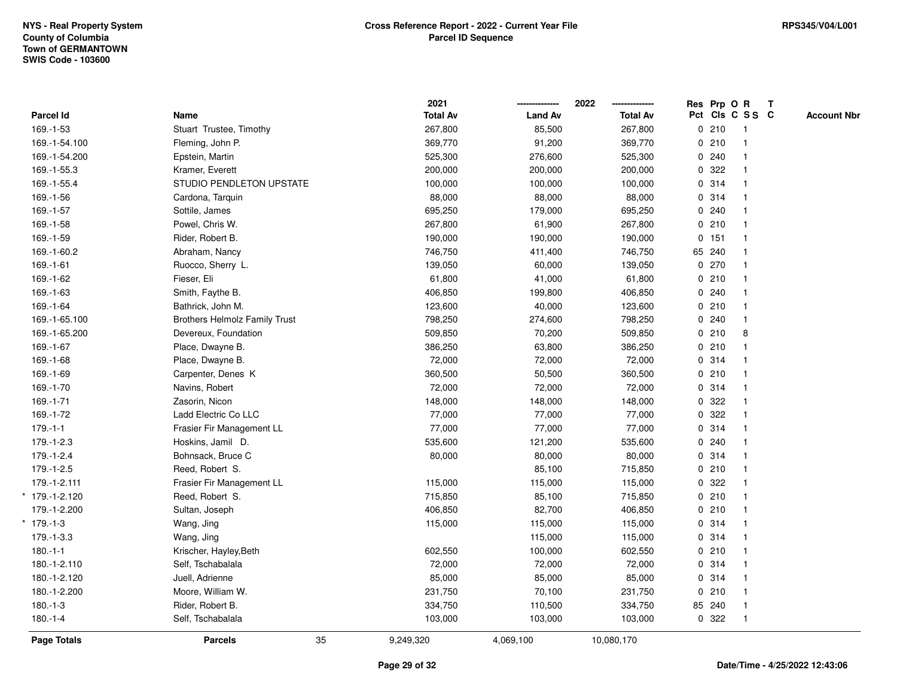\*

\*

|                  |                                      | 2021            |                | 2022<br>-------------- |   | Res Prp O R |                 | $\mathbf{T}$ |                    |
|------------------|--------------------------------------|-----------------|----------------|------------------------|---|-------------|-----------------|--------------|--------------------|
| <b>Parcel Id</b> | Name                                 | <b>Total Av</b> | <b>Land Av</b> | <b>Total Av</b>        |   |             | Pct Cls C S S C |              | <b>Account Nbr</b> |
| 169.-1-53        | Stuart Trustee, Timothy              | 267,800         | 85,500         | 267,800                |   | 0210        | -1              |              |                    |
| 169.-1-54.100    | Fleming, John P.                     | 369,770         | 91,200         | 369,770                |   | 0210        |                 |              |                    |
| 169.-1-54.200    | Epstein, Martin                      | 525,300         | 276,600        | 525,300                |   | 0.240       | 1               |              |                    |
| 169.-1-55.3      | Kramer, Everett                      | 200,000         | 200,000        | 200,000                | 0 | 322         | $\overline{1}$  |              |                    |
| 169.-1-55.4      | STUDIO PENDLETON UPSTATE             | 100,000         | 100,000        | 100,000                |   | 0.314       | $\mathbf{1}$    |              |                    |
| 169.-1-56        | Cardona, Tarquin                     | 88,000          | 88,000         | 88,000                 |   | 0.314       | 1               |              |                    |
| 169.-1-57        | Sottile, James                       | 695,250         | 179,000        | 695,250                |   | 0.240       |                 |              |                    |
| 169.-1-58        | Powel, Chris W.                      | 267,800         | 61,900         | 267,800                |   | 0210        |                 |              |                    |
| 169.-1-59        | Rider, Robert B.                     | 190,000         | 190,000        | 190,000                |   | 0 151       |                 |              |                    |
| 169.-1-60.2      | Abraham, Nancy                       | 746,750         | 411,400        | 746,750                |   | 65 240      |                 |              |                    |
| 169.-1-61        | Ruocco, Sherry L.                    | 139,050         | 60,000         | 139,050                |   | 0270        | $\overline{1}$  |              |                    |
| 169.-1-62        | Fieser, Eli                          | 61,800          | 41,000         | 61,800                 |   | 0210        |                 |              |                    |
| 169.-1-63        | Smith, Faythe B.                     | 406,850         | 199,800        | 406,850                |   | 0.240       |                 |              |                    |
| 169.-1-64        | Bathrick, John M.                    | 123,600         | 40,000         | 123,600                |   | 0210        |                 |              |                    |
| 169.-1-65.100    | <b>Brothers Helmolz Family Trust</b> | 798,250         | 274,600        | 798,250                |   | 0.240       |                 |              |                    |
| 169.-1-65.200    | Devereux, Foundation                 | 509,850         | 70,200         | 509,850                |   | 0210        | 8               |              |                    |
| 169.-1-67        | Place, Dwayne B.                     | 386,250         | 63,800         | 386,250                |   | 0210        | $\mathbf{1}$    |              |                    |
| 169.-1-68        | Place, Dwayne B.                     | 72,000          | 72,000         | 72,000                 |   | 0.314       | $\overline{1}$  |              |                    |
| 169.-1-69        | Carpenter, Denes K                   | 360,500         | 50,500         | 360,500                |   | 0210        | 1               |              |                    |
| 169.-1-70        | Navins, Robert                       | 72,000          | 72,000         | 72,000                 |   | 0.314       |                 |              |                    |
| 169.-1-71        | Zasorin, Nicon                       | 148,000         | 148,000        | 148,000                |   | 0.322       |                 |              |                    |
| 169.-1-72        | Ladd Electric Co LLC                 | 77,000          | 77,000         | 77,000                 |   | 0.322       |                 |              |                    |
| $179.-1-1$       | Frasier Fir Management LL            | 77,000          | 77,000         | 77,000                 |   | 0.314       |                 |              |                    |
| 179.-1-2.3       | Hoskins, Jamil D.                    | 535,600         | 121,200        | 535,600                |   | 0.240       | $\overline{1}$  |              |                    |
| 179.-1-2.4       | Bohnsack, Bruce C                    | 80,000          | 80,000         | 80,000                 |   | 0.314       | $\mathbf{1}$    |              |                    |
| $179. - 1 - 2.5$ | Reed, Robert S.                      |                 | 85,100         | 715,850                |   | 0210        |                 |              |                    |
| 179.-1-2.111     | Frasier Fir Management LL            | 115,000         | 115,000        | 115,000                |   | 0.322       |                 |              |                    |
| 179.-1-2.120     | Reed, Robert S.                      | 715,850         | 85,100         | 715,850                |   | 0210        |                 |              |                    |
| 179.-1-2.200     | Sultan, Joseph                       | 406,850         | 82,700         | 406,850                |   | 0210        | $\mathbf{1}$    |              |                    |
| $179.-1-3$       | Wang, Jing                           | 115,000         | 115,000        | 115,000                |   | 0.314       | $\mathbf{1}$    |              |                    |
| 179.-1-3.3       | Wang, Jing                           |                 | 115,000        | 115,000                |   | 0.314       | $\overline{1}$  |              |                    |
| $180.-1-1$       | Krischer, Hayley, Beth               | 602,550         | 100,000        | 602,550                |   | 0210        | $\mathbf{1}$    |              |                    |
| 180.-1-2.110     | Self, Tschabalala                    | 72,000          | 72,000         | 72,000                 |   | 0.314       |                 |              |                    |
| 180.-1-2.120     | Juell, Adrienne                      | 85,000          | 85,000         | 85,000                 |   | 0.314       |                 |              |                    |
| 180.-1-2.200     | Moore, William W.                    | 231,750         | 70,100         | 231,750                |   | 0210        |                 |              |                    |
| $180.-1-3$       | Rider, Robert B.                     | 334,750         | 110,500        | 334,750                |   | 85 240      | $\overline{1}$  |              |                    |
| $180.-1-4$       | Self, Tschabalala                    | 103,000         | 103,000        | 103,000                |   | 0.322       | $\overline{1}$  |              |                    |
| Page Totals      | 35<br><b>Parcels</b>                 | 9,249,320       | 4,069,100      | 10,080,170             |   |             |                 |              |                    |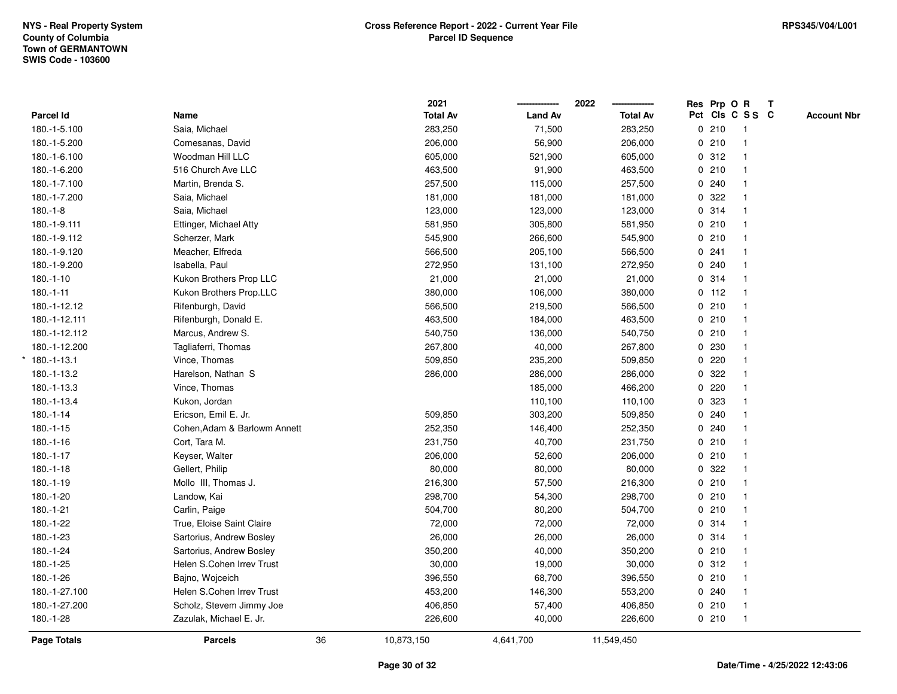|                   |                              |    | 2021            |                | 2022<br>-------------- | Res Prp O R     |                         | $\mathbf{T}$ |                    |
|-------------------|------------------------------|----|-----------------|----------------|------------------------|-----------------|-------------------------|--------------|--------------------|
| <b>Parcel Id</b>  | Name                         |    | <b>Total Av</b> | <b>Land Av</b> | <b>Total Av</b>        | Pct Cls C S S C |                         |              | <b>Account Nbr</b> |
| 180.-1-5.100      | Saia, Michael                |    | 283,250         | 71,500         | 283,250                | 0210            | -1                      |              |                    |
| 180.-1-5.200      | Comesanas, David             |    | 206,000         | 56,900         | 206,000                | 0210            |                         |              |                    |
| 180.-1-6.100      | Woodman Hill LLC             |    | 605,000         | 521,900        | 605,000                | 0.312           | -1                      |              |                    |
| 180.-1-6.200      | 516 Church Ave LLC           |    | 463,500         | 91,900         | 463,500                | 0210            | $\mathbf{1}$            |              |                    |
| 180.-1-7.100      | Martin, Brenda S.            |    | 257,500         | 115,000        | 257,500                | 0.240           | $\overline{1}$          |              |                    |
| 180.-1-7.200      | Saia, Michael                |    | 181,000         | 181,000        | 181,000                | 0.322           |                         |              |                    |
| $180.-1-8$        | Saia, Michael                |    | 123,000         | 123,000        | 123,000                | 0.314           |                         |              |                    |
| 180.-1-9.111      | Ettinger, Michael Atty       |    | 581,950         | 305,800        | 581,950                | 0210            |                         |              |                    |
| 180.-1-9.112      | Scherzer, Mark               |    | 545,900         | 266,600        | 545,900                | 0210            |                         |              |                    |
| 180.-1-9.120      | Meacher, Elfreda             |    | 566,500         | 205,100        | 566,500                | 0.241           | $\overline{\mathbf{1}}$ |              |                    |
| 180.-1-9.200      | Isabella, Paul               |    | 272,950         | 131,100        | 272,950                | 0.240           | $\mathbf{1}$            |              |                    |
| $180.-1-10$       | Kukon Brothers Prop LLC      |    | 21,000          | 21,000         | 21,000                 | 0.314           | $\overline{1}$          |              |                    |
| $180.-1-11$       | Kukon Brothers Prop.LLC      |    | 380,000         | 106,000        | 380,000                | $0$ 112         |                         |              |                    |
| 180.-1-12.12      | Rifenburgh, David            |    | 566,500         | 219,500        | 566,500                | 0210            |                         |              |                    |
| 180.-1-12.111     | Rifenburgh, Donald E.        |    | 463,500         | 184,000        | 463,500                | 0210            |                         |              |                    |
| 180.-1-12.112     | Marcus, Andrew S.            |    | 540,750         | 136,000        | 540,750                | 0210            |                         |              |                    |
| 180.-1-12.200     | Tagliaferri, Thomas          |    | 267,800         | 40,000         | 267,800                | 0 230           |                         |              |                    |
| $180. - 1 - 13.1$ | Vince, Thomas                |    | 509,850         | 235,200        | 509,850                | 0220            |                         |              |                    |
| 180.-1-13.2       | Harelson, Nathan S           |    | 286,000         | 286,000        | 286,000                | 0.322           |                         |              |                    |
| 180.-1-13.3       | Vince, Thomas                |    |                 | 185,000        | 466,200                | $0$ 220         |                         |              |                    |
| 180.-1-13.4       | Kukon, Jordan                |    |                 | 110,100        | 110,100                | 0 323           |                         |              |                    |
| $180.-1-14$       | Ericson, Emil E. Jr.         |    | 509,850         | 303,200        | 509,850                | 0.240           |                         |              |                    |
| $180.-1-15$       | Cohen, Adam & Barlowm Annett |    | 252,350         | 146,400        | 252,350                | 0.240           |                         |              |                    |
| $180.-1-16$       | Cort, Tara M.                |    | 231,750         | 40,700         | 231,750                | 0210            | $\overline{\mathbf{1}}$ |              |                    |
| $180.-1-17$       | Keyser, Walter               |    | 206,000         | 52,600         | 206,000                | 0210            |                         |              |                    |
| $180.-1-18$       | Gellert, Philip              |    | 80,000          | 80,000         | 80,000                 | 0.322           |                         |              |                    |
| $180.-1-19$       | Mollo III, Thomas J.         |    | 216,300         | 57,500         | 216,300                | 0210            |                         |              |                    |
| 180.-1-20         | Landow, Kai                  |    | 298,700         | 54,300         | 298,700                | 0210            |                         |              |                    |
| 180.-1-21         | Carlin, Paige                |    | 504,700         | 80,200         | 504,700                | 0210            |                         |              |                    |
| 180.-1-22         | True, Eloise Saint Claire    |    | 72,000          | 72,000         | 72,000                 | 0 314           | $\overline{\mathbf{1}}$ |              |                    |
| 180.-1-23         | Sartorius, Andrew Bosley     |    | 26,000          | 26,000         | 26,000                 | 0.314           | $\overline{1}$          |              |                    |
| $180.-1-24$       | Sartorius, Andrew Bosley     |    | 350,200         | 40,000         | 350,200                | 0210            | $\mathbf{1}$            |              |                    |
| 180.-1-25         | Helen S.Cohen Irrev Trust    |    | 30,000          | 19,000         | 30,000                 | 0.312           |                         |              |                    |
| 180.-1-26         | Bajno, Wojceich              |    | 396,550         | 68,700         | 396,550                | 0210            |                         |              |                    |
| 180.-1-27.100     | Helen S.Cohen Irrev Trust    |    | 453,200         | 146,300        | 553,200                | 0.240           |                         |              |                    |
| 180.-1-27.200     | Scholz, Stevem Jimmy Joe     |    | 406,850         | 57,400         | 406,850                | 0210            | $\mathbf{1}$            |              |                    |
| 180.-1-28         | Zazulak, Michael E. Jr.      |    | 226,600         | 40,000         | 226,600                | 0210            | $\mathbf{1}$            |              |                    |
| Page Totals       | <b>Parcels</b>               | 36 | 10,873,150      | 4,641,700      | 11,549,450             |                 |                         |              |                    |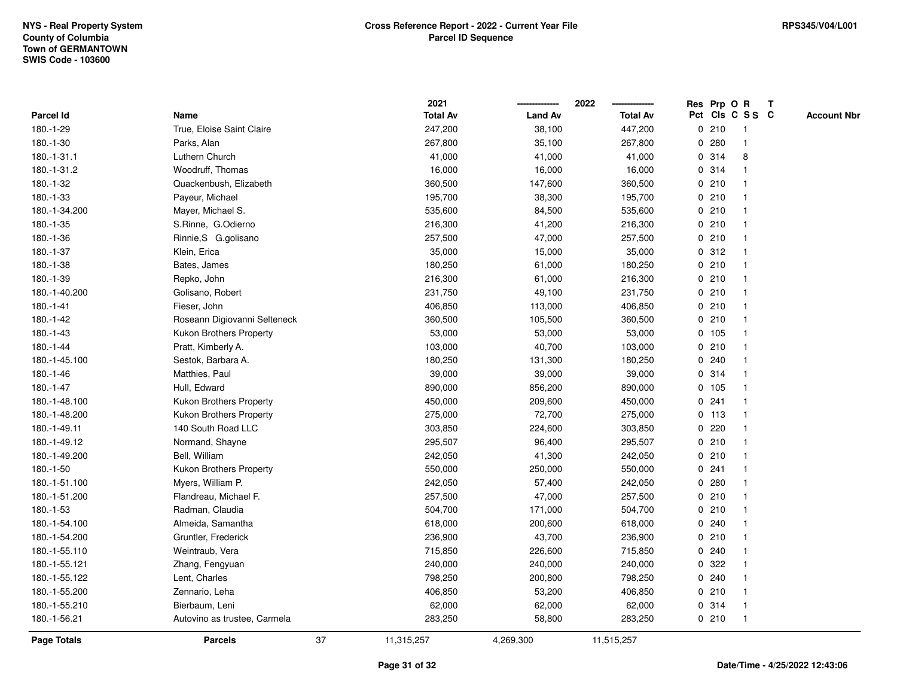|                    |                              |    | 2021            |                | 2022            |              |         | Res Prp O R     | T |                    |
|--------------------|------------------------------|----|-----------------|----------------|-----------------|--------------|---------|-----------------|---|--------------------|
| Parcel Id          | Name                         |    | <b>Total Av</b> | <b>Land Av</b> | <b>Total Av</b> |              |         | Pct Cls C S S C |   | <b>Account Nbr</b> |
| 180.-1-29          | True, Eloise Saint Claire    |    | 247,200         | 38,100         | 447,200         |              | 0210    | -1              |   |                    |
| 180.-1-30          | Parks, Alan                  |    | 267,800         | 35,100         | 267,800         | 0            | 280     | $\overline{1}$  |   |                    |
| 180.-1-31.1        | Luthern Church               |    | 41,000          | 41,000         | 41,000          |              | 0.314   | 8               |   |                    |
| 180.-1-31.2        | Woodruff, Thomas             |    | 16,000          | 16,000         | 16,000          |              | 0.314   |                 |   |                    |
| 180.-1-32          | Quackenbush, Elizabeth       |    | 360,500         | 147,600        | 360,500         |              | 0210    |                 |   |                    |
| 180.-1-33          | Payeur, Michael              |    | 195,700         | 38,300         | 195,700         |              | 0210    |                 |   |                    |
| 180.-1-34.200      | Mayer, Michael S.            |    | 535,600         | 84,500         | 535,600         |              | 0210    |                 |   |                    |
| 180.-1-35          | S.Rinne, G.Odierno           |    | 216,300         | 41,200         | 216,300         | $\mathbf 0$  | 210     | $\overline{1}$  |   |                    |
| 180.-1-36          | Rinnie, S G.golisano         |    | 257,500         | 47,000         | 257,500         |              | 0210    | -1              |   |                    |
| 180.-1-37          | Klein, Erica                 |    | 35,000          | 15,000         | 35,000          |              | 0.312   | $\mathbf 1$     |   |                    |
| 180.-1-38          | Bates, James                 |    | 180,250         | 61,000         | 180,250         |              | 0210    |                 |   |                    |
| 180.-1-39          | Repko, John                  |    | 216,300         | 61,000         | 216,300         |              | 0210    |                 |   |                    |
| 180.-1-40.200      | Golisano, Robert             |    | 231,750         | 49,100         | 231,750         |              | 0210    |                 |   |                    |
| $180 - 1 - 41$     | Fieser, John                 |    | 406,850         | 113,000        | 406,850         |              | 0210    |                 |   |                    |
| 180.-1-42          | Roseann Digiovanni Selteneck |    | 360,500         | 105,500        | 360,500         | $\mathbf 0$  | 210     |                 |   |                    |
| 180.-1-43          | Kukon Brothers Property      |    | 53,000          | 53,000         | 53,000          |              | 0, 105  | $\overline{1}$  |   |                    |
| 180.-1-44          | Pratt, Kimberly A.           |    | 103,000         | 40,700         | 103,000         |              | 0210    | $\mathbf{1}$    |   |                    |
| 180.-1-45.100      | Sestok, Barbara A.           |    | 180,250         | 131,300        | 180,250         |              | 0.240   |                 |   |                    |
| 180.-1-46          | Matthies, Paul               |    | 39,000          | 39,000         | 39,000          |              | 0.314   |                 |   |                    |
| 180.-1-47          | Hull, Edward                 |    | 890,000         | 856,200        | 890,000         |              | 0, 105  |                 |   |                    |
| 180.-1-48.100      | Kukon Brothers Property      |    | 450,000         | 209,600        | 450,000         |              | 0.241   |                 |   |                    |
| 180.-1-48.200      | Kukon Brothers Property      |    | 275,000         | 72,700         | 275,000         |              | $0$ 113 |                 |   |                    |
| 180.-1-49.11       | 140 South Road LLC           |    | 303,850         | 224,600        | 303,850         | 0            | 220     |                 |   |                    |
| 180.-1-49.12       | Normand, Shayne              |    | 295,507         | 96,400         | 295,507         | $\mathbf{0}$ | 210     |                 |   |                    |
| 180.-1-49.200      | Bell, William                |    | 242,050         | 41,300         | 242,050         |              | 0210    |                 |   |                    |
| $180.-1-50$        | Kukon Brothers Property      |    | 550,000         | 250,000        | 550,000         |              | 0.241   |                 |   |                    |
| 180.-1-51.100      | Myers, William P.            |    | 242,050         | 57,400         | 242,050         |              | 0.280   |                 |   |                    |
| 180.-1-51.200      | Flandreau, Michael F.        |    | 257,500         | 47,000         | 257,500         |              | 0210    |                 |   |                    |
| 180.-1-53          | Radman, Claudia              |    | 504,700         | 171,000        | 504,700         |              | 0210    |                 |   |                    |
| 180.-1-54.100      | Almeida, Samantha            |    | 618,000         | 200,600        | 618,000         | $\mathbf 0$  | 240     |                 |   |                    |
| 180.-1-54.200      | Gruntler, Frederick          |    | 236,900         | 43,700         | 236,900         | 0            | 210     | $\mathbf 1$     |   |                    |
| 180.-1-55.110      | Weintraub, Vera              |    | 715,850         | 226,600        | 715,850         |              | 0.240   | 1               |   |                    |
| 180.-1-55.121      | Zhang, Fengyuan              |    | 240,000         | 240,000        | 240,000         |              | 0.322   |                 |   |                    |
| 180.-1-55.122      | Lent, Charles                |    | 798,250         | 200,800        | 798,250         |              | 0.240   |                 |   |                    |
| 180.-1-55.200      | Zennario, Leha               |    | 406,850         | 53,200         | 406,850         |              | 0210    |                 |   |                    |
| 180.-1-55.210      | Bierbaum, Leni               |    | 62,000          | 62,000         | 62,000          |              | 0.314   |                 |   |                    |
| 180.-1-56.21       | Autovino as trustee, Carmela |    | 283,250         | 58,800         | 283,250         |              | 0210    | $\overline{1}$  |   |                    |
| <b>Page Totals</b> | <b>Parcels</b>               | 37 | 11,315,257      | 4,269,300      | 11,515,257      |              |         |                 |   |                    |